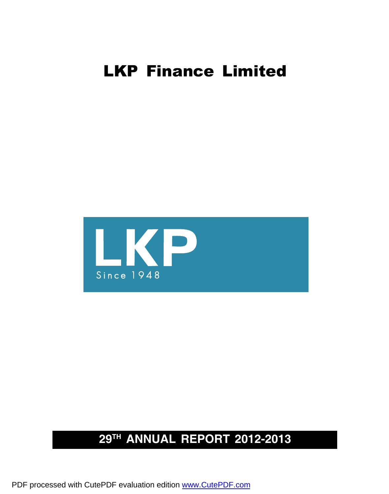

# **29th ANNUAL REPORT 2012-2013**

PDF processed with CutePDF evaluation edition [www.CutePDF.com](http://www.cutepdf.com)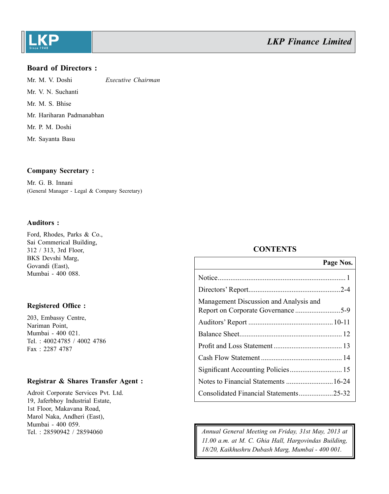

### **Board of Directors :**

Mr. M. V. Doshi *Executive Chairman* Mr. V. N. Suchanti Mr. M. S. Bhise Mr. Hariharan Padmanabhan Mr. P. M. Doshi Mr. Sayanta Basu

### **Company Secretary :**

Mr. G. B. Innani (General Manager - Legal & Company Secretary)

### **Auditors :**

Ford, Rhodes, Parks & Co., Sai Commerical Building, 312 / 313, 3rd Floor, BKS Devshi Marg, Govandi (East), Mumbai - 400 088.

### **Registered Office :**

203, Embassy Centre, Nariman Point, Mumbai - 400 021. Tel. : 40024785 / 4002 4786 Fax : 2287 4787

### **Registrar & Shares Transfer Agent :**

Adroit Corporate Services Pvt. Ltd. 19, Jaferbhoy Industrial Estate, 1st Floor, Makavana Road, Marol Naka, Andheri (East), Mumbai - 400 059.

## **CONTENTS**

|                                        | Page Nos. |
|----------------------------------------|-----------|
|                                        |           |
|                                        |           |
| Management Discussion and Analysis and |           |
|                                        |           |
|                                        |           |
|                                        |           |
|                                        |           |
|                                        |           |
|                                        |           |
| Consolidated Financial Statements25-32 |           |

Tel. : 28590942 / 28594060 *Annual General Meeting on Friday, 31st May, 2013 at 11.00 a.m. at M. C. Ghia Hall, Hargovindas Building, 18/20, Kaikhushru Dubash Marg, Mumbai - 400 001.*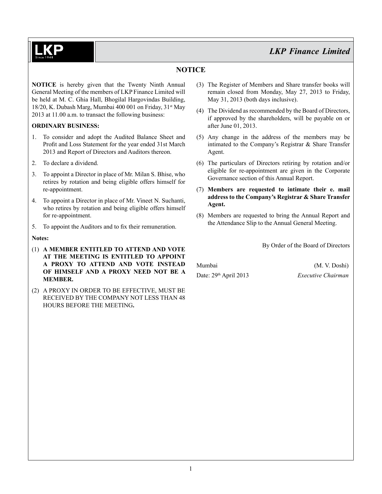# **NOTICE**

**NOTICE** is hereby given that the Twenty Ninth Annual General Meeting of the members of LKP Finance Limited will be held at M. C. Ghia Hall, Bhogilal Hargovindas Building, 18/20, K. Dubash Marg, Mumbai 400 001 on Friday, 31st May 2013 at 11.00 a.m. to transact the following business:

### **ORDINARY BUSINESS:**

- 1. To consider and adopt the Audited Balance Sheet and Profit and Loss Statement for the year ended 31st March 2013 and Report of Directors and Auditors thereon.
- 2. To declare a dividend.
- 3. To appoint a Director in place of Mr. Milan S. Bhise, who retires by rotation and being eligible offers himself for re-appointment.
- 4. To appoint a Director in place of Mr. Vineet N. Suchanti, who retires by rotation and being eligible offers himself for re-appointment.
- 5. To appoint the Auditors and to fix their remuneration.

### **Notes:**

- (1) **A MEMBER ENTITLED TO ATTEND AND VOTE AT THE MEETING IS ENTITLED TO APPOINT A PROXY TO ATTEND AND VOTE INSTEAD OF HIMSELF AND A PROXY NEED NOT BE A MEMBER.**
- (2) A PROXY IN ORDER TO BE EFFECTIVE, MUST BE RECEIVED BY THE COMPANY NOT LESS THAN 48 HOURS BEFORE THE MEETING**.**
- (3) The Register of Members and Share transfer books will remain closed from Monday, May 27, 2013 to Friday, May 31, 2013 (both days inclusive).
- (4) The Dividend as recommended by the Board of Directors, if approved by the shareholders, will be payable on or after June 01, 2013.
- (5) Any change in the address of the members may be intimated to the Company's Registrar & Share Transfer Agent.
- (6) The particulars of Directors retiring by rotation and/or eligible for re-appointment are given in the Corporate Governance section of this Annual Report.
- (7) **Members are requested to intimate their e. mail address to the Company's Registrar & Share Transfer Agent.**
- (8) Members are requested to bring the Annual Report and the Attendance Slip to the Annual General Meeting.

By Order of the Board of Directors

Mumbai (M. V. Doshi) Date: 29th April 2013 *Executive Chairman*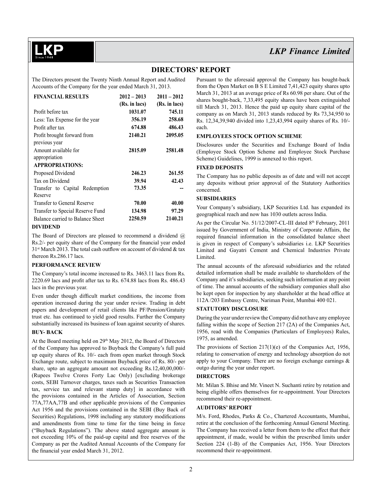## **DIRECTORS' REPORT**

The Directors present the Twenty Ninth Annual Report and Audited Accounts of the Company for the year ended March 31, 2013.

| <b>FINANCIAL RESULTS</b>         | $2012 - 2013$ | $2011 - 2012$ |
|----------------------------------|---------------|---------------|
|                                  | (Rs. in lacs) | (Rs. in lacs) |
| Profit before tax                | 1031.07       | 745.11        |
| Less: Tax Expense for the year   | 356.19        | 258.68        |
| Profit after tax                 | 674.88        | 486.43        |
| Profit brought forward from      | 2140.21       | 2095.05       |
| previous year                    |               |               |
| Amount available for             | 2815.09       | 2581.48       |
| appropriation                    |               |               |
| <b>APPROPRIATIONS:</b>           |               |               |
| Proposed Dividend                | 246.23        | 261.55        |
| Tax on Dividend                  | 39.94         | 42.43         |
| Transfer to Capital Redemption   | 73.35         |               |
| Reserve                          |               |               |
| Transfer to General Reserve      | 70.00         | 40.00         |
| Transfer to Special Reserve Fund | 134.98        | 97.29         |
| Balance carried to Balance Sheet | 2250.59       | 2140.21       |

### **DIVIDEND**

The Board of Directors are pleased to recommend a dividend  $(a)$ Rs.2/- per equity share of the Company for the financial year ended  $31<sup>st</sup> March 2013$ . The total cash outflow on account of dividend & tax thereon Rs.286.17 lacs.

### **PERFORMANCE REVIEW**

The Company's total income increased to Rs. 3463.11 lacs from Rs. 2220.69 lacs and profit after tax to Rs. 674.88 lacs from Rs. 486.43 lacs in the previous year.

Even under though difficult market conditions, the income from operation increased during the year under review. Trading in debt papers and development of retail clients like PF/Pension/Gratuity trust etc. has continued to yield good results. Further the Company substantially increased its business of loan against security of shares.

### **BUY- BACK**

At the Board meeting held on 29<sup>th</sup> May 2012, the Board of Directors of the Company has approved to Buyback the Company's full paid up equity shares of Rs. 10/- each from open market through Stock Exchange route, subject to maximum Buyback price of Rs. 80/- per share, upto an aggregate amount not exceeding Rs.12,40,00,000/- (Rupees Twelve Crores Forty Lac Only) [excluding brokerage costs, SEBI Turnover charges, taxes such as Securities Transaction tax, service tax and relevant stamp duty] in accordance with the provisions contained in the Articles of Association, Section 77A,77AA,77B and other applicable provisions of the Companies Act 1956 and the provisions contained in the SEBI (Buy Back of Securities) Regulations, 1998 including any statutory modifications and amendments from time to time for the time being in force ("Buyback Regulations"). The above stated aggregate amount is not exceeding 10% of the paid-up capital and free reserves of the Company as per the Audited Annual Accounts of the Company for the financial year ended March 31, 2012.

Pursuant to the aforesaid approval the Company has bought-back from the Open Market on B S E Limited 7,41,423 equity shares upto March 31, 2013 at an average price of Rs 60.98 per share. Out of the shares bought-back, 7,33,495 equity shares have been extinguished till March 31, 2013. Hence the paid up equity share capital of the company as on March 31, 2013 stands reduced by Rs 73,34,950 to Rs. 12,34,39,940 divided into 1,23,43,994 equity shares of Rs. 10/ each.

### **EMPLOYEES STOCK OPTION SCHEME**

Disclosures under the Securities and Exchange Board of India (Employee Stock Option Scheme and Employee Stock Purchase Scheme) Guidelines, 1999 is annexed to this report.

### **FIXED DEPOSITS**

The Company has no public deposits as of date and will not accept any deposits without prior approval of the Statutory Authorities concerned.

### **SUBSIDIARIES**

Your Company's subsidiary, LKP Securities Ltd. has expanded its geographical reach and now has 1030 outlets across India.

As per the Circular No. 51/12/2007-CL-III dated 8<sup>th</sup> February, 2011 issued by Government of India, Ministry of Corporate Affairs, the required financial information in the consolidated balance sheet is given in respect of Company's subsidiaries i.e. LKP Securities Limited and Gayatri Cement and Chemical Industries Private Limited.

The annual accounts of the aforesaid subsidiaries and the related detailed information shall be made available to shareholders of the Company and it's subsidiaries, seeking such information at any point of time. The annual accounts of the subsidiary companies shall also be kept open for inspection by any shareholder at the head office at 112A /203 Embassy Centre, Nariman Point, Mumbai 400 021.

### **STATUTORY DISCLOSURE**

During the year under review the Company did not have any employee falling within the scope of Section 217 (2A) of the Companies Act, 1956, read with the Companies (Particulars of Employees) Rules, 1975, as amended.

The provisions of Section 217(1)(e) of the Companies Act, 1956, relating to conservation of energy and technology absorption do not apply to your Company. There are no foreign exchange earnings & outgo during the year under report.

### **DIRECTORS**

Mr. Milan S. Bhise and Mr. Vineet N. Suchanti retire by rotation and being eligible offers themselves for re-appointment. Your Directors recommend their re-appointment.

### **AUDITORS' REPORT**

M/s. Ford, Rhodes, Parks & Co., Chartered Accountants, Mumbai, retire at the conclusion of the forthcoming Annual General Meeting. The Company has received a letter from them to the effect that their appointment, if made, would be within the prescribed limits under Section 224 (1-B) of the Companies Act, 1956. Your Directors recommend their re-appointment.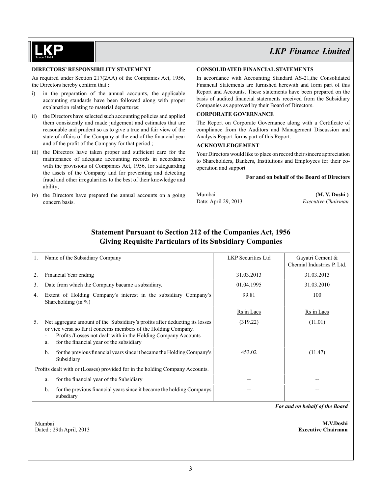### **DIRECTORS' RESPONSIBILITY STATEMENT**

As required under Section 217(2AA) of the Companies Act, 1956, the Directors hereby confirm that :

- i) in the preparation of the annual accounts, the applicable accounting standards have been followed along with proper explanation relating to material departures;
- ii) the Directors have selected such accounting policies and applied them consistently and made judgement and estimates that are reasonable and prudent so as to give a true and fair view of the state of affairs of the Company at the end of the financial year and of the profit of the Company for that period ;
- iii) the Directors have taken proper and sufficient care for the maintenance of adequate accounting records in accordance with the provisions of Companies Act, 1956, for safeguarding the assets of the Company and for preventing and detecting fraud and other irregularities to the best of their knowledge and ability;
- iv) the Directors have prepared the annual accounts on a going concern basis.

### **CONSOLIDATED FINANCIAL STATEMENTS**

In accordance with Accounting Standard AS-21,the Consolidated Financial Statements are furnished herewith and form part of this Report and Accounts. These statements have been prepared on the basis of audited financial statements received from the Subsidiary Companies as approved by their Board of Directors.

### **CORPORATE GOVERNANCE**

The Report on Corporate Governance along with a Certificate of compliance from the Auditors and Management Discussion and Analysis Report forms part of this Report.

### **ACKNOWLEDGEMENT**

Your Directors would like to place on record their sincere appreciation to Shareholders, Bankers, Institutions and Employees for their cooperation and support.

#### **For and on behalf of the Board of Directors**

Mumbai **(M. V. Doshi )** Date: April 29, 2013 *Executive Chairman*

## **Statement Pursuant to Section 212 of the Companies Act, 1956 Giving Requisite Particulars of its Subsidiary Companies**

|             | Name of the Subsidiary Company                                                                                                                                                                                                                                                                  | <b>LKP</b> Securities Ltd | Gayatri Cement &<br>Chemial Industries P. Ltd. |
|-------------|-------------------------------------------------------------------------------------------------------------------------------------------------------------------------------------------------------------------------------------------------------------------------------------------------|---------------------------|------------------------------------------------|
| $2_{\cdot}$ | Financial Year ending                                                                                                                                                                                                                                                                           | 31.03.2013                | 31.03.2013                                     |
| 3.          | Date from which the Company bacame a subsidiary.                                                                                                                                                                                                                                                | 01.04.1995                | 31.03.2010                                     |
| 4.          | Extent of Holding Company's interest in the subsidiary Company's<br>Shareholding (in $\%$ )                                                                                                                                                                                                     | 99.81                     | 100                                            |
|             |                                                                                                                                                                                                                                                                                                 | Rs in Lacs                | Rs in Lacs                                     |
| 5.          | Net aggregate amount of the Subsidiary's profits after deducting its losses<br>or vice versa so far it concerns members of the Holding Company.<br>Profits /Losses not dealt with in the Holding Company Accounts<br>$\overline{\phantom{a}}$<br>for the financial year of the subsidiary<br>a. | (319.22)                  | (11.01)                                        |
|             | for the previous financial years since it became the Holding Company's<br>b.<br>Subsidiary                                                                                                                                                                                                      | 453.02                    | (11.47)                                        |
|             | Profits dealt with or (Losses) provided for in the holding Company Accounts.                                                                                                                                                                                                                    |                           |                                                |
|             | for the financial year of the Subsidiary<br>a.                                                                                                                                                                                                                                                  |                           |                                                |
|             | for the previous financial years since it became the holding Companys<br>b.<br>subsdiary                                                                                                                                                                                                        |                           |                                                |

 Mumbai **M.V.Doshi** Dated : 29th April, 2013 **Executive Chairman**

*For and on behalf of the Board*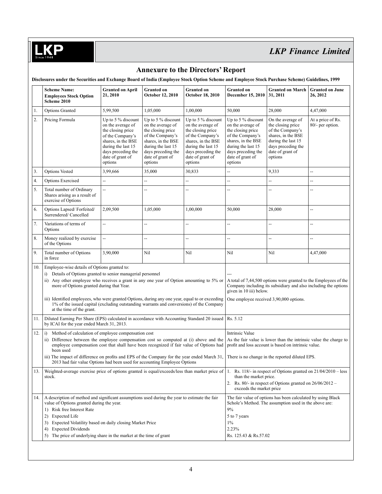# **Annexure to the Directors' Report**

**Disclosures under the Securities and Exchange Board of India (Employee Stock Option Scheme and Employee Stock Purchase Scheme) Guidelines, 1999**

|     | <b>Scheme Name:</b><br><b>Employees Stock Option</b><br>Scheme 2010                                                                                                                                                                                                                                                                                                                                                                                                               | <b>Granted on April</b><br>21, 2010                                                                                                                                                 | <b>Granted on</b><br>October 12, 2010                                                                                                                                               | <b>Granted on</b><br><b>October 18, 2010</b>                                                                                                                                       | <b>Granted</b> on<br>December 15, 2010                                                                                                                                               | <b>Granted on March</b><br>31, 2011                                                                                                                         | <b>Granted on June</b><br>26, 2012    |
|-----|-----------------------------------------------------------------------------------------------------------------------------------------------------------------------------------------------------------------------------------------------------------------------------------------------------------------------------------------------------------------------------------------------------------------------------------------------------------------------------------|-------------------------------------------------------------------------------------------------------------------------------------------------------------------------------------|-------------------------------------------------------------------------------------------------------------------------------------------------------------------------------------|------------------------------------------------------------------------------------------------------------------------------------------------------------------------------------|--------------------------------------------------------------------------------------------------------------------------------------------------------------------------------------|-------------------------------------------------------------------------------------------------------------------------------------------------------------|---------------------------------------|
| 1.  | <b>Options Granted</b>                                                                                                                                                                                                                                                                                                                                                                                                                                                            | 5,99,500                                                                                                                                                                            | 1,05,000                                                                                                                                                                            | 1,00,000                                                                                                                                                                           | 50,000                                                                                                                                                                               | 28,000                                                                                                                                                      | 4,47,000                              |
| 2.  | Pricing Formula                                                                                                                                                                                                                                                                                                                                                                                                                                                                   | Up to 5 $%$ discount<br>on the average of<br>the closing price<br>of the Company's<br>shares, in the BSE<br>during the last 15<br>days preceding the<br>date of grant of<br>options | Up to 5 $%$ discount<br>on the average of<br>the closing price<br>of the Company's<br>shares, in the BSE<br>during the last 15<br>days preceding the<br>date of grant of<br>options | Up to $5%$ discount<br>on the average of<br>the closing price<br>of the Company's<br>shares, in the BSE<br>during the last 15<br>days preceding the<br>date of grant of<br>options | Up to 5 $\%$ discount<br>on the average of<br>the closing price<br>of the Company's<br>shares, in the BSE<br>during the last 15<br>days preceding the<br>date of grant of<br>options | On the average of<br>the closing price<br>of the Company's<br>shares, in the BSE<br>during the last 15<br>days preceding the<br>date of grant of<br>options | At a price of Rs.<br>80/- per option. |
| 3.  | <b>Options Vested</b>                                                                                                                                                                                                                                                                                                                                                                                                                                                             | 3,99,666                                                                                                                                                                            | 35,000                                                                                                                                                                              | 30,833                                                                                                                                                                             | $\overline{a}$                                                                                                                                                                       | 9,333                                                                                                                                                       | $\overline{\phantom{a}}$              |
| 4.  | <b>Options Exercised</b>                                                                                                                                                                                                                                                                                                                                                                                                                                                          | $\overline{a}$                                                                                                                                                                      | --                                                                                                                                                                                  | --                                                                                                                                                                                 | $\overline{\phantom{a}}$                                                                                                                                                             | --                                                                                                                                                          | $\overline{a}$                        |
| 5.  | Total number of Ordinary<br>Shares arising as a result of<br>exercise of Options                                                                                                                                                                                                                                                                                                                                                                                                  | $\overline{\phantom{a}}$                                                                                                                                                            |                                                                                                                                                                                     | --                                                                                                                                                                                 | --                                                                                                                                                                                   | --                                                                                                                                                          | $\overline{\phantom{a}}$              |
| 6.  | Options Lapsed/Forfeited/<br>Surrendered/Cancelled                                                                                                                                                                                                                                                                                                                                                                                                                                | 2,09,500                                                                                                                                                                            | 1,05,000                                                                                                                                                                            | 1,00,000                                                                                                                                                                           | 50,000                                                                                                                                                                               | 28,000                                                                                                                                                      | $\overline{\phantom{a}}$              |
| 7.  | Variations of terms of<br>Options                                                                                                                                                                                                                                                                                                                                                                                                                                                 | --                                                                                                                                                                                  | $\overline{\phantom{a}}$                                                                                                                                                            | --                                                                                                                                                                                 | $\overline{\phantom{a}}$                                                                                                                                                             | --                                                                                                                                                          | $\overline{\phantom{a}}$              |
| 8.  | Money realized by exercise<br>of the Options                                                                                                                                                                                                                                                                                                                                                                                                                                      | $\overline{\phantom{a}}$                                                                                                                                                            | --                                                                                                                                                                                  | Ξ.                                                                                                                                                                                 | $\overline{\phantom{a}}$                                                                                                                                                             | --                                                                                                                                                          | $\overline{\phantom{a}}$              |
| 9.  | Total number of Options<br>in force                                                                                                                                                                                                                                                                                                                                                                                                                                               | 3,90,000                                                                                                                                                                            | Nil                                                                                                                                                                                 | Nil                                                                                                                                                                                | Nil                                                                                                                                                                                  | Nil                                                                                                                                                         | 4,47,000                              |
| 10. | Employee-wise details of Options granted to:<br>i) Details of Options granted to senior managerial personnel<br>ii) Any other employee who receives a grant in any one year of Option amounting to 5% or<br>more of Options granted during that Year.<br>iii) Identified employees, who were granted Options, during any one year, equal to or exceeding<br>1% of the issued capital (excluding outstanding warrants and conversions) of the Company<br>at the time of the grant. |                                                                                                                                                                                     |                                                                                                                                                                                     |                                                                                                                                                                                    | given in 10 iii) below.<br>One employee received 3,90,000 options.                                                                                                                   | A total of 7,44,500 options were granted to the Employees of the<br>Company including its subsidiary and also including the options                         |                                       |
| 11. | Diluted Earning Per Share (EPS) calculated in accordance with Accounting Standard 20 issued<br>by ICAI for the year ended March 31, 2013.                                                                                                                                                                                                                                                                                                                                         |                                                                                                                                                                                     |                                                                                                                                                                                     |                                                                                                                                                                                    | Rs. 5.12                                                                                                                                                                             |                                                                                                                                                             |                                       |
| 12. | i)<br>Method of calculation of employee compensation cost                                                                                                                                                                                                                                                                                                                                                                                                                         |                                                                                                                                                                                     |                                                                                                                                                                                     |                                                                                                                                                                                    | Intrinsic Value                                                                                                                                                                      |                                                                                                                                                             |                                       |
|     | ii) Difference between the employee compensation cost so computed at (i) above and the<br>employee compensation cost that shall have been recognized if fair value of Options had<br>been used                                                                                                                                                                                                                                                                                    |                                                                                                                                                                                     |                                                                                                                                                                                     |                                                                                                                                                                                    |                                                                                                                                                                                      | As the fair value is lower than the intrinsic value the charge to<br>profit and loss account is based on intrinsic value.                                   |                                       |
|     | iii) The impact of difference on profits and EPS of the Company for the year ended March 31,<br>2013 had fair value Options had been used for accounting Employee Options                                                                                                                                                                                                                                                                                                         |                                                                                                                                                                                     |                                                                                                                                                                                     |                                                                                                                                                                                    |                                                                                                                                                                                      | There is no change in the reported diluted EPS.                                                                                                             |                                       |
| 13. | Weighted-average exercise price of options granted is equal/exceeds/less than market price of 1. Rs. 118/- in respect of Options granted on 21/04/2010 - less<br>stock.                                                                                                                                                                                                                                                                                                           |                                                                                                                                                                                     |                                                                                                                                                                                     | than the market price.<br>exceeds the market price                                                                                                                                 | 2. Rs. 80/- in respect of Options granted on $26/06/2012$ -                                                                                                                          |                                                                                                                                                             |                                       |
| 14. | A description of method and significant assumptions used during the year to estimate the fair<br>value of Options granted during the year.<br>1) Risk free Interest Rate<br>2) Expected Life<br>3) Expected Volatility based on daily closing Market Price                                                                                                                                                                                                                        |                                                                                                                                                                                     |                                                                                                                                                                                     | $9\%$<br>5 to 7 years<br>$1\%$                                                                                                                                                     | The fair value of options has been calculated by using Black<br>Schole's Method. The assumption used in the above are:                                                               |                                                                                                                                                             |                                       |
|     | <b>Expected Dividends</b><br>4)                                                                                                                                                                                                                                                                                                                                                                                                                                                   |                                                                                                                                                                                     |                                                                                                                                                                                     |                                                                                                                                                                                    | 2.23%                                                                                                                                                                                |                                                                                                                                                             |                                       |
|     | 5) The price of underlying share in the market at the time of grant                                                                                                                                                                                                                                                                                                                                                                                                               |                                                                                                                                                                                     |                                                                                                                                                                                     |                                                                                                                                                                                    | Rs. 125.43 & Rs.57.02                                                                                                                                                                |                                                                                                                                                             |                                       |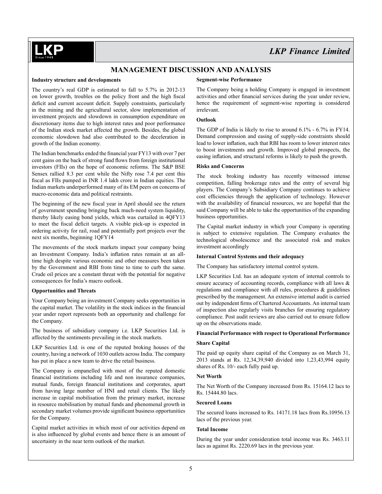## **MANAGEMENT DISCUSSION AND ANALYSIS**

### **Industry structure and developments**

The country's real GDP is estimated to fall to 5.7% in 2012-13 on lower growth, troubles on the policy front and the high fiscal deficit and current account deficit. Supply constraints, particularly in the mining and the agricultural sector, slow implementation of investment projects and slowdown in consumption expenditure on discretionary items due to high interest rates and poor performance of the Indian stock market affected the growth. Besides, the global economic slowdown had also contributed to the deceleration in growth of the Indian economy.

The Indian benchmarks ended the financial year FY13 with over 7 per cent gains on the back of strong fund flows from foreign institutional investors (FIIs) on the hope of economic reforms. The S&P BSE Sensex rallied 8.3 per cent while the Nifty rose 7.4 per cent this fiscal as FIIs pumped in INR 1.4 lakh crore in Indian equities. The Indian markets underperformed many of its EM peers on concerns of macro-economic data and political restraints.

The beginning of the new fiscal year in April should see the return of government spending bringing back much-need system liquidity, thereby likely easing bond yields, which was curtailed in 4QFY13 to meet the fiscal deficit targets. A visible pick-up is expected in ordering activity for rail, road and potentially port projects over the next six months, beginning 1QFY14

The movements of the stock markets impact your company being an Investment Company. India's inflation rates remain at an alltime high despite various economic and other measures been taken by the Government and RBI from time to time to curb the same. Crude oil prices are a constant threat with the potential for negative consequences for India's macro outlook.

#### **Opportunities and Threats**

Your Company being an investment Company seeks opportunities in the capital market. The volatility in the stock indices in the financial year under report represents both an opportunity and challenge for the Company.

The business of subsidiary company i.e. LKP Securities Ltd. is affected by the sentiments prevailing in the stock markets.

LKP Securities Ltd. is one of the reputed broking houses of the country, having a network of 1030 outlets across India. The company has put in place a new team to drive the retail business.

The Company is empanelled with most of the reputed domestic financial institutions including life and non insurance companies, mutual funds, foreign financial institutions and corporates, apart from having large number of HNI and retail clients. The likely increase in capital mobilisation from the primary market, increase in resource mobilisation by mutual funds and phenomenal growth in secondary market volumes provide significant business opportunities for the Company.

Capital market activities in which most of our activities depend on is also influenced by global events and hence there is an amount of uncertainty in the near term outlook of the market.

### **Segment-wise Performance**

The Company being a holding Company is engaged in investment activities and other financial services during the year under review, hence the requirement of segment-wise reporting is considered irrelevant.

#### **Outlook**

The GDP of India is likely to rise to around 6.1% - 6.7% in FY14. Demand compression and easing of supply-side constraints should lead to lower inflation, such that RBI has room to lower interest rates to boost investments and growth. Improved global prospects, the easing inflation, and structural reforms is likely to push the growth.

### **Risks and Concerns**

The stock broking industry has recently witnessed intense competition, falling brokerage rates and the entry of several big players. The Company's Subsidiary Company continues to achieve cost efficiencies through the application of technology. However with the availability of financial resources, we are hopeful that the said Company will be able to take the opportunities of the expanding business opportunities.

The Capital market industry in which your Company is operating is subject to extensive regulation. The Company evaluates the technological obsolescence and the associated risk and makes investment accordingly

#### **Internal Control Systems and their adequacy**

The Company has satisfactory internal control system.

LKP Securities Ltd. has an adequate system of internal controls to ensure accuracy of accounting records, compliance with all laws & regulations and compliance with all rules, procedures & guidelines prescribed by the management. An extensive internal audit is carried out by independent firms of Chartered Accountants. An internal team of inspection also regularly visits branches for ensuring regulatory compliance. Post audit reviews are also carried out to ensure follow up on the observations made.

### **Financial Performance with respect to Operational Performance**

#### **Share Capital**

The paid up equity share capital of the Company as on March 31, 2013 stands at Rs. 12,34,39,940 divided into 1,23,43,994 equity shares of Rs. 10/- each fully paid up.

### **Net worth**

The Net Worth of the Company increased from Rs. 15164.12 lacs to Rs. 15444.80 lacs.

### **Secured Loans**

The secured loans increased to Rs. 14171.18 lacs from Rs.10956.13 lacs of the previous year.

#### **Total Income**

During the year under consideration total income was Rs. 3463.11 lacs as against Rs. 2220.69 lacs in the previous year.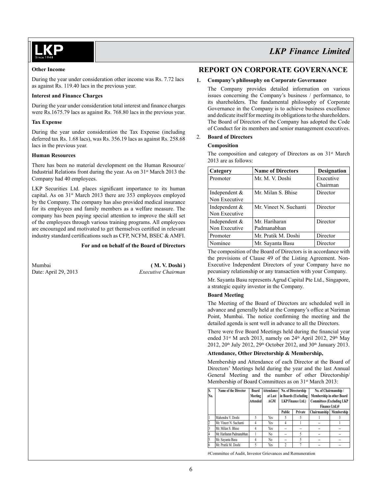

### **Other Income**

During the year under consideration other income was Rs. 7.72 lacs as against Rs. 119.40 lacs in the previous year.

### **Interest and Finance Charges**

During the year under consideration total interest and finance charges were Rs.1675.79 lacs as against Rs. 768.80 lacs in the previous year.

### **Tax Expense**

During the year under consideration the Tax Expense (including deferred tax Rs. 1.68 lacs), was Rs. 356.19 lacs as against Rs. 258.68 lacs in the previous year.

### **Human Resources**

There has been no material development on the Human Resource/ Industrial Relations front during the year. As on 31<sup>st</sup> March 2013 the Company had 40 employees.

LKP Securities Ltd. places significant importance to its human capital. As on 31<sup>st</sup> March 2013 there are 353 employees employed by the Company. The company has also provided medical insurance for its employees and family members as a welfare measure. The company has been paying special attention to improve the skill set of the employees through various training programs. All employees are encouraged and motivated to get themselves certified in relevant industry standard certifications such as CFP, NCFM, BSEC & AMFI.

### **For and on behalf of the Board of Directors**

| Mumbai               | (M. V. Doshi)      |
|----------------------|--------------------|
| Date: April 29, 2013 | Executive Chairman |

# *LKP Finance Limited*

# **REPORT ON CORPORATE GOVERNANCE**

### **1. Company's philosophy on Corporate Governance**

The Company provides detailed information on various issues concerning the Company's business / performance, to its shareholders. The fundamental philosophy of Corporate Governance in the Company is to achieve business excellence and dedicate itself for meeting its obligations to the shareholders. The Board of Directors of the Company has adopted the Code of Conduct for its members and senior management executives.

### 2. **Board of Directors**

### **Composition**

The composition and category of Directors as on 31<sup>st</sup> March 2013 are as follows:

| Category        | <b>Name of Directors</b> | <b>Designation</b> |
|-----------------|--------------------------|--------------------|
| Promoter        | Mr. M. V. Doshi          | Executive          |
|                 |                          | Chairman           |
| Independent $&$ | Mr. Milan S. Bhise       | Director           |
| Non Executive   |                          |                    |
| Independent $&$ | Mr. Vineet N. Suchanti   | Director           |
| Non Executive   |                          |                    |
| Independent $&$ | Mr. Hariharan            | Director           |
| Non Executive   | Padmanabhan              |                    |
| Promoter        | Mr. Pratik M. Doshi      | Director           |
| Nominee         | Mr. Sayanta Basu         | Director           |

The composition of the Board of Directors is in accordance with the provisions of Clause 49 of the Listing Agreement. Non-Executive Independent Directors of your Company have no pecuniary relationship or any transaction with your Company.

Mr. Sayanta Basu represents Agrud Capital Pte Ltd., Singapore, a strategic equity investor in the Company.

### **Board Meeting**

The Meeting of the Board of Directors are scheduled well in advance and generally held at the Company's office at Nariman Point, Mumbai. The notice confirming the meeting and the detailed agenda is sent well in advance to all the Directors.

There were five Board Meetings held during the financial year ended 31<sup>st</sup> M arch 2013, namely on 24<sup>th</sup> April 2012, 29<sup>th</sup> May 2012, 20<sup>th</sup> July 2012, 29<sup>th</sup> October 2012, and 30<sup>th</sup> January 2013.

### **Attendance, Other Directorship & Membership,**

Membership and Attendance of each Director at the Board of Directors' Meetings held during the year and the last Annual General Meeting and the number of other Directorship/ Membership of Board Committees as on 31<sup>st</sup> March 2013:

| No. | <b>Name of the Director</b> | Board<br>Meeting<br><b>Attended</b> | Attendance<br>at Last<br>AGM |               | No. of Directorship<br>in Boards (Excluding<br><b>LKP</b> Finance Ltd.) | No. of Chairmanship /<br>Membership in other Board<br><b>Committees (Excluding LKP</b><br>Finance Ltd.)# |            |
|-----|-----------------------------|-------------------------------------|------------------------------|---------------|-------------------------------------------------------------------------|----------------------------------------------------------------------------------------------------------|------------|
|     |                             |                                     |                              | <b>Public</b> | Private                                                                 | <b>Chairmanship</b>                                                                                      | Membership |
|     | Mahendra V. Doshi           |                                     | Yes                          |               |                                                                         |                                                                                                          |            |
|     | Mr. Vineet N. Suchanti      |                                     | Yes                          |               |                                                                         | --                                                                                                       |            |
|     | Mr. Milan S. Bhise          |                                     | Yes                          | --            |                                                                         | --                                                                                                       |            |
|     | Mr. Hariharan Padmanabhan   |                                     | No                           | --            |                                                                         | --                                                                                                       | --         |
|     | Mr. Sayanta Basu            |                                     | No                           | --            |                                                                         | --                                                                                                       | --         |
|     | Mr. Pratik M. Doshi         |                                     | Yes                          | ŋ,            |                                                                         | --                                                                                                       |            |

#Committee of Audit, Investor Grievances and Remuneration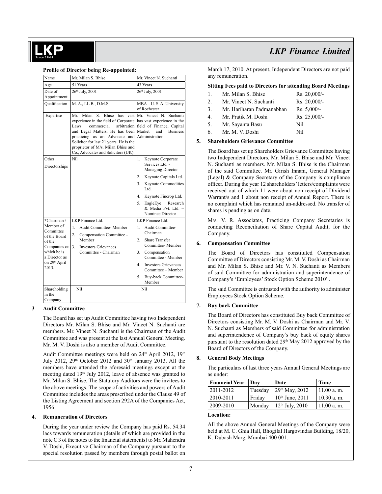#### **Profile of Director being Re-appointed:**

| Name                                               | Mr. Milan S. Bhise                                                                                                                                                                                                                                                                                                      | Mr. Vineet N. Suchanti                                                                                                                                                                                                                                        |
|----------------------------------------------------|-------------------------------------------------------------------------------------------------------------------------------------------------------------------------------------------------------------------------------------------------------------------------------------------------------------------------|---------------------------------------------------------------------------------------------------------------------------------------------------------------------------------------------------------------------------------------------------------------|
| Age                                                | 51 Years                                                                                                                                                                                                                                                                                                                | 43 Years                                                                                                                                                                                                                                                      |
| Date of                                            | 26th July, 2001                                                                                                                                                                                                                                                                                                         | 26th July, 2001                                                                                                                                                                                                                                               |
| Appointment                                        |                                                                                                                                                                                                                                                                                                                         |                                                                                                                                                                                                                                                               |
| Oualification                                      | M. A., LL.B., D.M.S.                                                                                                                                                                                                                                                                                                    | MBA-U.S.A. University<br>of Rochester                                                                                                                                                                                                                         |
| Expertise                                          | Milan<br>Mr.<br>experience in the field of Corporate has vast experience in the<br>commercial<br>Laws,<br>and Legal Matters. He has been Market<br>practicing as an Advocate and Administration.<br>Solicitor for last 21 years. He is the<br>proprietor of M/s. Milan Bhise and<br>Co., Advocates and Solicitors (UK). | S. Bhise has vast Mr. Vineet N. Suchanti<br>arbitration field of Finance, Capital<br><b>Business</b><br>and                                                                                                                                                   |
| Other<br>Directorships                             | Nil                                                                                                                                                                                                                                                                                                                     | Keynote Corporate<br>1.<br>Services Ltd. -<br>Managing Director<br>2.<br>Keynote Capitals Ltd.<br>3 <sub>1</sub><br><b>Keynote Commodities</b><br>Ltd.<br>4.<br>Keynote Fincrop Ltd.<br>5.<br>Research<br>EagleEye<br>& Media Pvt. Ltd. -<br>Nominee Director |
| *Chairman /                                        | LKP Finance Ltd.                                                                                                                                                                                                                                                                                                        | LKP Finance Ltd.                                                                                                                                                                                                                                              |
| Member of<br>Committee<br>of the Board             | Audit Committee- Member<br>$\mathbf{1}$ .<br>2.<br>Compensation Committee -                                                                                                                                                                                                                                             | Audit Committee-<br>1.<br>Chairman                                                                                                                                                                                                                            |
| Member<br>of the<br>Companies on<br>3 <sup>1</sup> | <b>Investors Grievances</b>                                                                                                                                                                                                                                                                                             | $2^{\circ}$<br><b>Share Transfer</b><br>Committee- Member                                                                                                                                                                                                     |
| which he is<br>a Director as                       | Committee - Chairman                                                                                                                                                                                                                                                                                                    | 3 <sub>1</sub><br>Compensation<br>Committee - Member                                                                                                                                                                                                          |
| on 29 <sup>th</sup> April<br>2013.                 |                                                                                                                                                                                                                                                                                                                         | <b>Investors Grievances</b><br>4 <sup>1</sup><br>Committee - Member                                                                                                                                                                                           |
|                                                    |                                                                                                                                                                                                                                                                                                                         | 5.<br>Buy-back Committee-<br>Member                                                                                                                                                                                                                           |
| Shareholding<br>in the<br>Company                  | Nil                                                                                                                                                                                                                                                                                                                     | Nil                                                                                                                                                                                                                                                           |

#### **3 Audit Committee**

The Board has set up Audit Committee having two Independent Directors Mr. Milan S. Bhise and Mr. Vineet N. Suchanti are members. Mr. Vineet N. Suchanti is the Chairman of the Audit Committee and was present at the last Annual General Meeting. Mr. M. V. Doshi is also a member of Audit Committee.

Audit Committee meetings were held on 24<sup>th</sup> April 2012, 19<sup>th</sup> July 2012,  $29<sup>th</sup>$  October 2012 and  $30<sup>th</sup>$  January 2013. All the members have attended the aforesaid meetings except at the meeting dated 19<sup>th</sup> July 2012, leave of absence was granted to Mr. Milan S. Bhise. The Statutory Auditors were the invitees to the above meetings. The scope of activities and powers of Audit Committee includes the areas prescribed under the Clause 49 of the Listing Agreement and section 292A of the Companies Act, 1956.

### **4. Remuneration of Directors**

During the year under review the Company has paid Rs. 54.34 lacs towards remuneration (details of which are provided in the note C 3 of the notes to the financial statements) to Mr. Mahendra V. Doshi, Executive Chairman of the Company pursuant to the special resolution passed by members through postal ballot on

# *LKP Finance Limited*

March 17, 2010. At present, Independent Directors are not paid any remuneration.

### **Sitting Fees paid to Directors for attending Board Meetings**

| 1.               | Mr. Milan S. Bhise        | $Rs. 20.000/-$ |
|------------------|---------------------------|----------------|
| $\overline{2}$ . | Mr. Vineet N. Suchanti    | $Rs. 20.000/-$ |
| 3.               | Mr. Hariharan Padmanabhan | $Rs. 5,000/-$  |

- 
- 4. Mr. Pratik M. Doshi Rs. 25,000/-
- 5. Mr. Sayanta Basu Nil
- 6. Mr. M. V. Doshi Nil

### **5. Shareholders Grievance Committee**

The Board has set up Shareholders Grievance Committee having two Independent Directors, Mr. Milan S. Bhise and Mr. Vineet N. Suchanti as members. Mr. Milan S. Bhise is the Chairman of the said Committee. Mr. Girish Innani, General Manager (Legal) & Company Secretary of the Company is compliance officer. During the year 12 shareholders' letters/complaints were received out of which 11 were about non receipt of Dividend Warrant/s and 1 about non receipt of Annual Report. There is no complaint which has remained un-addressed. No transfer of shares is pending as on date.

M/s. V. R. Associates, Practicing Company Secretaries is conducting Reconciliation of Share Capital Audit, for the Company.

#### **6. Compensation Committee**

The Board of Directors has constituted Compensation Committee of Directors consisting Mr. M. V. Doshi as Chairman and Mr. Milan S. Bhise and Mr. V. N. Suchanti as Members of said Committee for administration and superintendence of Company's 'Employees' Stock Option Scheme 2010' .

The said Committee is entrusted with the authority to administer Employees Stock Option Scheme.

### **7. Buy back Committee**

The Board of Directors has constituted Buy back Committee of Directors consisting Mr. M. V. Doshi as Chairman and Mr. V. N. Suchanti as Members of said Committee for administration and superintendence of Company's buy back of equity shares pursuant to the resolution dated 29<sup>th</sup> May 2012 approved by the Board of Directors of the Company.

### **8. General Body Meetings**

The particulars of last three years Annual General Meetings are as under:

| <b>Financial Year   Day</b> |         | Date                       | Time         |
|-----------------------------|---------|----------------------------|--------------|
| 2011-2012                   | Tuesday | 29 <sup>th</sup> May, 2012 | 11.00 a.m.   |
| 2010-2011                   | Friday  | $10^{th}$ June, $2011$     | 10.30 a. m.  |
| 2009-2010                   | Monday  | $12th$ July, $2010$        | $11.00$ a.m. |

### **Location:**

All the above Annual General Meetings of the Company were held at M. C. Ghia Hall, Bhogilal Hargovindas Building, 18/20, K. Dubash Marg, Mumbai 400 001.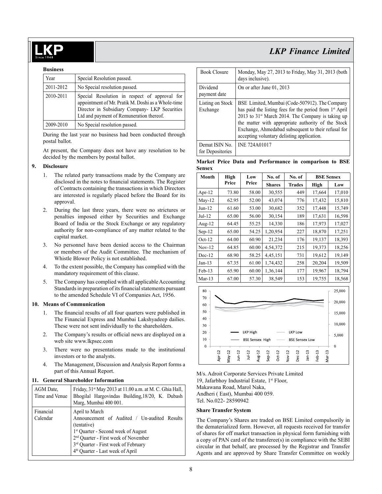#### **Business**

| Year      | Special Resolution passed.                                                                                                                                                                        |
|-----------|---------------------------------------------------------------------------------------------------------------------------------------------------------------------------------------------------|
| 2011-2012 | No Special resolution passed.                                                                                                                                                                     |
| 2010-2011 | Special Resolution in respect of approval for<br>appointment of Mr. Pratik M. Doshi as a Whole-time<br>Director in Subsidiary Company- LKP Securities<br>Ltd and payment of Remuneration thereof. |
| 2009-2010 | No Special resolution passed.                                                                                                                                                                     |

During the last year no business had been conducted through postal ballot.

At present, the Company does not have any resolution to be decided by the members by postal ballot.

#### **9. Disclosure**

- 1. The related party transactions made by the Company are disclosed in the notes to financial statements. The Register of Contracts containing the transactions in which Directors are interested is regularly placed before the Board for its approval.
- 2. During the last three years, there were no strictures or penalties imposed either by Securities and Exchange Board of India or the Stock Exchange or any regulatory authority for non-compliance of any matter related to the capital market.
- 3. No personnel have been denied access to the Chairman or members of the Audit Committee. The mechanism of Whistle Blower Policy is not established.
- 4. To the extent possible, the Company has complied with the mandatory requirement of this clause.
- 5. The Company has complied with all applicable Accounting Standards in preparation of its financial statements pursuant to the amended Schedule VI of Companies Act, 1956.

#### **10. Means of Communication**

- 1. The financial results of all four quarters were published in The Financial Express and Mumbai Lakshyadeep dailies. These were not sent individually to the shareholders.
- 2. The Company's results or official news are displayed on a web site www.lkpsec.com
- 3. There were no presentations made to the institutional investors or to the analysts.
- 4. The Management, Discussion and Analysis Report forms a part of this Annual Report.

### **11. General Shareholder Information**

| AGM Date.<br>Time and Venue | Friday, 31 <sup>st</sup> May 2013 at 11.00 a.m. at M. C. Ghia Hall,<br>Bhogilal Hargovindas Building, 18/20, K. Dubash<br>Marg, Mumbai 400 001.                                                                                                                             |
|-----------------------------|-----------------------------------------------------------------------------------------------------------------------------------------------------------------------------------------------------------------------------------------------------------------------------|
| Financial<br>Calendar       | April to March<br>Announcement of Audited / Un-audited Results<br>(tentative)<br><sup>1st</sup> Quarter - Second week of August<br>2 <sup>nd</sup> Quarter - First week of November<br>3rd Quarter - First week of February<br>4 <sup>th</sup> Quarter - Last week of April |

| <b>Book Closure</b>                | Monday, May 27, 2013 to Friday, May 31, 2013 (both<br>days inclusive).                                                                                                                                                                                                                                                                            |
|------------------------------------|---------------------------------------------------------------------------------------------------------------------------------------------------------------------------------------------------------------------------------------------------------------------------------------------------------------------------------------------------|
| Dividend<br>payment date           | On or after June 01, 2013                                                                                                                                                                                                                                                                                                                         |
| Listing on Stock<br>Exchange       | BSE Limited, Mumbai (Code-507912). The Company<br>has paid the listing fees for the period from 1 <sup>st</sup> April<br>2013 to 31 <sup>st</sup> March 2014. The Company is taking up<br>the matter with appropriate authority of the Stock<br>Exchange, Ahmedabad subsequent to their refusal for<br>accepting voluntary delisting application. |
| Demat ISIN No.<br>for Depositories | <b>INE 724A01017</b>                                                                                                                                                                                                                                                                                                                              |

### **Market Price Data and Performance in comparison to BSE Sensex**

| Month     | High  |       | No. of        | No. of        | <b>BSE Sensex</b> |        |
|-----------|-------|-------|---------------|---------------|-------------------|--------|
|           | Price | Price | <b>Shares</b> | <b>Trades</b> | High              | Low    |
| Apr- $12$ | 73.80 | 58.00 | 30,555        | 449           | 17,664            | 17,010 |
| $Mav-12$  | 62.95 | 52.00 | 43,074        | 776           | 17,432            | 15,810 |
| $Jun-12$  | 61.60 | 53.00 | 30,682        | 352           | 17,448            | 15,749 |
| $Jul-12$  | 65.00 | 56.00 | 30,154        | 189           | 17,631            | 16,598 |
| Aug- $12$ | 64.45 | 55.25 | 14,330        | 186           | 17,973            | 17,027 |
| $Sep-12$  | 65.00 | 54.25 | 1,20,954      | 227           | 18,870            | 17,251 |
| $Oct-12$  | 64.00 | 60.90 | 21,234        | 176           | 19,137            | 18,393 |
| $Nov-12$  | 64.85 | 60.00 | 4,54,372      | 215           | 19,373            | 18,256 |
| $Dec-12$  | 68.90 | 58.25 | 4,45,151      | 731           | 19,612            | 19,149 |
| $Jan-13$  | 67.35 | 61.00 | 1,74,432      | 258           | 20,204            | 19,509 |
| $Feb-13$  | 65.90 | 60.00 | 1,36,144      | 177           | 19,967            | 18,794 |
| $Mar-13$  | 67.00 | 57.30 | 38,549        | 153           | 19,755            | 18,568 |



M/s. Adroit Corporate Services Private Limited 19, Jafarbhoy Industrial Estate, 1<sup>st</sup> Floor, Makawana Road, Marol Naka, Andheri ( East), Mumbai 400 059. Tel. No.022- 28590942

#### **Share Transfer System**

The Company's Shares are traded on BSE Limited compulsorily in the dematerialized form. However, all requests received for transfer of shares for off market transaction in physical form furnishing with a copy of PAN card of the transferee(s) in compliance with the SEBI circular in that behalf, are processed by the Registrar and Transfer Agents and are approved by Share Transfer Committee on weekly

# *LKP Finance Limited*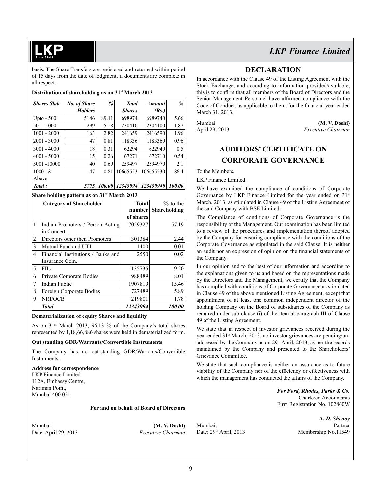### basis. The Share Transfers are registered and returned within period of 15 days from the date of lodgment, if documents are complete in all respect.

### **Distribution of shareholding as on 31st March 2013**

| <b>Shares Slab</b> | No. of Share   | %      | <b>Total</b>  | <b>Amount</b> | $\%$   |
|--------------------|----------------|--------|---------------|---------------|--------|
|                    | <b>Holders</b> |        | <b>Shares</b> | (Rs.)         |        |
| Upto - $500$       | 5146           | 89.11  | 698974        | 6989740       | 5.66   |
| $501 - 1000$       | 299            | 5.18   | 230410        | 2304100       | 1.87   |
| $1001 - 2000$      | 163            | 2.82   | 241659        | 2416590       | 1.96   |
| $2001 - 3000$      | 47             | 0.81   | 118336        | 1183360       | 0.96   |
| $3001 - 4000$      | 18             | 0.31   | 62294         | 622940        | 0.5    |
| $4001 - 5000$      | 15             | 0.26   | 67271         | 672710        | 0.54   |
| 5001-10000         | 40             | 0.69   | 259497        | 2594970       | 2.1    |
| 10001 &            | 47             | 0.81   | 10665553      | 106655530     | 86.4   |
| Above              |                |        |               |               |        |
| Total:             | 5775           | 100.00 | 12343994      | 123439940     | 100.00 |

### **Share holding pattern as on 31st March 2013**

|   | <b>Category of Shareholder</b>     | <b>Total</b> | $%$ to the    |
|---|------------------------------------|--------------|---------------|
|   |                                    | number       | Shareholding  |
|   |                                    | of shares    |               |
| 1 | Indian Promoters / Person Acting   | 7059327      | 57.19         |
|   | in Concert                         |              |               |
| 2 | Directors other then Promoters     | 301384       | 2.44          |
| 3 | Mutual Fund and UTI                | 1400         | 0.01          |
| 4 | Financial Institutions / Banks and | 2550         | 0.02          |
|   | Insurance Com.                     |              |               |
| 5 | <b>FIIs</b>                        | 1135735      | 9.20          |
| 6 | Private Corporate Bodies           | 988489       | 8.01          |
| 7 | <b>Indian Public</b>               | 1907819      | 15.46         |
| 8 | Foreign Corporate Bodies           | 727489       | 5.89          |
| 9 | NRI/OCB                            | 219801       | 1.78          |
|   | <b>Total</b>                       | 12343994     | <i>100.00</i> |

### **Dematerialization of equity Shares and liquidity**

As on  $31<sup>st</sup>$  March 2013, 96.13 % of the Company's total shares represented by 1,18,66,886 shares were held in dematerialized form.

### **Out standing GDR/Warrants/Convertible Instruments**

The Company has no out-standing GDR/Warrants/Convertible **Instruments** 

#### **Address for correspondence**

LKP Finance Limited 112A, Embassy Centre, Nariman Point, Mumbai 400 021

#### **For and on behalf of Board of Directors**

Mumbai **(M. V. Doshi)**  Date: April 29, 2013 *Executive Chairman*

*LKP Finance Limited*

## **DECLARATION**

In accordance with the Clause 49 of the Listing Agreement with the Stock Exchange, and according to information provided/available, this is to confirm that all members of the Board of Directors and the Senior Management Personnel have affirmed compliance with the Code of Conduct, as applicable to them, for the financial year ended March 31, 2013.

Mumbai (**M. V. Doshi)** April 29, 2013 *Executive Chairman* 

# **AUDITORS' CERTIFICATE ON CORPORATE GOVERNANCE**

To the Members,

LKP Finance Limited

We have examined the compliance of conditions of Corporate Governance by LKP Finance Limited for the year ended on 31<sup>st</sup> March, 2013, as stipulated in Clause 49 of the Listing Agreement of the said Company with BSE Limited.

The Compliance of conditions of Corporate Governance is the responsibility of the Management. Our examination has been limited to a review of the procedures and implementation thereof adopted by the Company for ensuring compliance with the conditions of the Corporate Governance as stipulated in the said Clause. It is neither an audit nor an expression of opinion on the financial statements of the Company.

In our opinion and to the best of our information and according to the explanations given to us and based on the representations made by the Directors and the Management, we certify that the Company has complied with conditions of Corporate Governance as stipulated in Clause 49 of the above mentioned Listing Agreement, except that appointment of at least one common independent director of the holding Company on the Board of subsidiaries of the Company as required under sub-clause (i) of the item at paragraph III of Clause 49 of the Listing Agreement.

We state that in respect of investor grievances received during the year ended 31<sup>st</sup> March, 2013, no investor grievances are pending/unaddressed by the Company as on 29<sup>th</sup> April, 2013, as per the records maintained by the Company and presented to the Shareholders' Grievance Committee.

We state that such compliance is neither an assurance as to future viability of the Company nor of the efficiency or effectiveness with which the management has conducted the affairs of the Company.

> *For Ford, Rhodes, Parks & Co.* Chartered Accountants Firm Registration No. 102860W

Mumbai, Partner<br>
Date: 29<sup>th</sup> April, 2013 Membership No.11549

**A.** *D. Shenoy* Membership No.11549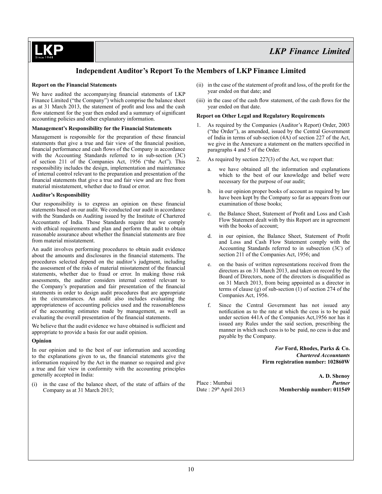# **Independent Auditor's Report To the Members of LKP Finance Limited**

### **Report on the Financial Statements**

We have audited the accompanying financial statements of LKP Finance Limited ("the Company") which comprise the balance sheet as at 31 March 2013, the statement of profit and loss and the cash flow statement for the year then ended and a summary of significant accounting policies and other explanatory information.

### **Management's Responsibility for the Financial Statements**

Management is responsible for the preparation of these financial statements that give a true and fair view of the financial position, financial performance and cash flows of the Company in accordance with the Accounting Standards referred to in sub-section (3C) of section 211 of the Companies Act, 1956 ("the Act"). This responsibility includes the design, implementation and maintenance of internal control relevant to the preparation and presentation of the financial statements that give a true and fair view and are free from material misstatement, whether due to fraud or error.

#### **Auditor's Responsibility**

Our responsibility is to express an opinion on these financial statements based on our audit. We conducted our audit in accordance with the Standards on Auditing issued by the Institute of Chartered Accountants of India. Those Standards require that we comply with ethical requirements and plan and perform the audit to obtain reasonable assurance about whether the financial statements are free from material misstatement.

An audit involves performing procedures to obtain audit evidence about the amounts and disclosures in the financial statements. The procedures selected depend on the auditor's judgment, including the assessment of the risks of material misstatement of the financial statements, whether due to fraud or error. In making those risk assessments, the auditor considers internal control relevant to the Company's preparation and fair presentation of the financial statements in order to design audit procedures that are appropriate in the circumstances. An audit also includes evaluating the appropriateness of accounting policies used and the reasonableness of the accounting estimates made by management, as well as evaluating the overall presentation of the financial statements.

We believe that the audit evidence we have obtained is sufficient and appropriate to provide a basis for our audit opinion.

### **Opinion**

In our opinion and to the best of our information and according to the explanations given to us, the financial statements give the information required by the Act in the manner so required and give a true and fair view in conformity with the accounting principles generally accepted in India:

(i) in the case of the balance sheet, of the state of affairs of the Company as at 31 March 2013;

- (ii) in the case of the statement of profit and loss, of the profit for the year ended on that date; and
- (iii) in the case of the cash flow statement, of the cash flows for the year ended on that date.

### **Report on Other Legal and Regulatory Requirements**

- 1. As required by the Companies (Auditor's Report) Order, 2003 ("the Order"), as amended, issued by the Central Government of India in terms of sub-section (4A) of section 227 of the Act, we give in the Annexure a statement on the matters specified in paragraphs 4 and 5 of the Order.
- 2. As required by section 227(3) of the Act, we report that:
	- we have obtained all the information and explanations which to the best of our knowledge and belief were necessary for the purpose of our audit;
	- b. in our opinion proper books of account as required by law have been kept by the Company so far as appears from our examination of those books;
	- the Balance Sheet, Statement of Profit and Loss and Cash Flow Statement dealt with by this Report are in agreement with the books of account;
	- d. in our opinion, the Balance Sheet, Statement of Profit and Loss and Cash Flow Statement comply with the Accounting Standards referred to in subsection (3C) of section 211 of the Companies Act, 1956; and
	- e. on the basis of written representations received from the directors as on 31 March 2013, and taken on record by the Board of Directors, none of the directors is disqualified as on 31 March 2013, from being appointed as a director in terms of clause (g) of sub-section (1) of section 274 of the Companies Act, 1956.
	- f. Since the Central Government has not issued any notification as to the rate at which the cess is to be paid under section 441A of the Companies Act,1956 nor has it issued any Rules under the said section, prescribing the manner in which such cess is to be paid, no cess is due and payable by the Company.

*For* **Ford, Rhodes, Parks & Co.** *Chartered Accountants* **Firm registration number: 102860W**

**A. D. Shenoy** Place : Mumbai *Partner* Date : 29<sup>th</sup> April 2013 **Membership number: 011549**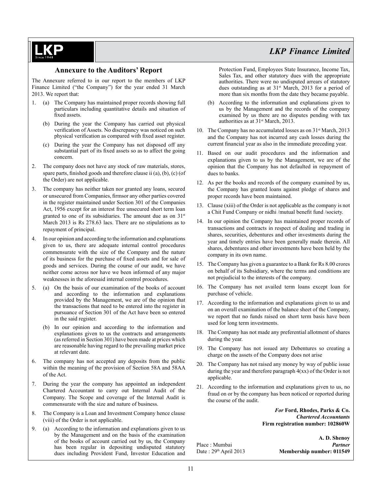### **Annexure to the Auditors' Report**

The Annexure referred to in our report to the members of LKP Finance Limited ("the Company") for the year ended 31 March 2013. We report that:

- 1. (a) The Company has maintained proper records showing full particulars including quantitative details and situation of fixed assets.
	- (b) During the year the Company has carried out physical verification of Assets. No discrepancy was noticed on such physical verification as compared with fixed asset register.
	- (c) During the year the Company has not disposed off any substantial part of its fixed assets so as to affect the going concern.
- 2. The company does not have any stock of raw materials, stores, spare parts, finished goods and therefore clause ii (a), (b), (c) (of the Order) are not applicable.
- 3. The company has neither taken nor granted any loans, secured or unsecured from Companies, firmsor any other parties covered in the register maintained under Section 301 of the Companies Act, 1956 except for an interest free unsecured short term loan granted to one of its subsidiaries. The amount due as on  $31<sup>st</sup>$ March 2013 is Rs 278.63 lacs. There are no stipulations as to repayment of principal.
- 4. In our opinion and according to the information and explanations given to us, there are adequate internal control procedures commensurate with the size of the Company and the nature of its business for the purchase of fixed assets and for sale of goods and services. During the course of our audit, we have neither come across nor have we been informed of any major weaknesses in the aforesaid internal control procedures.
- 5. (a) On the basis of our examination of the books of account and according to the information and explanations provided by the Management, we are of the opinion that the transactions that need to be entered into the register in pursuance of Section 301 of the Act have been so entered in the said register.
	- (b) In our opinion and according to the information and explanations given to us the contracts and arrangements (as referred in Section 301) have been made at prices which are reasonable having regard to the prevailing market price at relevant date.
- 6. The company has not accepted any deposits from the public within the meaning of the provision of Section 58A and 58AA of the Act.
- 7. During the year the company has appointed an independent Chartered Accountant to carry out Internal Audit of the Company. The Scope and coverage of the Internal Audit is commensurate with the size and nature of business.
- 8. The Company is a Loan and Investment Company hence clause (viii) of the Order is not applicable.
- 9. (a) According to the information and explanations given to us by the Management and on the basis of the examination of the books of account carried out by us, the Company has been regular in depositing undisputed statutory dues including Provident Fund, Investor Education and

Protection Fund, Employees State Insurance, Income Tax, Sales Tax, and other statutory dues with the appropriate authorities. There were no undisputed arrears of statutory dues outstanding as at 31<sup>st</sup> March, 2013 for a period of more than six months from the date they became payable.

- (b) According to the information and explanations given to us by the Management and the records of the company examined by us there are no disputes pending with tax authorities as at 31st March, 2013.
- 10. The Company has no accumulated losses as on  $31<sup>st</sup>$  March, 2013 and the Company has not incurred any cash losses during the current financial year as also in the immediate preceding year.
- 11. Based on our audit procedures and the information and explanations given to us by the Management, we are of the opinion that the Company has not defaulted in repayment of dues to banks.
- 12. As per the books and records of the company examined by us, the Company has granted loans against pledge of shares and proper records have been maintained.
- 13. Clause (xiii) of the Order is not applicable as the company is not a Chit Fund Company or nidhi /mutual benefit fund /society.
- 14. In our opinion the Company has maintained proper records of transactions and contracts in respect of dealing and trading in shares, securities, debentures and other investments during the year and timely entries have been generally made therein. All shares, debentures and other investments have been held by the company in its own name.
- 15. The Company has given a guarantee to a Bank for Rs 8.00 crores on behalf of its Subsidiary, where the terms and conditions are not prejudicial to the interests of the company.
- 16. The Company has not availed term loans except loan for purchase of vehicle.
- 17. According to the information and explanations given to us and on an overall examination of the balance sheet of the Company, we report that no funds raised on short term basis have been used for long term investments.
- 18. The Company has not made any preferential allotment of shares during the year.
- 19. The Company has not issued any Debentures so creating a charge on the assets of the Company does not arise
- 20. The Company has not raised any money by way of public issue during the year and therefore paragraph 4(xx) of the Order is not applicable.
- 21. According to the information and explanations given to us, no fraud on or by the company has been noticed or reported during the course of the audit.

*For* **Ford, Rhodes, Parks & Co.** *Chartered Accountants* **Firm registration number: 102860W**

**A. D. Shenoy** Place : Mumbai *Partner* Date : 29<sup>th</sup> April 2013 **Membership number: 011549**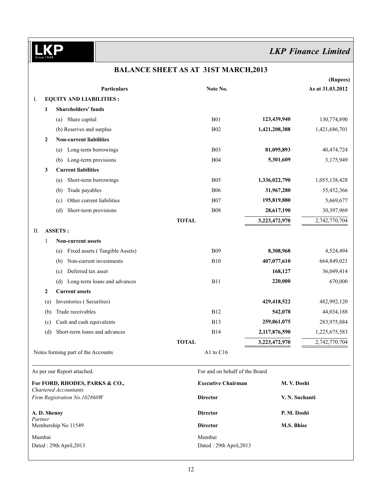| <b>Particulars</b><br>Note No.<br><b>EQUITY AND LIABILITIES:</b><br>Ι.<br><b>Shareholders' funds</b><br>1<br><b>B01</b><br>Share capital<br>123,439,940<br>(a)<br><b>B02</b><br>1,421,208,388<br>(b) Reserves and surplus<br><b>Non-current liabilities</b><br>$\boldsymbol{2}$<br>Long-term borrowings<br><b>B03</b><br>81,095,893<br>(a)<br><b>B04</b><br>Long-term provisions<br>5,301,609<br>(b)<br><b>Current liabilities</b><br>3<br><b>B05</b><br>Short-term borrowings<br>1,336,022,790<br>(a)<br>Trade payables<br><b>B06</b><br>31,967,280<br>(b)<br><b>B07</b><br>195,819,880<br>Other current liabilities<br>(c)<br>Short-term provisions<br><b>B08</b><br>28,617,190<br>(d)<br><b>TOTAL</b><br>3,223,472,970<br><b>ASSETS:</b><br>П.<br><b>Non-current assets</b><br>1<br><b>B09</b><br>Fixed assets (Tangible Assets)<br>8,308,968<br>(a)<br>Non-current investments<br><b>B10</b><br>407,077,610<br>(b)<br>Deferred tax asset<br>168,127<br>(c)<br><b>B11</b><br>Long-term loans and advances<br>220,000<br>(d)<br>2<br><b>Current assets</b><br>429,418,522<br>Inventories (Securities)<br>(a)<br>Trade receivables<br><b>B12</b><br>542,078<br>(b)<br>Cash and cash equivalents<br><b>B13</b><br>259,861,075<br>(c)<br>Short-term loans and advances<br><b>B14</b><br>2,117,876,590<br>(d)<br><b>TOTAL</b><br>3,223,472,970<br>A1 to C16<br>Notes forming part of the Accounts<br>For and on behalf of the Board<br>As per our Report attached.<br><b>Executive Chairman</b><br>M. V. Doshi<br>For FORD, RHODES, PARKS & CO.,<br><b>Chartered Accountants</b><br>Firm Registration No.102860W<br><b>Director</b><br>V. N. Suchanti<br>A. D. Shenoy<br><b>Director</b><br>P. M. Doshi<br>Partner<br>Membership No 11549<br><b>Director</b><br><b>M.S. Bhise</b> |  |  |  | (Rupees)         |
|---------------------------------------------------------------------------------------------------------------------------------------------------------------------------------------------------------------------------------------------------------------------------------------------------------------------------------------------------------------------------------------------------------------------------------------------------------------------------------------------------------------------------------------------------------------------------------------------------------------------------------------------------------------------------------------------------------------------------------------------------------------------------------------------------------------------------------------------------------------------------------------------------------------------------------------------------------------------------------------------------------------------------------------------------------------------------------------------------------------------------------------------------------------------------------------------------------------------------------------------------------------------------------------------------------------------------------------------------------------------------------------------------------------------------------------------------------------------------------------------------------------------------------------------------------------------------------------------------------------------------------------------------------------------------------------------------------------------------------------------------------------------------------|--|--|--|------------------|
|                                                                                                                                                                                                                                                                                                                                                                                                                                                                                                                                                                                                                                                                                                                                                                                                                                                                                                                                                                                                                                                                                                                                                                                                                                                                                                                                                                                                                                                                                                                                                                                                                                                                                                                                                                                 |  |  |  | As at 31.03.2012 |
|                                                                                                                                                                                                                                                                                                                                                                                                                                                                                                                                                                                                                                                                                                                                                                                                                                                                                                                                                                                                                                                                                                                                                                                                                                                                                                                                                                                                                                                                                                                                                                                                                                                                                                                                                                                 |  |  |  |                  |
|                                                                                                                                                                                                                                                                                                                                                                                                                                                                                                                                                                                                                                                                                                                                                                                                                                                                                                                                                                                                                                                                                                                                                                                                                                                                                                                                                                                                                                                                                                                                                                                                                                                                                                                                                                                 |  |  |  |                  |
|                                                                                                                                                                                                                                                                                                                                                                                                                                                                                                                                                                                                                                                                                                                                                                                                                                                                                                                                                                                                                                                                                                                                                                                                                                                                                                                                                                                                                                                                                                                                                                                                                                                                                                                                                                                 |  |  |  | 130,774,890      |
|                                                                                                                                                                                                                                                                                                                                                                                                                                                                                                                                                                                                                                                                                                                                                                                                                                                                                                                                                                                                                                                                                                                                                                                                                                                                                                                                                                                                                                                                                                                                                                                                                                                                                                                                                                                 |  |  |  | 1,421,686,701    |
|                                                                                                                                                                                                                                                                                                                                                                                                                                                                                                                                                                                                                                                                                                                                                                                                                                                                                                                                                                                                                                                                                                                                                                                                                                                                                                                                                                                                                                                                                                                                                                                                                                                                                                                                                                                 |  |  |  |                  |
|                                                                                                                                                                                                                                                                                                                                                                                                                                                                                                                                                                                                                                                                                                                                                                                                                                                                                                                                                                                                                                                                                                                                                                                                                                                                                                                                                                                                                                                                                                                                                                                                                                                                                                                                                                                 |  |  |  | 40,474,724       |
|                                                                                                                                                                                                                                                                                                                                                                                                                                                                                                                                                                                                                                                                                                                                                                                                                                                                                                                                                                                                                                                                                                                                                                                                                                                                                                                                                                                                                                                                                                                                                                                                                                                                                                                                                                                 |  |  |  | 3,175,949        |
|                                                                                                                                                                                                                                                                                                                                                                                                                                                                                                                                                                                                                                                                                                                                                                                                                                                                                                                                                                                                                                                                                                                                                                                                                                                                                                                                                                                                                                                                                                                                                                                                                                                                                                                                                                                 |  |  |  |                  |
|                                                                                                                                                                                                                                                                                                                                                                                                                                                                                                                                                                                                                                                                                                                                                                                                                                                                                                                                                                                                                                                                                                                                                                                                                                                                                                                                                                                                                                                                                                                                                                                                                                                                                                                                                                                 |  |  |  | 1,055,138,428    |
|                                                                                                                                                                                                                                                                                                                                                                                                                                                                                                                                                                                                                                                                                                                                                                                                                                                                                                                                                                                                                                                                                                                                                                                                                                                                                                                                                                                                                                                                                                                                                                                                                                                                                                                                                                                 |  |  |  | 55,452,366       |
|                                                                                                                                                                                                                                                                                                                                                                                                                                                                                                                                                                                                                                                                                                                                                                                                                                                                                                                                                                                                                                                                                                                                                                                                                                                                                                                                                                                                                                                                                                                                                                                                                                                                                                                                                                                 |  |  |  | 5,669,677        |
|                                                                                                                                                                                                                                                                                                                                                                                                                                                                                                                                                                                                                                                                                                                                                                                                                                                                                                                                                                                                                                                                                                                                                                                                                                                                                                                                                                                                                                                                                                                                                                                                                                                                                                                                                                                 |  |  |  | 30,397,969       |
|                                                                                                                                                                                                                                                                                                                                                                                                                                                                                                                                                                                                                                                                                                                                                                                                                                                                                                                                                                                                                                                                                                                                                                                                                                                                                                                                                                                                                                                                                                                                                                                                                                                                                                                                                                                 |  |  |  | 2,742,770,704    |
|                                                                                                                                                                                                                                                                                                                                                                                                                                                                                                                                                                                                                                                                                                                                                                                                                                                                                                                                                                                                                                                                                                                                                                                                                                                                                                                                                                                                                                                                                                                                                                                                                                                                                                                                                                                 |  |  |  |                  |
|                                                                                                                                                                                                                                                                                                                                                                                                                                                                                                                                                                                                                                                                                                                                                                                                                                                                                                                                                                                                                                                                                                                                                                                                                                                                                                                                                                                                                                                                                                                                                                                                                                                                                                                                                                                 |  |  |  |                  |
|                                                                                                                                                                                                                                                                                                                                                                                                                                                                                                                                                                                                                                                                                                                                                                                                                                                                                                                                                                                                                                                                                                                                                                                                                                                                                                                                                                                                                                                                                                                                                                                                                                                                                                                                                                                 |  |  |  | 4,524,494        |
|                                                                                                                                                                                                                                                                                                                                                                                                                                                                                                                                                                                                                                                                                                                                                                                                                                                                                                                                                                                                                                                                                                                                                                                                                                                                                                                                                                                                                                                                                                                                                                                                                                                                                                                                                                                 |  |  |  | 664,849,021      |
|                                                                                                                                                                                                                                                                                                                                                                                                                                                                                                                                                                                                                                                                                                                                                                                                                                                                                                                                                                                                                                                                                                                                                                                                                                                                                                                                                                                                                                                                                                                                                                                                                                                                                                                                                                                 |  |  |  | 36,049,414       |
|                                                                                                                                                                                                                                                                                                                                                                                                                                                                                                                                                                                                                                                                                                                                                                                                                                                                                                                                                                                                                                                                                                                                                                                                                                                                                                                                                                                                                                                                                                                                                                                                                                                                                                                                                                                 |  |  |  | 670,000          |
|                                                                                                                                                                                                                                                                                                                                                                                                                                                                                                                                                                                                                                                                                                                                                                                                                                                                                                                                                                                                                                                                                                                                                                                                                                                                                                                                                                                                                                                                                                                                                                                                                                                                                                                                                                                 |  |  |  |                  |
|                                                                                                                                                                                                                                                                                                                                                                                                                                                                                                                                                                                                                                                                                                                                                                                                                                                                                                                                                                                                                                                                                                                                                                                                                                                                                                                                                                                                                                                                                                                                                                                                                                                                                                                                                                                 |  |  |  | 482,992,120      |
|                                                                                                                                                                                                                                                                                                                                                                                                                                                                                                                                                                                                                                                                                                                                                                                                                                                                                                                                                                                                                                                                                                                                                                                                                                                                                                                                                                                                                                                                                                                                                                                                                                                                                                                                                                                 |  |  |  | 44,034,188       |
|                                                                                                                                                                                                                                                                                                                                                                                                                                                                                                                                                                                                                                                                                                                                                                                                                                                                                                                                                                                                                                                                                                                                                                                                                                                                                                                                                                                                                                                                                                                                                                                                                                                                                                                                                                                 |  |  |  | 283,975,884      |
|                                                                                                                                                                                                                                                                                                                                                                                                                                                                                                                                                                                                                                                                                                                                                                                                                                                                                                                                                                                                                                                                                                                                                                                                                                                                                                                                                                                                                                                                                                                                                                                                                                                                                                                                                                                 |  |  |  | 1,225,675,583    |
|                                                                                                                                                                                                                                                                                                                                                                                                                                                                                                                                                                                                                                                                                                                                                                                                                                                                                                                                                                                                                                                                                                                                                                                                                                                                                                                                                                                                                                                                                                                                                                                                                                                                                                                                                                                 |  |  |  | 2,742,770,704    |
|                                                                                                                                                                                                                                                                                                                                                                                                                                                                                                                                                                                                                                                                                                                                                                                                                                                                                                                                                                                                                                                                                                                                                                                                                                                                                                                                                                                                                                                                                                                                                                                                                                                                                                                                                                                 |  |  |  |                  |
|                                                                                                                                                                                                                                                                                                                                                                                                                                                                                                                                                                                                                                                                                                                                                                                                                                                                                                                                                                                                                                                                                                                                                                                                                                                                                                                                                                                                                                                                                                                                                                                                                                                                                                                                                                                 |  |  |  |                  |
|                                                                                                                                                                                                                                                                                                                                                                                                                                                                                                                                                                                                                                                                                                                                                                                                                                                                                                                                                                                                                                                                                                                                                                                                                                                                                                                                                                                                                                                                                                                                                                                                                                                                                                                                                                                 |  |  |  |                  |
|                                                                                                                                                                                                                                                                                                                                                                                                                                                                                                                                                                                                                                                                                                                                                                                                                                                                                                                                                                                                                                                                                                                                                                                                                                                                                                                                                                                                                                                                                                                                                                                                                                                                                                                                                                                 |  |  |  |                  |
|                                                                                                                                                                                                                                                                                                                                                                                                                                                                                                                                                                                                                                                                                                                                                                                                                                                                                                                                                                                                                                                                                                                                                                                                                                                                                                                                                                                                                                                                                                                                                                                                                                                                                                                                                                                 |  |  |  |                  |
|                                                                                                                                                                                                                                                                                                                                                                                                                                                                                                                                                                                                                                                                                                                                                                                                                                                                                                                                                                                                                                                                                                                                                                                                                                                                                                                                                                                                                                                                                                                                                                                                                                                                                                                                                                                 |  |  |  |                  |
| Mumbai<br>Mumbai<br>Dated: 29th April, 2013<br>Dated: 29th April, 2013                                                                                                                                                                                                                                                                                                                                                                                                                                                                                                                                                                                                                                                                                                                                                                                                                                                                                                                                                                                                                                                                                                                                                                                                                                                                                                                                                                                                                                                                                                                                                                                                                                                                                                          |  |  |  |                  |

# **Balance Sheet as at 31st March,2013**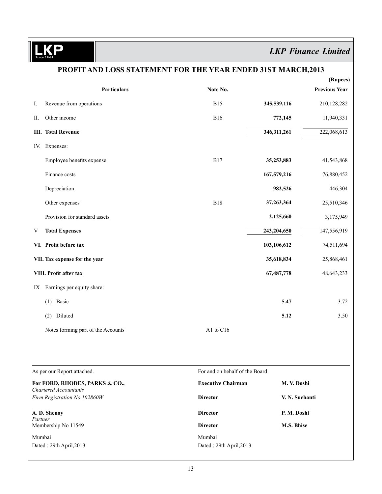**KP**  $\frac{1}{sin}$ 

# *LKP Finance Limited*

|         | PROFIT AND LOSS STATEMENT FOR THE YEAR ENDED 31ST MARCH, 2013 |                                   |                |                                  |
|---------|---------------------------------------------------------------|-----------------------------------|----------------|----------------------------------|
|         | <b>Particulars</b>                                            | Note No.                          |                | (Rupees)<br><b>Previous Year</b> |
| Ι.      | Revenue from operations                                       | <b>B15</b>                        | 345,539,116    | 210,128,282                      |
| П.      | Other income                                                  | <b>B16</b>                        | 772,145        | 11,940,331                       |
|         | <b>III.</b> Total Revenue                                     |                                   | 346,311,261    | 222,068,613                      |
|         | IV. Expenses:                                                 |                                   |                |                                  |
|         | Employee benefits expense                                     | <b>B17</b>                        | 35,253,883     | 41,543,868                       |
|         | Finance costs                                                 |                                   | 167,579,216    | 76,880,452                       |
|         | Depreciation                                                  |                                   | 982,526        | 446,304                          |
|         | Other expenses                                                | <b>B18</b>                        | 37,263,364     | 25,510,346                       |
|         | Provision for standard assets                                 |                                   | 2,125,660      | 3,175,949                        |
| V       | <b>Total Expenses</b>                                         |                                   | 243,204,650    | 147,556,919                      |
|         | VI. Profit before tax                                         |                                   | 103,106,612    | 74,511,694                       |
|         | VII. Tax expense for the year                                 |                                   | 35,618,834     | 25,868,461                       |
|         | VIII. Profit after tax                                        |                                   | 67,487,778     | 48,643,233                       |
| IX      | Earnings per equity share:                                    |                                   |                |                                  |
|         | $(1)$ Basic                                                   |                                   | 5.47           | 3.72                             |
|         | (2) Diluted                                                   |                                   | 5.12           | 3.50                             |
|         | Notes forming part of the Accounts                            | A1 to C16                         |                |                                  |
|         |                                                               |                                   |                |                                  |
|         | As per our Report attached.                                   | For and on behalf of the Board    |                |                                  |
|         | For FORD, RHODES, PARKS & CO.,<br>Chartered Accountants       | <b>Executive Chairman</b>         | M. V. Doshi    |                                  |
|         | Firm Registration No.102860W                                  | <b>Director</b>                   | V. N. Suchanti |                                  |
|         | A.D. Shenoy                                                   | <b>Director</b>                   | P. M. Doshi    |                                  |
| Partner | Membership No 11549                                           | <b>Director</b>                   | M.S. Bhise     |                                  |
| Mumbai  | Dated: 29th April, 2013                                       | Mumbai<br>Dated: 29th April, 2013 |                |                                  |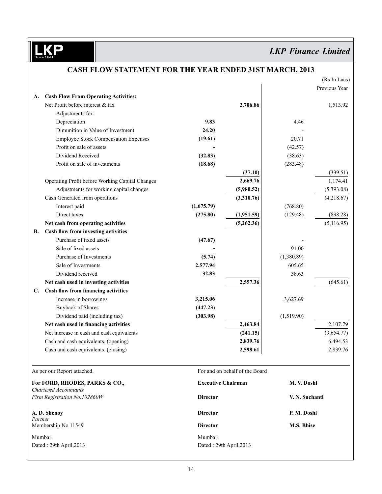D

# *LKP Finance Limited*

|                                | CASH FLOW STATEMENT FON THE TEAN ENDED 3131 MANCH, 2013                         |                           |                                |                | (Rs In Lacs)  |
|--------------------------------|---------------------------------------------------------------------------------|---------------------------|--------------------------------|----------------|---------------|
|                                |                                                                                 |                           |                                |                | Previous Year |
| A.                             | <b>Cash Flow From Operating Activities:</b><br>Net Profit before interest & tax |                           | 2,706.86                       |                |               |
|                                |                                                                                 |                           |                                |                | 1,513.92      |
|                                | Adjustments for:                                                                | 9.83                      |                                | 4.46           |               |
|                                | Depreciation<br>Dimunition in Value of Investment                               | 24.20                     |                                |                |               |
|                                |                                                                                 |                           |                                |                |               |
|                                | <b>Employee Stock Compensation Expenses</b>                                     | (19.61)                   |                                | 20.71          |               |
|                                | Profit on sale of assets                                                        |                           |                                | (42.57)        |               |
|                                | Dividend Received                                                               | (32.83)                   |                                | (38.63)        |               |
|                                | Profit on sale of investments                                                   | (18.68)                   |                                | (283.48)       |               |
|                                |                                                                                 |                           | (37.10)                        |                | (339.51)      |
|                                | Operating Profit before Working Capital Changes                                 |                           | 2,669.76                       |                | 1,174.41      |
|                                | Adjustments for working capital changes                                         |                           | (5,980.52)                     |                | (5,393.08)    |
|                                | Cash Generated from operations                                                  |                           | (3,310.76)                     |                | (4,218.67)    |
|                                | Interest paid                                                                   | (1,675.79)                |                                | (768.80)       |               |
|                                | Direct taxes                                                                    | (275.80)                  | (1,951.59)                     | (129.48)       | (898.28)      |
|                                | Net cash from operating activities                                              |                           | (5,262.36)                     |                | (5,116.95)    |
| В.                             | Cash flow from investing activities                                             |                           |                                |                |               |
|                                | Purchase of fixed assets                                                        | (47.67)                   |                                |                |               |
|                                | Sale of fixed assets                                                            |                           |                                | 91.00          |               |
|                                | Purchase of Investments                                                         | (5.74)                    |                                | (1,380.89)     |               |
|                                | Sale of Investments                                                             | 2,577.94                  |                                | 605.65         |               |
|                                | Dividend received                                                               | 32.83                     |                                | 38.63          |               |
|                                | Net cash used in investing activities                                           |                           | 2,557.36                       |                | (645.61)      |
| C.                             | Cash flow from financing activities                                             |                           |                                |                |               |
|                                | Increase in borrowings                                                          | 3,215.06                  |                                | 3,627.69       |               |
|                                | <b>Buyback of Shares</b>                                                        | (447.23)                  |                                |                |               |
|                                | Dividend paid (including tax)                                                   | (303.98)                  |                                | (1,519.90)     |               |
|                                | Net cash used in financing activities                                           |                           | 2,463.84                       |                | 2,107.79      |
|                                | Net increase in cash and cash equivalents                                       |                           | (241.15)                       |                | (3,654.77)    |
|                                | Cash and cash equivalents. (opening)                                            |                           | 2,839.76                       |                | 6,494.53      |
|                                | Cash and cash equivalents. (closing)                                            |                           | 2,598.61                       |                | 2,839.76      |
|                                | As per our Report attached.                                                     |                           | For and on behalf of the Board |                |               |
| For FORD, RHODES, PARKS & CO., |                                                                                 | <b>Executive Chairman</b> |                                | M. V. Doshi    |               |
|                                | <b>Chartered Accountants</b>                                                    |                           |                                |                |               |
|                                | Firm Registration No.102860W                                                    | <b>Director</b>           |                                | V. N. Suchanti |               |
|                                | A.D. Shenoy                                                                     | <b>Director</b>           |                                | P. M. Doshi    |               |
| Partner                        | Membership No 11549                                                             | <b>Director</b>           |                                | M.S. Bhise     |               |
| Mumbai                         |                                                                                 | Mumbai                    |                                |                |               |
|                                | Dated: 29th April, 2013                                                         | Dated: 29th April, 2013   |                                |                |               |
|                                |                                                                                 |                           |                                |                |               |

# **Cash Flow Statement For the Year Ended 31st March, 2013**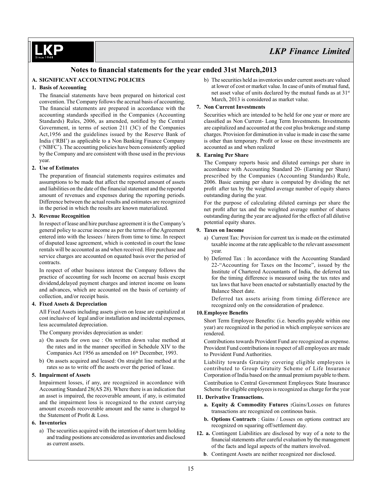### **Notes to financial statements for the year ended 31st March,2013**

### **A. SIGNIFICANT ACCOUNTING POLICIES**

### **1. Basis of Accounting**

 The financial statements have been prepared on historical cost convention. The Company follows the accrual basis of accounting. The financial statements are prepared in accordance with the accounting standards specified in the Companies (Accounting Standards) Rules, 2006, as amended, notified by the Central Government, in terms of section 211 (3C) of the Companies Act,1956 and the guidelines issued by the Reserve Bank of India ('RBI') as applicable to a Non Banking Finance Company ('NBFC'). The accounting policies have been consistently applied by the Company and are consistent with those used in the previous year.

### **2. Use of Estimates**

The preparation of financial statements requires estimates and assumptions to be made that affect the reported amount of assets and liabilities on the date of the financial statement and the reported amount of revenues and expenses during the reporting periods. Difference between the actual results and estimates are recognized in the period in which the results are known materialized.

### **3. Revenue Recognition**

In respect of lease and hire purchase agreement it is the Company's general policy to accrue income as per the terms of the Agreement entered into with the lessees / hirers from time to time. In respect of disputed lease agreement, which is contested in court the lease rentals will be accounted as and when received. Hire purchase and service charges are accounted on equated basis over the period of contracts.

In respect of other business interest the Company follows the practice of accounting for such Income on accrual basis except dividend,delayed payment charges and interest income on loans and advances, which are accounted on the basis of certainty of collection, and/or receipt basis.

### **4. Fixed Assets & Depreciation**

All Fixed Assets including assets given on lease are capitalized at cost inclusive of legal and/or installation and incidental expenses, less accumulated depreciation.

The Company provides depreciation as under:

- a) On assets for own use : On written down value method at the rates and in the manner specified in Schedule XIV to the Companies Act 1956 as amended on 16<sup>th</sup> December, 1993.
- b) On assets acquired and leased: On straight line method at the rates so as to write off the assets over the period of lease.

### **5. Impairment of Assets**

Impairment losses, if any, are recognized in accordance with Accounting Standard 28(AS 28). Where there is an indication that an asset is impaired, the recoverable amount, if any, is estimated and the impairment loss is recognized to the extent carrying amount exceeds recoverable amount and the same is charged to the Statement of Profit & Loss.

#### **6. Inventories**

a) The securities acquired with the intention of short term holding and trading positions are considered as inventories and disclosed as current assets.

b) The securities held as inventories under current assets are valued at lower of cost or market value. In case of units of mutual fund, net asset value of units declared by the mutual funds as at 31<sup>st</sup> March, 2013 is considered as market value.

### **7. Non Current Investments**

Securities which are intended to be held for one year or more are classified as Non Current- Long Term Investments. Investments are capitalized and accounted at the cost plus brokerage and stamp charges. Provision for diminution in value is made in case the same is other than temporary. Profit or losse on these investments are accounted as and when realized

### **8. Earning Per Share**

The Company reports basic and diluted earnings per share in accordance with Accounting Standard 20- (Earning per Share) prescribed by the Companies (Accounting Standards) Rule, 2006. Basic earning per share is computed by dividing the net profit after tax by the weighted average number of equity shares outstanding during the year.

For the purpose of calculating diluted earnings per share the net profit after tax and the weighted average number of shares outstanding during the year are adjusted for the effect of all dilutive potential equity shares.

### **9. Taxes on Income**

- a) Current Tax: Provision for current tax is made on the estimated taxable income at the rate applicable to the relevant assessment year.
- b) Deferred Tax : In accordance with the Accounting Standard 22-"Accounting for Taxes on the Income", issued by the Institute of Chartered Accountants of India, the deferred tax for the timing difference is measured using the tax rates and tax laws that have been enacted or substantially enacted by the Balance Sheet date.

Deferred tax assets arising from timing difference are recognized only on the consideration of prudence.

### **10.Employee Benefits**

 Short Term Employee Benefits: (i.e. benefits payable within one year) are recognized in the period in which employee services are rendered.

Contributions towards Provident Fund are recognized as expense. Provident Fund contributions in respect of all employees are made to Provident Fund Authorities.

Liability towards Gratuity covering eligible employees is contributed to Group Gratuity Scheme of Life Insurance Corporation of India based on the annual premium payable to them. Contribution to Central Government Employees State Insurance Scheme for eligible employees is recognized as charge for the year

#### **11. Derivative Transactions.**

- **a. Equity & Commodity Futures :**Gains/Losses on futures transactions are recognized on continous basis.
- **b. Options Contracts** : Gains / Losses on options contract are recognized on squaring off/settlement day.
- **12. a.** Contingent Liabilities are disclosed by way of a note to the financial statements after careful evaluation by the management of the facts and legal aspects of the matters involved.
	- **b**. Contingent Assets are neither recognized nor disclosed.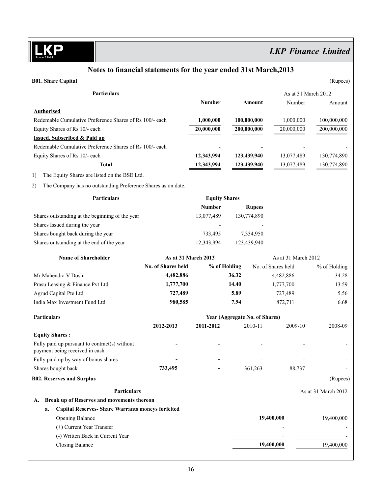D

# *LKP Finance Limited*

# **Notes to financial statements for the year ended 31st March,2013 B01. Share Capital** (Rupees)

| <b>Particulars</b>                                                              |                           |                      |                                |               | As at 31 March 2012 |                     |
|---------------------------------------------------------------------------------|---------------------------|----------------------|--------------------------------|---------------|---------------------|---------------------|
|                                                                                 |                           | Number               |                                | Amount        | Number              | Amount              |
| <b>Authorised</b>                                                               |                           |                      |                                |               |                     |                     |
| Redemable Cumulative Preference Shares of Rs 100/- each                         |                           | 1,000,000            | 100,000,000                    |               | 1,000,000           | 100,000,000         |
| Equity Shares of Rs 10/- each                                                   |                           | 20,000,000           | 200,000,000                    |               | 20,000,000          | 200,000,000         |
| <b>Issued, Subscribed &amp; Paid up</b>                                         |                           |                      |                                |               |                     |                     |
| Redemable Cumulative Preference Shares of Rs 100/- each                         |                           |                      |                                |               |                     |                     |
| Equity Shares of Rs 10/- each                                                   |                           | 12,343,994           | 123,439,940                    |               | 13,077,489          | 130,774,890         |
| <b>Total</b>                                                                    |                           | 12,343,994           | 123,439,940                    |               | 13,077,489          | 130,774,890         |
| 1)<br>The Equity Shares are listed on the BSE Ltd.                              |                           |                      |                                |               |                     |                     |
| 2)<br>The Company has no outstanding Preference Shares as on date.              |                           |                      |                                |               |                     |                     |
| <b>Particulars</b>                                                              |                           | <b>Equity Shares</b> |                                |               |                     |                     |
|                                                                                 |                           | <b>Number</b>        |                                | <b>Rupees</b> |                     |                     |
| Shares outstanding at the beginning of the year                                 |                           | 13,077,489           | 130,774,890                    |               |                     |                     |
| Shares Issued during the year                                                   |                           |                      |                                |               |                     |                     |
| Shares bought back during the year                                              |                           | 733,495              |                                | 7,334,950     |                     |                     |
| Shares outstanding at the end of the year                                       |                           | 12,343,994           | 123,439,940                    |               |                     |                     |
| <b>Name of Shareholder</b>                                                      | As at 31 March 2013       |                      |                                |               | As at 31 March 2012 |                     |
|                                                                                 | <b>No. of Shares held</b> |                      | % of Holding                   |               | No. of Shares held  | % of Holding        |
| Mr Mahendra V Doshi                                                             | 4,482,886                 |                      | 36.32                          |               | 4,482,886           | 34.28               |
| Prasu Leasing & Finance Pvt Ltd                                                 | 1,777,700                 |                      | 14.40                          |               | 1,777,700           | 13.59               |
| Agrud Capital Pte Ltd                                                           | 727,489                   |                      | 5.89                           |               | 727,489             | 5.56                |
| India Max Investment Fund Ltd                                                   | 980,585                   |                      | 7.94                           |               | 872,711             | 6.68                |
| <b>Particulars</b>                                                              |                           |                      | Year (Aggregate No. of Shares) |               |                     |                     |
|                                                                                 | 2012-2013                 | 2011-2012            |                                | 2010-11       | 2009-10             | 2008-09             |
| <b>Equity Shares:</b>                                                           |                           |                      |                                |               |                     |                     |
| Fully paid up pursuant to contract(s) without<br>payment being received in cash |                           |                      |                                |               |                     |                     |
| Fully paid up by way of bonus shares                                            |                           |                      |                                |               |                     |                     |
| Shares bought back                                                              | 733,495                   |                      |                                | 361,263       | 88,737              |                     |
| <b>B02. Reserves and Surplus</b>                                                |                           |                      |                                |               |                     | (Rupees)            |
| Particulars                                                                     |                           |                      |                                |               |                     | As at 31 March 2012 |
| Break up of Reserves and movements thereon<br>A.                                |                           |                      |                                |               |                     |                     |
| <b>Capital Reserves- Share Warrants moneys forfeited</b><br>a.                  |                           |                      |                                |               |                     |                     |
| Opening Balance                                                                 |                           |                      |                                | 19,400,000    |                     | 19,400,000          |
| (+) Current Year Transfer                                                       |                           |                      |                                |               |                     |                     |
| (-) Written Back in Current Year                                                |                           |                      |                                |               |                     |                     |
| <b>Closing Balance</b>                                                          |                           |                      |                                |               | 19,400,000          | 19,400,000          |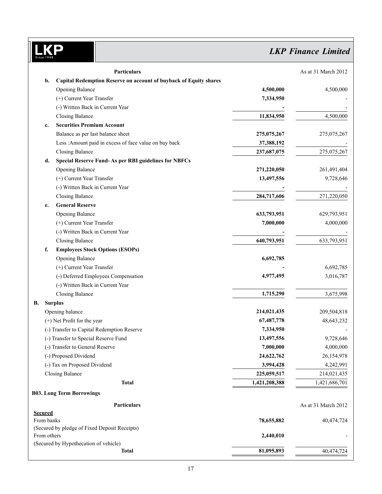# LKP

# *LKP Finance Limited*

|                | <b>Particulars</b>                                                |               | As at 31 March 2012 |
|----------------|-------------------------------------------------------------------|---------------|---------------------|
| b.             | Capital Redemption Reserve on account of buyback of Equity shares |               |                     |
|                | <b>Opening Balance</b>                                            | 4,500,000     | 4,500,000           |
|                | (+) Current Year Transfer                                         | 7,334,950     |                     |
|                | (-) Written Back in Current Year                                  |               |                     |
|                | <b>Closing Balance</b>                                            | 11,834,950    | 4,500,000           |
| c.             | <b>Securities Premium Account</b>                                 |               |                     |
|                | Balance as per last balance sheet                                 | 275,075,267   | 275,075,267         |
|                | Less : Amount paid in excess of face value on buy back            | 37,388,192    |                     |
|                | <b>Closing Balance</b>                                            | 237,687,075   | 275,075,267         |
| d.             | <b>Special Reserve Fund-As per RBI guidelines for NBFCs</b>       |               |                     |
|                | <b>Opening Balance</b>                                            | 271,220,050   | 261,491,404         |
|                | (+) Current Year Transfer                                         | 13,497,556    | 9,728,646           |
|                | (-) Written Back in Current Year                                  |               |                     |
|                | <b>Closing Balance</b>                                            | 284,717,606   | 271,220,050         |
| e.             | <b>General Reserve</b>                                            |               |                     |
|                | Opening Balance                                                   | 633,793,951   | 629,793,951         |
|                | (+) Current Year Transfer                                         | 7,000,000     | 4,000,000           |
|                | (-) Written Back in Current Year                                  |               |                     |
|                | <b>Closing Balance</b>                                            | 640,793,951   | 633,793,951         |
| f.             | <b>Employees Stock Options (ESOPs)</b>                            |               |                     |
|                | <b>Opening Balance</b>                                            | 6,692,785     |                     |
|                | (+) Current Year Transfer                                         |               | 6,692,785           |
|                | (-) Deferred Employees Compensation                               | 4,977,495     | 3,016,787           |
|                | (-) Written Back in Current Year                                  |               |                     |
|                | <b>Closing Balance</b>                                            | 1,715,290     | 3,675,998           |
| В.             | <b>Surplus</b>                                                    |               |                     |
|                | Opening balance                                                   | 214,021,435   | 209,504,818         |
|                | (+) Net Profit for the year                                       | 67,487,778    | 48,643,232          |
|                | (-) Transfer to Capital Redemption Reserve                        | 7,334,950     |                     |
|                | (-) Transfer to Special Reserve Fund                              | 13,497,556    | 9,728,646           |
|                | (-) Transfer to General Reserve                                   | 7,000,000     | 4,000,000           |
|                | (-) Proposed Dividend                                             | 24,622,762    | 26,154,978          |
|                | (-) Tax on Proposed Dividend                                      | 3,994,428     | 4,242,991           |
|                | <b>Closing Balance</b>                                            | 225,059,517   | 214,021,435         |
|                | <b>Total</b>                                                      | 1,421,208,388 | 1,421,686,701       |
|                | <b>B03. Long Term Borrowings</b>                                  |               |                     |
|                |                                                                   |               |                     |
| <b>Secured</b> | Particulars                                                       |               | As at 31 March 2012 |
| From banks     |                                                                   | 78,655,882    | 40,474,724          |
|                | (Secured by pledge of Fixed Deposit Receipts)                     |               |                     |
| From others    |                                                                   | 2,440,010     |                     |
|                | (Secured by Hypothecation of vehicle)                             |               |                     |
|                | <b>Total</b>                                                      | 81,095,893    | 40,474,724          |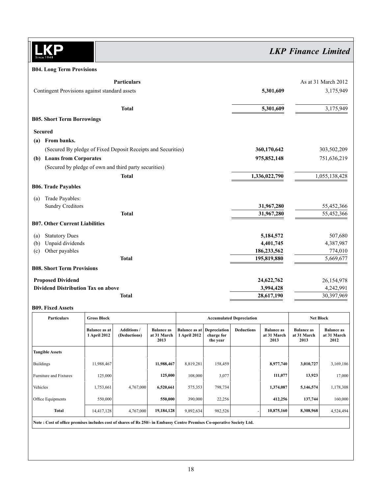$\overline{\mathsf{I}}$ **KP**  $\overline{\text{Sim}}$ 

# *LKP Finance Limited*

### **B04. Long Term Provisions**

|     | <b>Particulars</b>                                           |               | As at 31 March 2012 |
|-----|--------------------------------------------------------------|---------------|---------------------|
|     | Contingent Provisions against standard assets                | 5,301,609     | 3,175,949           |
|     | <b>Total</b>                                                 | 5,301,609     | 3,175,949           |
|     | <b>B05. Short Term Borrowings</b>                            |               |                     |
|     | <b>Secured</b>                                               |               |                     |
| (a) | From banks.                                                  |               |                     |
|     | (Secured By pledge of Fixed Deposit Receipts and Securities) | 360,170,642   | 303,502,209         |
|     | (b) Loans from Corporates                                    | 975,852,148   | 751,636,219         |
|     | (Secured by pledge of own and third party securities)        |               |                     |
|     | <b>Total</b>                                                 | 1,336,022,790 | 1,055,138,428       |
|     | <b>B06. Trade Payables</b>                                   |               |                     |
| (a) | Trade Payables:                                              |               |                     |
|     | <b>Sundry Creditors</b>                                      | 31,967,280    | 55,452,366          |
|     | <b>Total</b>                                                 | 31,967,280    | 55,452,366          |
|     | <b>B07. Other Current Liabilities</b>                        |               |                     |
| (a) | <b>Statutory Dues</b>                                        | 5,184,572     | 507,680             |
| (b) | Unpaid dividends                                             | 4,401,745     | 4,387,987           |
| (c) | Other payables                                               | 186,233,562   | 774,010             |
|     | <b>Total</b>                                                 | 195,819,880   | 5,669,677           |
|     | <b>B08. Short Term Provisions</b>                            |               |                     |
|     | <b>Proposed Dividend</b>                                     | 24,622,762    | 26,154,978          |
|     | <b>Dividend Distribution Tax on above</b>                    | 3,994,428     | 4,242,991           |
|     | <b>Total</b>                                                 | 28,617,190    | 30,397,969          |

### **B09. Fixed Assets**

| <b>Particulars</b>                                                                                                     | <b>Gross Block</b>                   |                                    |                                          |                                      | <b>Accumulated Depreciation</b>        |                   |                                          |                                          | <b>Net Block</b>                         |  |
|------------------------------------------------------------------------------------------------------------------------|--------------------------------------|------------------------------------|------------------------------------------|--------------------------------------|----------------------------------------|-------------------|------------------------------------------|------------------------------------------|------------------------------------------|--|
|                                                                                                                        | <b>Balance as at</b><br>1 April 2012 | <b>Additions /</b><br>(Deductions) | <b>Balance as</b><br>at 31 March<br>2013 | <b>Balance as at</b><br>1 April 2012 | Depreciation<br>charge for<br>the year | <b>Deductions</b> | <b>Balance as</b><br>at 31 March<br>2013 | <b>Balance as</b><br>at 31 March<br>2013 | <b>Balance as</b><br>at 31 March<br>2012 |  |
| <b>Tangible Assets</b>                                                                                                 |                                      |                                    |                                          |                                      |                                        |                   |                                          |                                          |                                          |  |
| <b>Buildings</b>                                                                                                       | 11,988,467                           |                                    | 11,988,467                               | 8,819,281                            | 158,459                                |                   | 8,977,740                                | 3,010,727                                | 3,169,186                                |  |
| <b>Furniture and Fixtures</b>                                                                                          | 125,000                              |                                    | 125,000                                  | 108,000                              | 3,077                                  |                   | 111,077                                  | 13,923                                   | 17,000                                   |  |
| Vehicles                                                                                                               | 1,753,661                            | 4,767,000                          | 6,520,661                                | 575,353                              | 798,734                                |                   | 1,374,087                                | 5,146,574                                | 1,178,308                                |  |
| Office Equipments                                                                                                      | 550,000                              |                                    | 550,000                                  | 390,000                              | 22,256                                 |                   | 412,256                                  | 137,744                                  | 160,000                                  |  |
| Total                                                                                                                  | 14,417,128                           | 4,767,000                          | 19,184,128                               | 9,892,634                            | 982,526                                |                   | 10,875,160                               | 8,308,968                                | 4,524,494                                |  |
| Note: Cost of office premises includes cost of shares of Rs 250/- in Embassy Centre Premises Co-operative Society Ltd. |                                      |                                    |                                          |                                      |                                        |                   |                                          |                                          |                                          |  |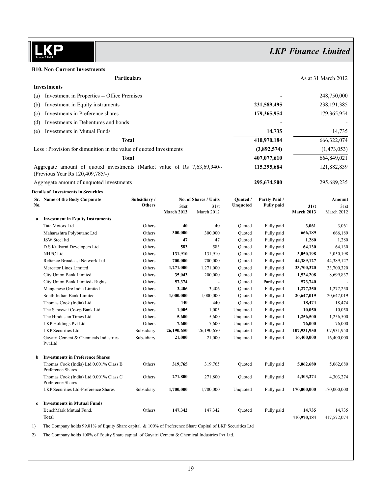LKP

# *LKP Finance Limited*

| <b>B10. Non Current Investments</b>                                                                          |                                             |                    |            |                       |                  |                   |                   |                     |
|--------------------------------------------------------------------------------------------------------------|---------------------------------------------|--------------------|------------|-----------------------|------------------|-------------------|-------------------|---------------------|
|                                                                                                              |                                             | <b>Particulars</b> |            |                       |                  |                   |                   | As at 31 March 2012 |
| <b>Investments</b>                                                                                           |                                             |                    |            |                       |                  |                   |                   |                     |
| (a)                                                                                                          | Investment in Properties -- Office Premises |                    |            |                       |                  |                   |                   | 248,750,000         |
|                                                                                                              |                                             |                    |            |                       |                  | 231,589,495       |                   |                     |
| (b)                                                                                                          | Investment in Equity instruments            |                    |            |                       |                  |                   |                   | 238, 191, 385       |
| (c)                                                                                                          | Investments in Preference shares            |                    |            |                       |                  | 179,365,954       |                   | 179,365,954         |
| (d)                                                                                                          | Investments in Debentures and bonds         |                    |            |                       |                  |                   |                   |                     |
| Investments in Mutual Funds<br>(e)                                                                           |                                             |                    |            |                       |                  | 14,735            |                   | 14,735              |
|                                                                                                              |                                             | <b>Total</b>       |            |                       |                  | 410,970,184       |                   | 666,322,074         |
| Less: Provision for dimunition in the value of quoted Investments                                            |                                             |                    |            |                       |                  | (3,892,574)       |                   | (1,473,053)         |
|                                                                                                              |                                             | Total              |            |                       |                  | 407,077,610       |                   | 664,849,021         |
| Aggregate amount of quoted investments (Market value of Rs 7,63,69,940/-<br>(Previous Year Rs 120,409,785/-) |                                             |                    |            |                       |                  | 115,295,684       |                   | 121,882,839         |
| Aggregate amount of unquoted investments                                                                     |                                             |                    |            |                       |                  | 295,674,500       |                   | 295,689,235         |
| <b>Details of Investments in Securities</b>                                                                  |                                             |                    |            |                       |                  |                   |                   |                     |
| Sr. Name of the Body Corporate                                                                               |                                             | Subsidiary/        |            | No. of Shares / Units | Quoted /         | Partly Paid /     |                   | Amount              |
| No.                                                                                                          |                                             | <b>Others</b>      | 31st       | 31st                  | Unquoted         | <b>Fully paid</b> | 31st              | 31st                |
|                                                                                                              |                                             |                    | March 2013 | March 2012            |                  |                   | <b>March 2013</b> | March 2012          |
| <b>Investment in Equity Instruments</b><br>a                                                                 |                                             |                    |            |                       |                  |                   |                   |                     |
| Tata Motors Ltd                                                                                              |                                             | Others             | 40         | 40                    | Quoted           | Fully paid        | 3,061<br>666,189  | 3,061               |
| Maharashtra Polybutane Ltd<br>JSW Steel ltd                                                                  |                                             | Others<br>Others   | 300,000    | 300,000<br>47         | Quoted<br>Ouoted | Fully paid        |                   | 666,189             |
|                                                                                                              |                                             |                    | 47         | 583                   |                  | Fully paid        | 1,280             | 1,280               |
| D S Kulkarni Developers Ltd                                                                                  |                                             | Others             | 583        |                       | Quoted           | Fully paid        | 64,130            | 64,130              |
| NHPC Ltd                                                                                                     |                                             | Others             | 131,910    | 131,910               | Quoted           | Fully paid        | 3,050,198         | 3,050,198           |
| Reliance Broadcast Network Ltd                                                                               |                                             | Others             | 700,000    | 700,000               | Quoted           | Fully paid        | 44,389,127        | 44,389,127          |
| Mercator Lines Limited                                                                                       |                                             | Others             | 1,271,000  | 1,271,000             | Quoted           | Fully paid        | 33,700,320        | 33,700,320          |
| City Union Bank Limited                                                                                      |                                             | Others             | 35,043     | 200,000               | Quoted           | Fully paid        | 1,524,208         | 8,699,837           |
| City Union Bank Limited-Rights                                                                               |                                             | Others             | 57,374     |                       | Quoted           | Partly paid       | 573,740           |                     |
| Manganese Ore India Limited                                                                                  |                                             | Others             | 3,406      | 3,406                 | Quoted           | Fully paid        | 1,277,250         | 1,277,250           |
| South Indian Bank Limited                                                                                    |                                             | Others             | 1,000,000  | 1,000,000             | Quoted           | Fully paid        | 20,647,019        | 20,647,019          |
| Thomas Cook (India) Ltd                                                                                      |                                             | Others             | 440        | 440                   | Quoted           | Fully paid        | 18,474            | 18,474              |
| The Saraswat Co-op Bank Ltd.                                                                                 |                                             | Others             | 1,005      | 1,005                 | Unquoted         | Fully paid        | 10,050            | 10,050              |
| The Hindustan Times Ltd.                                                                                     |                                             | Others             | 5,600      | 5,600                 | Unquoted         | Fully paid        | 1,256,500         | 1,256,500           |
| LKP Holdings Pvt Ltd                                                                                         |                                             | Others             | 7,600      | 7,600                 | Unquoted         | Fully paid        | 76,000            | 76,000              |
| LKP Securities Ltd.                                                                                          |                                             | Subsidiary         | 26,190,650 | 26,190,650            | Unquoted         | Fully paid        | 107,931,950       | 107,931,950         |
| Pvt.Ltd                                                                                                      | Gayatri Cement & Chemicals Industries       | Subsidiary         | 21,000     | 21,000                | Unquoted         | Fully paid        | 16,400,000        | 16,400,000          |
| <b>Investments in Preference Shares</b><br>b                                                                 |                                             |                    |            |                       |                  |                   |                   |                     |
| Preference Shares                                                                                            | Thomas Cook (India) Ltd 0.001% Class B      | Others             | 319,765    | 319,765               | Quoted           | Fully paid        | 5,062,680         | 5,062,680           |
| Preference Shares                                                                                            | Thomas Cook (India) Ltd 0.001% Class C      | Others             | 271,800    | 271,800               | Quoted           | Fully paid        | 4,303,274         | 4,303,274           |
| LKP Securities Ltd-Preference Shares                                                                         |                                             | Subsidiary         | 1,700,000  | 1,700,000             | Unquoted         | Fully paid        | 170,000,000       | 170,000,000         |
| <b>Investments in Mutual Funds</b><br>c                                                                      |                                             |                    |            |                       |                  |                   |                   |                     |
| BenchMark Mutual Fund.                                                                                       |                                             | Others             | 147.342    | 147.342               | Quoted           | Fully paid        | 14,735            | 14,735              |
| <b>Total</b>                                                                                                 |                                             |                    |            |                       |                  |                   | 410,970,184       | 417,572,074         |

1) The Company holds 99.81% of Equity Share capital & 100% of Preference Share Capital of LKP Securities Ltd

2) The Company holds 100% of Equity Share capital of Gayatri Cement & Chemical Industries Pvt Ltd.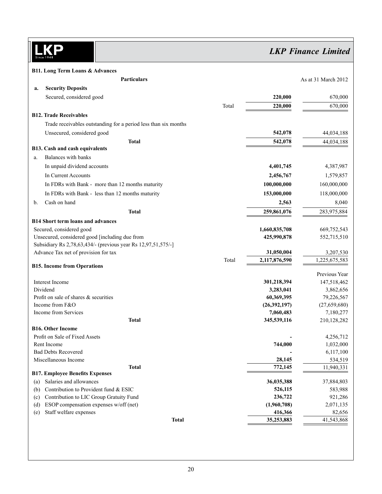**KP**  $\overline{\text{sin}}$ 

*LKP Finance Limited*

**B11. Long Term Loans & Advances**

|     | Particulars                                                          |       |                              | As at 31 March 2012        |
|-----|----------------------------------------------------------------------|-------|------------------------------|----------------------------|
| a.  | <b>Security Deposits</b>                                             |       |                              |                            |
|     | Secured, considered good                                             |       | 220,000                      | 670,000                    |
|     |                                                                      | Total | 220,000                      | 670,000                    |
|     | <b>B12. Trade Receivables</b>                                        |       |                              |                            |
|     | Trade receivables outstanding for a period less than six months      |       |                              |                            |
|     | Unsecured, considered good                                           |       | 542,078                      | 44,034,188                 |
|     | <b>Total</b>                                                         |       | 542,078                      | 44,034,188                 |
|     | <b>B13. Cash and cash equivalents</b>                                |       |                              |                            |
| a.  | Balances with banks                                                  |       |                              |                            |
|     | In unpaid dividend accounts                                          |       | 4,401,745                    | 4,387,987                  |
|     | In Current Accounts                                                  |       | 2,456,767                    | 1,579,857                  |
|     | In FDRs with Bank - more than 12 months maturity                     |       | 100,000,000                  | 160,000,000                |
|     | In FDRs with Bank - less than 12 months maturity                     |       | 153,000,000                  | 118,000,000                |
| b.  | Cash on hand                                                         |       | 2,563                        | 8,040                      |
|     | <b>Total</b>                                                         |       | 259,861,076                  | 283,975,884                |
|     |                                                                      |       |                              |                            |
|     | <b>B14 Short term loans and advances</b><br>Secured, considered good |       |                              |                            |
|     | Unsecured, considered good [including due from                       |       | 1,660,835,708<br>425,990,878 | 669,752,543<br>552,715,510 |
|     | Subsidiary Rs 2,78,63,434/- (previous year Rs 12,97,51,575/-]        |       |                              |                            |
|     | Advance Tax net of provision for tax                                 |       | 31,050,004                   | 3,207,530                  |
|     |                                                                      | Total | 2,117,876,590                | 1,225,675,583              |
|     | <b>B15. Income from Operations</b>                                   |       |                              |                            |
|     |                                                                      |       |                              | Previous Year              |
|     | Interest Income                                                      |       | 301,218,394                  | 147,518,462                |
|     | Dividend                                                             |       | 3,283,041                    | 3,862,656                  |
|     | Profit on sale of shares & securities<br>Income from F&O             |       | 60,369,395<br>(26, 392, 197) | 79,226,567                 |
|     | Income from Services                                                 |       |                              | (27,659,680)               |
|     | <b>Total</b>                                                         |       | 7,060,483<br>345,539,116     | 7,180,277<br>210,128,282   |
|     | <b>B16. Other Income</b>                                             |       |                              |                            |
|     | Profit on Sale of Fixed Assets                                       |       |                              | 4,256,712                  |
|     | Rent Income                                                          |       | 744,000                      | 1,032,000                  |
|     | <b>Bad Debts Recovered</b>                                           |       |                              | 6,117,100                  |
|     | Miscellaneous Income                                                 |       | 28,145                       | 534,519                    |
|     | <b>Total</b>                                                         |       | 772,145                      | 11,940,331                 |
|     | <b>B17. Employee Benefits Expenses</b>                               |       |                              |                            |
| (a) | Salaries and allowances                                              |       | 36,035,388                   | 37,884,803                 |
| (b) | Contribution to Provident fund & ESIC                                |       | 526,115                      | 583,988                    |
| (c) | Contribution to LIC Group Gratuity Fund                              |       | 236,722                      | 921,286                    |
| (d) | ESOP compensation expenses w/off (net)                               |       | (1,960,708)                  | 2,071,135                  |
| (e) | Staff welfare expenses                                               |       | 416,366                      | 82,656                     |
|     | <b>Total</b>                                                         |       | 35,253,883                   | 41,543,868                 |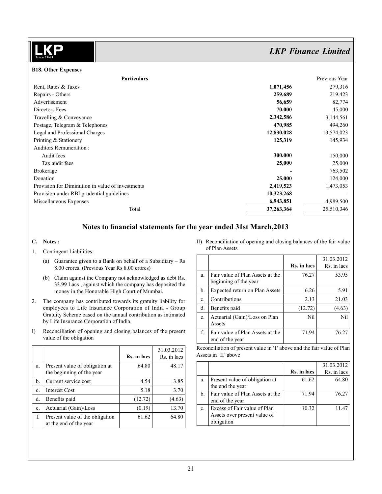| <b>B18. Other Expenses</b>                       |            |               |
|--------------------------------------------------|------------|---------------|
| <b>Particulars</b>                               |            | Previous Year |
| Rent, Rates & Taxes                              | 1,071,456  | 279,316       |
| Repairs - Others                                 | 259,689    | 219,423       |
| Advertisement                                    | 56,659     | 82,774        |
| Directors Fees                                   | 70,000     | 45,000        |
| Travelling & Conveyance                          | 2,342,586  | 3,144,561     |
| Postage, Telegram & Telephones                   | 470,985    | 494,260       |
| Legal and Professional Charges                   | 12,830,028 | 13,574,023    |
| Printing & Stationery                            | 125,319    | 145,934       |
| Auditors Remuneration:                           |            |               |
| Audit fees                                       | 300,000    | 150,000       |
| Tax audit fees                                   | 25,000     | 25,000        |
| <b>Brokerage</b>                                 |            | 763,502       |
| Donation                                         | 25,000     | 124,000       |
| Provision for Diminution in value of investments | 2,419,523  | 1,473,053     |
| Provision under RBI prudential guidelines        | 10,323,268 |               |
| Miscellaneous Expenses                           | 6,943,851  | 4,989,500     |
| Total                                            | 37,263,364 | 25,510,346    |

# **Notes to financial statements for the year ended 31st March,2013**

### **C. Notes :**

- 1. Contingent Liabilities:
	- (a) Guarantee given to a Bank on behalf of a Subsidiary Rs 8.00 crores. (Previous Year Rs 8.00 crores)
	- (b) Claim against the Company not acknowledged as debt Rs. 33.99 Lacs , against which the company has deposited the money in the Honorable High Court of Mumbai.
- 2. The company has contributed towards its gratuity liability for employees to Life Insurance Corporation of India - Group Gratuity Scheme based on the annual contribution as intimated by Life Insurance Corporation of India.
- I) Reconciliation of opening and closing balances of the present value of the obligation

|    |                                                             | Rs. in lacs | 31.03.2012<br>Rs. in lacs |
|----|-------------------------------------------------------------|-------------|---------------------------|
| a. | Present value of obligation at<br>the beginning of the year | 64.80       | 48.17                     |
| b. | Current service cost                                        | 4.54        | 3.85                      |
| c. | <b>Interest Cost</b>                                        | 5.18        | 3.70                      |
| d. | Benefits paid                                               | (12.72)     | (4.63)                    |
| e. | Actuarial (Gain)/Loss                                       | (0.19)      | 13.70                     |
| f. | Present value of the obligation<br>at the end of the year   | 61.62       | 64.80                     |

II) Reconciliation of opening and closing balances of the fair value of Plan Assets

|               |                                                           | Rs. in lacs | 31.03.2012<br>Rs. in lacs |
|---------------|-----------------------------------------------------------|-------------|---------------------------|
| a.            | Fair value of Plan Assets at the<br>beginning of the year | 76.27       | 53.95                     |
| $\mathbf b$ . | <b>Expected return on Plan Assets</b>                     | 6.26        | 5.91                      |
| c.            | Contributions                                             | 2.13        | 21.03                     |
| d.            | Benefits paid                                             | (12.72)     | (4.63)                    |
| e.            | Actuarial (Gain)/Loss on Plan<br>Assets                   | Nil         | Nil                       |
| f.            | Fair value of Plan Assets at the<br>end of the year       | 71.94       | 76.27                     |

Reconciliation of present value in 'I' above and the fair value of Plan Assets in 'II' above

|    |                                  |             | 31.03.2012  |
|----|----------------------------------|-------------|-------------|
|    |                                  | Rs. in lacs | Rs. in lacs |
| a. | Present value of obligation at   | 61.62       | 64.80       |
|    | the end the year                 |             |             |
| b. | Fair value of Plan Assets at the | 71.94       | 76.27       |
|    | end of the year                  |             |             |
| c. | Excess of Fair value of Plan     | 10.32       | 11.47       |
|    | Assets over present value of     |             |             |
|    | obligation                       |             |             |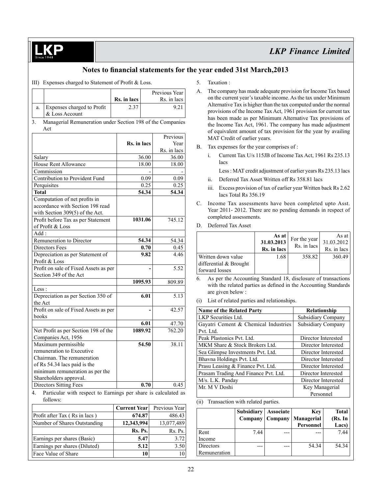

### **Notes to financial statements for the year ended 31st March,2013**

### III) Expenses charged to Statement of Profit & Loss.

|              |                                                            |             |         | Previous Year |
|--------------|------------------------------------------------------------|-------------|---------|---------------|
|              |                                                            | Rs. in lacs |         | Rs. in lacs   |
| a.           | Expenses charged to Profit<br>& Loss Account               | 2.37        |         | 9.21          |
| 3.           | Managerial Remuneration under Section 198 of the Companies |             |         |               |
|              | Act                                                        |             |         |               |
|              |                                                            |             |         | Previous      |
|              |                                                            | Rs. in lacs |         | Year          |
|              |                                                            |             |         | Rs. in lacs   |
| Salary       |                                                            |             | 36.00   | 36.00         |
|              | House Rent Allowance                                       |             | 18.00   | 18.00         |
|              | Commission                                                 |             |         |               |
|              | Contribution to Provident Fund                             |             | 0.09    | 0.09          |
|              | Perquisites                                                |             | 0.25    | 0.25          |
| <b>Total</b> |                                                            |             | 54.34   | 54.34         |
|              | Computation of net profits in                              |             |         |               |
|              | accordance with Section 198 read                           |             |         |               |
|              | with Section 309(5) of the Act.                            |             |         |               |
|              | Profit before Tax as per Statement                         |             | 1031.06 | 745.12        |
|              | of Profit & Loss                                           |             |         |               |
| Add:         |                                                            |             |         |               |
|              | Remuneration to Director                                   |             | 54.34   | 54.34         |
|              | Directors Fees                                             |             | 0.70    | 0.45          |
|              | Depreciation as per Statement of                           |             | 9.82    | 4.46          |
|              | Profit & Loss                                              |             |         |               |
|              | Profit on sale of Fixed Assets as per                      |             |         | 5.52          |
|              | Section 349 of the Act                                     |             |         |               |
|              |                                                            |             | 1095.93 | 809.89        |
| Less:        |                                                            |             |         |               |
|              | Depreciation as per Section 350 of                         |             | 6.01    | 5.13          |
| the Act      |                                                            |             |         |               |
|              | Profit on sale of Fixed Assets as per                      |             |         | 42.57         |
| books        |                                                            |             |         |               |
|              |                                                            |             | 6.01    | 47.70         |
|              | Net Profit as per Section 198 of the                       |             | 1089.92 | 762.20        |
|              | Companies Act, 1956                                        |             |         |               |
|              | Maximum permissible                                        |             | 54.50   | 38.11         |
|              | remuneration to Executive                                  |             |         |               |
|              | Chairman. The remuneration                                 |             |         |               |
|              | of Rs 54.34 lacs paid is the                               |             |         |               |
|              | minimum remuneration as per the                            |             |         |               |
|              | Shareholders approval.                                     |             |         |               |
|              | <b>Directors Sitting Fees</b>                              |             | 0.70    | 0.45          |

4. Particular with respect to Earnings per share is calculated as follows:

|                               | <b>Current Year</b> | Previous Year |
|-------------------------------|---------------------|---------------|
| Profit after Tax (Rs in lacs) | 674.87              | 486.43        |
| Number of Shares Outstanding  | 12,343,994          | 13,077,489    |
|                               | $Rs.$ Ps.           | $Rs.$ Ps.     |
| Earnings per shares (Basic)   | 5.47                | 3.72          |
| Earnings per shares (Diluted) | 5.12                | 3.50          |
| Face Value of Share           | 10                  | 10            |

#### 5. Taxation :

- A. The company has made adequate provision for Income Tax based on the current year's taxable income. As the tax under Minimum Alternative Tax is higher than the tax computed under the normal provisions of the Income Tax Act, 1961 provision for current tax has been made as per Minimum Alternative Tax provisions of the Income Tax Act, 1961. The company has made adjustment of equivalent amount of tax provision for the year by availing MAT Credit of earlier years.
- B. Tax expenses for the year comprises of :
	- i. Current Tax U/s 115JB of Income Tax Act, 1961 Rs 235.13 lacs
		- Less : MAT credit adjustment of earlier years Rs 235.13 lacs
	- ii. Deferred Tax Asset Written off Rs 358.81 lacs
	- iii. Excess provision of tax of earlier year Written back Rs 2.62 lacs Total Rs 356.19
- C. Income Tax assessments have been completed upto Asst. Year 2011- 2012. There are no pending demands in respect of completed assessments.
- D. Deferred Tax Asset

|                        | As at<br>31.03.2013<br>Rs. in lacs | For the year<br>Rs. in lacs | As at<br>31.03.2012<br>Rs. in lacs |
|------------------------|------------------------------------|-----------------------------|------------------------------------|
| Written down value     | 1.68                               | 358.82                      | 360.49                             |
| differential & Brought |                                    |                             |                                    |
| forward losses         |                                    |                             |                                    |

6. As per the Accounting Standard 18, disclosure of transactions with the related parties as defined in the Accounting Standards are given below :

(i) List of related parties and relationships.

| <b>Name of the Related Party</b>     | Relationship              |
|--------------------------------------|---------------------------|
| LKP Securities Ltd.                  | <b>Subsidiary Company</b> |
| Gayatri Cement & Chemical Industries | <b>Subsidiary Company</b> |
| Pvt. Ltd.                            |                           |
| Peak Plastonics Pvt. Ltd.            | Director Interested       |
| MKM Share & Stock Brokers Ltd.       | Director Interested       |
| Sea Glimpse Investments Pvt. Ltd.    | Director Interested       |
| Bhavna Holdings Pvt. Ltd.            | Director Interested       |
| Prasu Leasing & Finance Pvt. Ltd.    | Director Interested       |
| Prasam Trading And Finance Pvt. Ltd. | Director Interested       |
| M/s. L.K. Panday                     | Director Interested       |
| Mr. M V Doshi                        | Key Managerial            |
|                                      | Personnel                 |

#### (ii) Transaction with related parties.

|              | Subsidiary   Associate<br>Company   Company |     | Key<br>Managerial<br>Personnel | <b>Total</b><br>(Rs. In<br>Lacs) |
|--------------|---------------------------------------------|-----|--------------------------------|----------------------------------|
| Rent         | 7.44                                        | --- |                                | 7.44                             |
| Income       |                                             |     |                                |                                  |
| Directors    |                                             | --- | 54.34                          | 54.34                            |
| Remuneration |                                             |     |                                |                                  |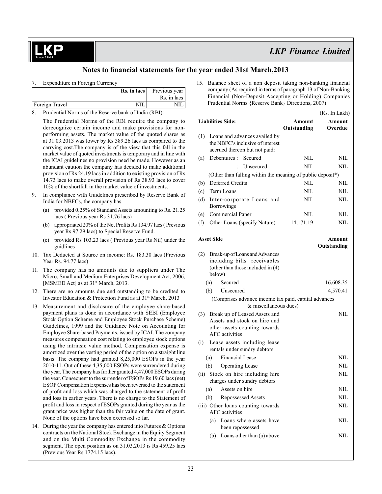### **Notes to financial statements for the year ended 31st March,2013**

| Expenditure in Foreign Currency |             |                           |
|---------------------------------|-------------|---------------------------|
|                                 | Rs. in lacs | Previous year             |
|                                 |             | Rs. in lacs               |
| Foreign Travel                  | NH          |                           |
| $0.1 - 1$                       |             | $0 \leq 1!$ $(22 \leq 1)$ |

8. Prudential Norms of the Reserve bank of India (RBI):

The Prudential Norms of the RBI require the company to derecognize certain income and make provisions for nonperforming assets. The market value of the quoted shares as at 31.03.2013 was lower by Rs 389.26 lacs as compared to the carrying cost.The company is of the view that this fall in the market value of quoted investments is temporary and in line with the ICAI guidelines no provision need be made. However as an abundant caution the company has decided to make additional provision of Rs 24.19 lacs in addition to existing provision of Rs 14.73 lacs to make overall provision of Rs 38.93 lacs to cover 10% of the shortfall in the market value of investments.

- 9. In compliance with Guidelines prescribed by Reserve Bank of India for NBFCs, the company has
	- (a) provided 0.25% of Standard Assets amounting to Rs. 21.25 lacs ( Previous year Rs 31.76 lacs)
	- (b) appropriated  $20\%$  of the Net Profits Rs 134.97 lacs ( Previous year Rs 97.29 lacs) to Special Reserve Fund.
	- (c) provided Rs 103.23 lacs ( Previous year Rs Nil) under the guidlines
- 10. Tax Deducted at Source on income: Rs. 183.30 lacs (Previous Year Rs. 94.77 lacs)
- 11. The company has no amounts due to suppliers under The Micro, Small and Medium Enterprises Development Act, 2006, [MSMED Act] as at 31<sup>st</sup> March, 2013.
- 12. There are no amounts due and outstanding to be credited to Investor Education & Protection Fund as at 31st March, 2013
- 13. Measurement and disclosure of the employee share-based payment plans is done in accordance with SEBI (Employee Stock Option Scheme and Employee Stock Purchase Scheme) Guidelines, 1999 and the Guidance Note on Accounting for Employee Share-based Payments, issued by ICAI. The company measures compensation cost relating to employee stock options using the intrinsic value method. Compensation expense is amortized over the vesting period of the option on a straight line basis. The company had granted 8,25,000 ESOPs in the year 2010-11. Out of these 4,35,000 ESOPs were surrendered during the year. The company has further granted 4,47,000 ESOPs during the year. Consequent to the surrender of ESOPs Rs 19.60 lacs (net) ESOP Compensation Expenses has been reversed to the statement of profit and loss which was charged to the statement of profit and loss in earlier years. There is no charge to the Statement of profit and lossin respect of ESOPs granted during the year asthe grant price was higher than the fair value on the date of grant. None of the options have been exercised so far.
- 14. During the year the company has entered into Futures & Options contracts on the National Stock Exchange in the Equity Segment and on the Multi Commodity Exchange in the commodity segment. The open position as on 31.03.2013 is Rs 459.25 lacs (Previous Year Rs 1774.15 lacs).

15. Balance sheet of a non deposit taking non-banking financial company (As required in terms of paragraph 13 of Non-Banking Financial (Non-Deposit Accepting or Holding) Companies Prudential Norms {Reserve Bank} Directions, 2007)

|                                                                                                                                |                       | (Rs. In Lakh)     |
|--------------------------------------------------------------------------------------------------------------------------------|-----------------------|-------------------|
| <b>Liabilities Side:</b>                                                                                                       | Amount<br>Outstanding | Amount<br>Overdue |
| (1)<br>Loans and advances availed by<br>the NBFC's inclusive of interest<br>accrued thereon but not paid:                      |                       |                   |
| Debentures :<br>Secured<br>(a)                                                                                                 | NIL                   | NIL               |
| Unsecured                                                                                                                      | NIL                   | NIL               |
| (Other than falling within the meaning of public deposit*)                                                                     |                       |                   |
| <b>Deferred Credits</b><br>(b)                                                                                                 | NIL                   | NIL               |
| Term Loans<br>(c)                                                                                                              | NIL                   | NIL               |
| (d)<br>Inter-corporate Loans and<br><b>Borrowings</b>                                                                          | NIL                   | NIL               |
| Commercial Paper<br>(e)                                                                                                        | <b>NIL</b>            | NIL               |
| (f)<br>Other Loans (specify Nature)                                                                                            | 14,171.19             | NIL               |
| <b>Asset Side</b>                                                                                                              |                       | Amount            |
|                                                                                                                                |                       | Outstanding       |
| (2)<br>Break-up of Loans and Advances<br>including bills receivables<br>(other than those included in $(4)$ )<br>below)        |                       |                   |
| (a)<br>Secured                                                                                                                 |                       | 16,608.35         |
| (b)<br>Unsecured                                                                                                               |                       | 4,570.41          |
| (Comprises advance income tax paid, capital advances<br>& miscellaneous dues)                                                  |                       |                   |
| Break up of Leased Assets and<br>(3)<br>Assets and stock on hire and<br>other assets counting towards<br><b>AFC</b> activities |                       | <b>NIL</b>        |
| Lease assets including lease<br>(i)<br>rentals under sundry debtors                                                            |                       |                   |
| Financial Lease<br>(a)                                                                                                         |                       | NIL               |
| <b>Operating Lease</b><br>(b)                                                                                                  |                       | NIL               |
| Stock on hire including hire<br>(ii)<br>charges under sundry debtors                                                           |                       | <b>NIL</b>        |
| (a) Assets on hire                                                                                                             |                       | NIL               |
| Repossessed Assets<br>(b)                                                                                                      |                       | NIL               |
| (iii) Other loans counting towards<br><b>AFC</b> activities                                                                    |                       | NIL               |
| Loans where assets have<br>(a)<br>been repossessed                                                                             |                       | NIL               |
| Loans other than (a) above<br>(b)                                                                                              |                       | NIL               |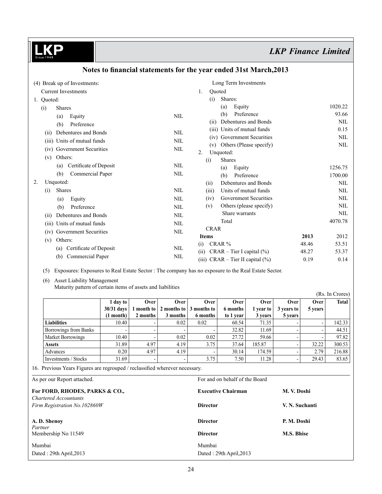| (4) Break up of Investments:   |              | Long Term Investments                |       |            |
|--------------------------------|--------------|--------------------------------------|-------|------------|
| <b>Current Investments</b>     |              | Quoted<br>1.                         |       |            |
| 1. Quoted:                     |              | Shares:<br>(i)                       |       |            |
| <b>Shares</b><br>(i)           |              | Equity<br>(a)                        |       | 1020.22    |
| Equity<br>(a)                  | <b>NIL</b>   | Preference<br>(b)                    |       | 93.66      |
| Preference<br>(b)              |              | Debentures and Bonds<br>(11)         |       | <b>NIL</b> |
| Debentures and Bonds<br>(11)   | <b>NIL</b>   | Units of mutual funds<br>(iii)       |       | 0.15       |
| Units of mutual funds<br>(iii) | <b>NIL</b>   | <b>Government Securities</b><br>(iv) |       | NIL        |
| (iv) Government Securities     | <b>NIL</b>   | Others (Please specify)<br>(v)       |       | NIL        |
| Others:<br>(v)                 |              | 2.<br>Unquoted:                      |       |            |
| Certificate of Deposit<br>(a)  | <b>NIL</b>   | <b>Shares</b><br>(i)                 |       |            |
| Commercial Paper<br>(b)        | <b>NIL</b>   | Equity<br>(a)                        |       | 1256.75    |
| Unquoted:<br>2.                |              | Preference<br>(b)                    |       | 1700.00    |
| <b>Shares</b>                  | <b>NIL</b>   | Debentures and Bonds<br>(ii)         |       | NIL        |
| (i)                            |              | Units of mutual funds<br>(iii)       |       | NIL        |
| Equity<br>(a)                  | $\text{NIL}$ | Government Securities<br>(iv)        |       | NIL        |
| Preference<br>(b)              | <b>NIL</b>   | Others (please specify)<br>(v)       |       | <b>NIL</b> |
| Debentures and Bonds<br>(i)    | <b>NIL</b>   | Share warrants                       |       | <b>NIL</b> |
| Units of mutual funds<br>(111) | <b>NIL</b>   | Total                                |       | 4070.78    |
| Government Securities<br>(iv)  | $\text{NIL}$ | <b>CRAR</b>                          |       |            |
| Others:<br>(v)                 |              | <b>Items</b>                         | 2013  | 2012       |
|                                |              | CRAR %<br>(i)                        | 48.46 | 53.51      |
| Certificate of Deposit<br>(a)  | NIL          | $CRAR - Tier I capital (%)$<br>(ii)  | 48.27 | 53.37      |
| Commercial Paper<br>(b)        | <b>NIL</b>   | (iii) $CRAR - Tier II capital (%)$   | 0.19  | 0.14       |

# **Notes to financial statements for the year ended 31st March,2013**

(5) Exposures: Exposures to Real Estate Sector : The company has no exposure to the Real Estate Sector.

# (6) Asset Liability Management

Maturity pattern of certain items of assets and liabilities

| $\sim$ $\sim$            |                          |                          |                          |                                 |             |                  |            |         | (Rs. In Crores) |
|--------------------------|--------------------------|--------------------------|--------------------------|---------------------------------|-------------|------------------|------------|---------|-----------------|
|                          | 1 day to                 | Over                     | <b>Over</b>              | Over                            | <b>Over</b> | Over             | Over       | Over    | Total           |
|                          | $30/31$ days             | l month to               |                          | 2 months to $\vert$ 3 months to | 6 months    | <b>1</b> vear to | 3 years to | 5 years |                 |
|                          | (1 month)                | 2 months                 | 3 months                 | 6 months                        | to 1 year   | 3 years          | 5 years    |         |                 |
| <b>Liabilities</b>       | 10.40                    |                          | 0.02                     | 0.02                            | 60.54       | 71.35            |            |         | 142.33          |
| Borrowings from Banks    | $\overline{\phantom{a}}$ | $\overline{\phantom{0}}$ |                          |                                 | 32.82       | 11.69            |            |         | 44.51           |
| <b>Market Borrowings</b> | 10.40                    |                          | 0.02                     | 0.02                            | 27.72       | 59.66            |            |         | 97.82           |
| <b>Assets</b>            | 31.89                    | 4.97                     | 4.19                     | 3.75                            | 37.64       | 185.87           |            | 32.22   | 300.53          |
| Advances                 | 0.20                     | 4.97                     | 4.19                     |                                 | 30.14       | 174.59           |            | 2.79    | 216.88          |
| Investments / Stocks     | 31.69                    | $\overline{\phantom{a}}$ | $\overline{\phantom{a}}$ | 3.75                            | 7.50        | 11.28            |            | 29.43   | 83.65           |

16. Previous Years Figures are regrouped / reclassified wherever necessary.

| As per our Report attached.                             | For and on behalf of the Board |                |  |  |  |
|---------------------------------------------------------|--------------------------------|----------------|--|--|--|
| For FORD, RHODES, PARKS & CO.,<br>Chartered Accountants | <b>Executive Chairman</b>      | M. V. Doshi    |  |  |  |
| Firm Registration No.102860W                            | <b>Director</b>                | V. N. Suchanti |  |  |  |
| A. D. Shenoy<br>Partner                                 | <b>Director</b>                | P. M. Doshi    |  |  |  |
| Membership No 11549                                     | <b>Director</b>                | M.S. Bhise     |  |  |  |
| Mumbai                                                  | Mumbai                         |                |  |  |  |
| Dated: 29th April, 2013                                 | Dated: 29th April, 2013        |                |  |  |  |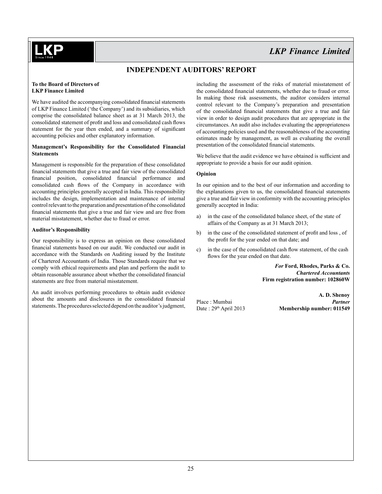

## **Independent Auditors' Report**

#### **To the Board of Directors of LKP Finance Limited**

We have audited the accompanying consolidated financial statements of LKP Finance Limited ('the Company') and its subsidiaries, which comprise the consolidated balance sheet as at 31 March 2013, the consolidated statement of profit and loss and consolidated cash flows statement for the year then ended, and a summary of significant accounting policies and other explanatory information.

#### **Management's Responsibility for the Consolidated Financial Statements**

Management is responsible for the preparation of these consolidated financial statements that give a true and fair view of the consolidated financial position, consolidated financial performance and consolidated cash flows of the Company in accordance with accounting principles generally accepted in India. This responsibility includes the design, implementation and maintenance of internal control relevant to the preparation and presentation of the consolidated financial statements that give a true and fair view and are free from material misstatement, whether due to fraud or error.

### **Auditor's Responsibility**

Our responsibility is to express an opinion on these consolidated financial statements based on our audit. We conducted our audit in accordance with the Standards on Auditing issued by the Institute of Chartered Accountants of India. Those Standards require that we comply with ethical requirements and plan and perform the audit to obtain reasonable assurance about whether the consolidated financial statements are free from material misstatement.

An audit involves performing procedures to obtain audit evidence about the amounts and disclosures in the consolidated financial statements. The procedures selected depend on the auditor's judgment, including the assessment of the risks of material misstatement of the consolidated financial statements, whether due to fraud or error. In making those risk assessments, the auditor considers internal control relevant to the Company's preparation and presentation of the consolidated financial statements that give a true and fair view in order to design audit procedures that are appropriate in the circumstances. An audit also includes evaluating the appropriateness of accounting policies used and the reasonableness of the accounting estimates made by management, as well as evaluating the overall presentation of the consolidated financial statements.

We believe that the audit evidence we have obtained is sufficient and appropriate to provide a basis for our audit opinion.

### **Opinion**

In our opinion and to the best of our information and according to the explanations given to us, the consolidated financial statements give a true and fair view in conformity with the accounting principles generally accepted in India:

- a) in the case of the consolidated balance sheet, of the state of affairs of the Company as at 31 March 2013;
- b) in the case of the consolidated statement of profit and loss , of the profit for the year ended on that date; and
- c) in the case of the consolidated cash flow statement, of the cash flows for the year ended on that date.

*For* **Ford, Rhodes, Parks & Co.** *Chartered Accountants* **Firm registration number: 102860W**

**A. D. Shenoy** Place : Mumbai *Partner* Date : 29<sup>th</sup> April 2013 **Membership number: 011549**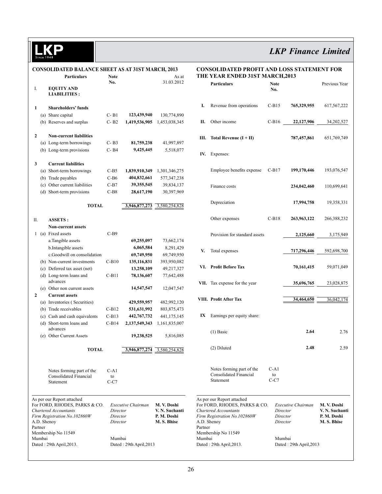LKP

# *LKP Finance Limited*

| <b>CONSOLIDATED BALANCE SHEET AS AT 31ST MARCH, 2013</b> |         |                                                             |              |                            |                              |         | <b>CONSOLIDATED PROFIT AND LOSS STATEMENT FOR</b>           |              |                         |                |  |
|----------------------------------------------------------|---------|-------------------------------------------------------------|--------------|----------------------------|------------------------------|---------|-------------------------------------------------------------|--------------|-------------------------|----------------|--|
|                                                          |         | <b>Particulars</b>                                          | <b>Note</b>  |                            | As at                        |         | THE YEAR ENDED 31ST MARCH, 2013                             |              |                         |                |  |
|                                                          |         |                                                             | No.          |                            | 31.03.2012                   |         | <b>Particulars</b>                                          | <b>Note</b>  |                         | Previous Year  |  |
| I.                                                       |         | <b>EQUITY AND</b><br><b>LIABILITIES:</b>                    |              |                            |                              |         |                                                             | No.          |                         |                |  |
|                                                          |         |                                                             |              |                            |                              |         |                                                             |              |                         |                |  |
| 1                                                        |         | <b>Shareholders' funds</b>                                  |              |                            |                              | I.      | Revenue from operations                                     | $C-B15$      | 765,329,955             | 617, 567, 222  |  |
|                                                          |         | (a) Share capital                                           | $C - B1$     | 123,439,940                | 130,774,890                  |         |                                                             |              |                         |                |  |
|                                                          |         | (b) Reserves and surplus                                    | $C - B2$     | 1,419,536,905              | 1,453,038,345                | П.      | Other income                                                | $C-B16$      | 22,127,906              | 34,202,527     |  |
|                                                          |         |                                                             |              |                            |                              |         |                                                             |              |                         |                |  |
| $\mathbf{2}$                                             |         | <b>Non-current liabilities</b>                              |              |                            |                              |         | III. Total Revenue $(I + II)$                               |              | 787,457,861             | 651,769,749    |  |
|                                                          |         | (a) Long-term borrowings                                    | $C - B3$     | 81,759,238                 | 41,997,897                   |         |                                                             |              |                         |                |  |
|                                                          |         | (b) Long-term provisions                                    | $C - B4$     | 9,425,445                  | 5,518,077                    |         | IV. Expenses:                                               |              |                         |                |  |
|                                                          |         |                                                             |              |                            |                              |         |                                                             |              |                         |                |  |
| 3                                                        |         | <b>Current liabilities</b>                                  |              |                            |                              |         |                                                             |              |                         |                |  |
|                                                          |         | (a) Short-term borrowings                                   | $C-B5$       | 1,839,910,349              | 1,301,346,275                |         | Employee benefits expense                                   | $C-B17$      | 199,170,446             | 193,076,547    |  |
|                                                          |         | (b) Trade payables                                          | $C-B6$       | 404,832,661                | 577, 347, 238                |         |                                                             |              |                         |                |  |
|                                                          |         | (c) Other current liabilities                               | $C-B7$       | 39, 355, 545               | 39,834,137                   |         | Finance costs                                               |              | 234,042,460             | 110,699,641    |  |
|                                                          |         | (d) Short-term provisions                                   | $C-B8$       | 28,617,190                 | 30,397,969                   |         |                                                             |              |                         |                |  |
|                                                          |         | <b>TOTAL</b>                                                |              | 3,946,877,273              | 3,580,254,828                |         | Depreciation                                                |              | 17,994,758              | 19,358,331     |  |
|                                                          |         |                                                             |              |                            |                              |         |                                                             |              |                         |                |  |
| П.                                                       |         | <b>ASSETS:</b>                                              |              |                            |                              |         | Other expenses                                              | $C-B18$      | 263,963,122             | 266,388,232    |  |
|                                                          |         | <b>Non-current assets</b>                                   |              |                            |                              |         |                                                             |              |                         |                |  |
|                                                          |         | 1 (a) Fixed assets                                          | $C-B9$       |                            |                              |         | Provision for standard assets                               |              | 2,125,660               | 3,175,949      |  |
|                                                          |         | a.Tangible assets                                           |              | 69,255,097                 | 73,662,174                   |         |                                                             |              |                         |                |  |
|                                                          |         | b.Intangible assets                                         |              | 6,065,584                  | 8,291,429                    |         |                                                             |              |                         |                |  |
|                                                          |         | c.Goodwill on consolidation                                 |              | 69,749,950                 | 69,749,950                   | V.      | Total expenses                                              |              | 717,296,446             | 592,698,700    |  |
|                                                          |         | (b) Non-current investments                                 | $C-B10$      | 135,116,831                | 393,950,082                  |         |                                                             |              |                         |                |  |
|                                                          |         | (c) Deferred tax asset (net)                                |              | 13,258,109                 | 49,217,327                   |         | VI. Profit Before Tax                                       |              | 70,161,415              | 59,071,049     |  |
|                                                          |         | (d) Long-term loans and                                     | $C-B11$      | 78,136,607                 | 77,642,488                   |         |                                                             |              |                         |                |  |
|                                                          |         | advances                                                    |              |                            |                              |         | VII. Tax expense for the year                               |              | 35,696,765              | 23,028,875     |  |
|                                                          |         | (e) Other non current assets                                |              | 14,547,547                 | 12,047,547                   |         |                                                             |              |                         |                |  |
| $\overline{2}$                                           |         | <b>Current assets</b>                                       |              |                            |                              |         | VIII. Profit After Tax                                      |              | 34,464,650              | 36,042,174     |  |
|                                                          |         | (a) Inventories (Securities)<br>(b) Trade receivables       | $C-B12$      | 429,559,957                | 482,992,120                  |         |                                                             |              |                         |                |  |
|                                                          |         | (c) Cash and cash equivalents                               | $C-B13$      | 531,631,992<br>442,767,732 | 803, 875, 473<br>441,175,145 |         | IX Earnings per equity share:                               |              |                         |                |  |
|                                                          |         | (d) Short-term loans and                                    | $C-B14$      | 2,137,549,343              | 1,161,835,007                |         |                                                             |              |                         |                |  |
|                                                          |         | advances                                                    |              |                            |                              |         |                                                             |              |                         |                |  |
|                                                          |         | (e) Other Current Assets                                    |              | 19,238,525                 | 5,816,085                    |         | $(1)$ Basic                                                 |              | 2.64                    | 2.76           |  |
|                                                          |         |                                                             |              |                            |                              |         |                                                             |              |                         |                |  |
|                                                          |         | <b>TOTAL</b>                                                |              | 3,946,877,274              | 3,580,254,828                |         | (2) Diluted                                                 |              | 2.48                    | 2.59           |  |
|                                                          |         |                                                             |              |                            |                              |         |                                                             |              |                         |                |  |
|                                                          |         |                                                             |              |                            |                              |         |                                                             |              |                         |                |  |
|                                                          |         | Notes forming part of the                                   | $C-A1$       |                            |                              |         | Notes forming part of the<br>Consolidated Financial         | $C-A1$<br>to |                         |                |  |
|                                                          |         | Consolidated Financial<br>Statement                         | to<br>$C-C7$ |                            |                              |         | Statement                                                   | $C-C7$       |                         |                |  |
|                                                          |         |                                                             |              |                            |                              |         |                                                             |              |                         |                |  |
|                                                          |         |                                                             |              |                            |                              |         |                                                             |              |                         |                |  |
|                                                          |         | As per our Report attached<br>For FORD, RHODES, PARKS & CO. |              | Executive Chairman         | M. V. Doshi                  |         | As per our Report attached<br>For FORD, RHODES, PARKS & CO. |              | Executive Chairman      | M. V. Doshi    |  |
|                                                          |         | Chartered Accountants                                       | Director     |                            | V. N. Suchanti               |         | Chartered Accountants                                       |              | Director                | V. N. Suchanti |  |
|                                                          |         | Firm Registration No.102860W                                | Director     |                            | P. M. Doshi                  |         | Firm Registration No.102860W                                |              | Director                | P. M. Doshi    |  |
|                                                          | Partner | A.D. Shenoy                                                 | Director     |                            | M. S. Bhise                  | Partner | A.D. Shenoy                                                 |              | Director                | M. S. Bhise    |  |
|                                                          |         | Membership No 11549                                         |              |                            |                              |         | Membership No 11549                                         |              |                         |                |  |
|                                                          | Mumbai  |                                                             | Mumbai       |                            |                              | Mumbai  |                                                             |              | Mumbai                  |                |  |
|                                                          |         | Dated: 29th April, 2013.                                    |              | Dated: 29th April, 2013    |                              |         | Dated: 29th April, 2013.                                    |              | Dated: 29th April, 2013 |                |  |
|                                                          |         |                                                             |              |                            |                              |         |                                                             |              |                         |                |  |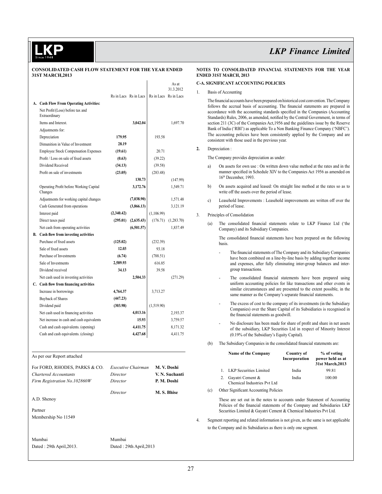#### **CONSOLIDATED CASH FLOW STATEMENT FOR THE YEAR ENDED 31ST MARCH,2013**

|                                                    |            |                       |            | As at<br>31.3.2012    |
|----------------------------------------------------|------------|-----------------------|------------|-----------------------|
|                                                    |            | Rs in Lacs Rs in Lacs |            | Rs in Lacs Rs in Lacs |
| A. Cash Flow From Operating Activities:            |            |                       |            |                       |
| Net Profit/(Loss) before tax and<br>Extraordinary  |            |                       |            |                       |
| Items and Interest.                                |            | 3,042.04              |            | 1,697.70              |
| Adjustments for:                                   |            |                       |            |                       |
| Depreciation                                       | 179.95     |                       | 193.58     |                       |
| Dimunition in Value of Investment                  | 28.19      |                       |            |                       |
| <b>Employee Stock Compensation Expenses</b>        | (19.61)    |                       | 20.71      |                       |
| Profit / Loss on sale of fixed assets              | (0.63)     |                       | (39.22)    |                       |
| Dividend Received                                  | (34.13)    |                       | (39.58)    |                       |
| Profit on sale of investments                      | (23.05)    |                       | (283.48)   |                       |
|                                                    |            | 130.73                |            | (147.99)              |
| Operating Profit before Working Capital<br>Changes |            | 3,172.76              |            | 1,549.71              |
| Adjustments for working capital changes            |            | (7,038.90)            |            | 1,571.48              |
| Cash Generated from operations                     |            | (3,866.13)            |            | 3,121.19              |
| Interest paid                                      | (2,340.42) |                       | (1,106.99) |                       |
| Direct taxes paid                                  | (295.01)   | (2,635.43)            | (176.71)   | (1,283.70)            |
| Net cash from operating activities                 |            | (6,501.57)            |            | 1,837.49              |
| <b>B.</b> Cash flow from investing activities      |            |                       |            |                       |
| Purchase of fixed assets                           | (125.02)   |                       | (232.39)   |                       |
| Sale of fixed assets                               | 12.03      |                       | 93.18      |                       |
| Purchase of Investments                            | (6.74)     |                       | (788.51)   |                       |
| Sale of Investments                                | 2,589.93   |                       | 616.85     |                       |
| Dividend received                                  | 34.13      |                       | 39.58      |                       |
| Net cash used in investing activities              |            | 2,504.33              |            | (271.29)              |
| C. Cash flow from financing activities             |            |                       |            |                       |
| Increase in borrowings                             | 4,764.37   |                       | 3,713.27   |                       |
| <b>Buyback of Shares</b>                           | (447.23)   |                       |            |                       |
| Dividend paid                                      | (303.98)   |                       | (1,519.90) |                       |
| Net cash used in financing activities              |            | 4,013.16              |            | 2,193.37              |
| Net increase in cash and cash equivalents          |            | 15.93                 |            | 3,759.57              |
| Cash and cash equivalents. (opening)               |            | 4.411.75              |            | 8,171.32              |
| Cash and cash equivalents. (closing)               |            | 4,427.68              |            | 4,411.75              |
| As per our Report attached                         |            |                       |            |                       |
| For FORD, RHODES, PARKS & CO.                      |            | Executive Chairman    |            | M. V. Doshi           |
| Chartered Accountants                              | Director   |                       |            | V. N. Suchanti        |

| Chartered Accountants        | Director | V. N. Suchanti |
|------------------------------|----------|----------------|
| Firm Registration No.102860W | Director | P. M. Doshi    |
|                              | Director | M. S. Bhise    |
| A.D. Shenoy                  |          |                |
| Partner                      |          |                |
| Membership No 11549          |          |                |
|                              |          |                |
|                              |          |                |

Mumbai Mumbai

Dated : 29th April,2013. Dated : 29th April,2013

#### **Notes to Consolidated financial statements for the year ended 31st March, 2013**

### **C-A. SIGNIFICANT ACCOUNTING POLICIES**

1. Basis of Accounting

The financial accounts have been prepared on historical cost convention. The Company follows the accrual basis of accounting. The financial statements are prepared in accordance with the accounting standards specified in the Companies (Accounting Standards) Rules, 2006, as amended, notified by the Central Government, in terms of section 211 (3C) of the Companies Act,1956 and the guidelines issue by the Reserve Bank of India ('RBI') as applicable To a Non Banking Finance Company ('NBFC'). The accounting policies have been consistently applied by the Company and are consistent with those used in the previous year.

**2.** Depreciation :

The Company provides depreciation as under:

- a) On assets for own use : On written down value method at the rates and in the manner specified in Schedule XIV to the Companies Act 1956 as amended on 16<sup>th</sup> December, 1993.
- b) On assets acquired and leased: On straight line method at the rates so as to write off the assets over the period of lease.
- c) Leasehold Improvements : Leasehold improvements are written off over the period of lease.

#### 3. Principles of Consolidation

(a) The consolidated financial statements relate to LKP Finance Ltd ('the Company) and its Subsidiary Companies.

The consolidated financial statements have been prepared on the following basis.

- The financial statements of The Company and its Subsidiary Companies have been combined on a line-by-line basis by adding together income and expenses, after fully eliminating inter-group balances and intergroup transactions.
- The consolidated financial statements have been prepared using uniform accounting policies for like transactions and other events in similar circumstances and are presented to the extent possible, in the same manner as the Company's separate financial statements.
- The excess of cost to the company of its investments (in the Subsidiary Companies) over the Share Capital of its Subsidiaries is recognised in the financial statements as goodwill.
- No disclosure has been made for share of profit and share in net assets of the subsidiary, LKP Securities Ltd in respect of Minority Interest (0.19% of the Subsidiary's Equity Capital).
- (b) The Subsidiary Companies in the consolidated financial statements are:

|              | <b>Name of the Company</b>                      | Country of<br>Incorporation | % of voting<br>power held as at<br>31st March, 2013 |
|--------------|-------------------------------------------------|-----------------------------|-----------------------------------------------------|
| $\mathbf{1}$ | <b>LKP</b> Securities Limited                   | India                       | 99.81                                               |
|              | Gayatri Cement &<br>Chemical Industries Pvt Ltd | India                       | 100.00                                              |

(c) Other Significant Accounting Policies

These are set out in the notes to accounts under Statement of Accounting Policies of the financial statements of the Company and Subsidiaries LKP Securities Limited & Gayatri Cement & Chemical Industries Pvt Ltd.

4. Segment reporting and related information is not given, as the same is not applicable to the Company and its Subsidiaries as there is only one segment.

27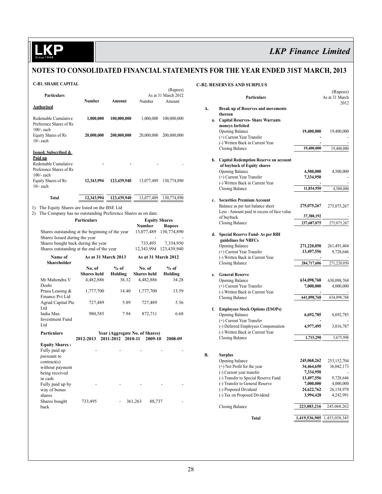# **KP**

# *LKP Finance Limited*

# **Notes to Consolidated financial statements for the year ended 31st March, 2013**

### **C-B1. Share Capital**

|                                                                                                                                                                                                                                                                                                                      |                                                                       |                                                          |                                | (Rupees)                      |  |
|----------------------------------------------------------------------------------------------------------------------------------------------------------------------------------------------------------------------------------------------------------------------------------------------------------------------|-----------------------------------------------------------------------|----------------------------------------------------------|--------------------------------|-------------------------------|--|
| Particulars                                                                                                                                                                                                                                                                                                          | <b>Number</b>                                                         | Amount                                                   | Number                         | As at 31 March 2012<br>Amount |  |
| <b>Authorised</b>                                                                                                                                                                                                                                                                                                    |                                                                       |                                                          |                                |                               |  |
| Redemable Cumulative<br>Preference Shares of Rs<br>$100/-$ each                                                                                                                                                                                                                                                      | 1,000,000                                                             | 100,000,000                                              | 1,000,000                      | 100,000,000                   |  |
| Equity Shares of Rs<br>$10/-$ each                                                                                                                                                                                                                                                                                   | 20,000,000                                                            | 200,000,000                                              | 20,000,000                     | 200,000,000                   |  |
| <b>Issued, Subscribed &amp;</b><br>Paid up<br>Redemable Cumulative<br>Preference Shares of Rs<br>$100/-$ each<br>Equity Shares of Rs                                                                                                                                                                                 | 12,343,994                                                            | 123,439,940                                              | 13,077,489                     | 130,774,890                   |  |
| $10/-$ each                                                                                                                                                                                                                                                                                                          |                                                                       |                                                          |                                |                               |  |
| <b>Total</b>                                                                                                                                                                                                                                                                                                         | 12,343,994                                                            | 123,439,940                                              | 13,077,489                     | 130,774,890                   |  |
| The Equity Shares are listed on the BSE Ltd<br>1)<br>The Company has no outstanding Preference Shares as on date.<br>2)<br><b>Particulars</b><br>Shares outstanding at the beginning of the year<br>Shares Issued during the year<br>Shares bought back during the year<br>Shares outstanding at the end of the year | <b>Equity Shares</b><br>Number<br>13,077,489<br>733,495<br>12,343,994 | <b>Rupees</b><br>130,774,890<br>7,334,950<br>123,439,940 |                                |                               |  |
| Name of                                                                                                                                                                                                                                                                                                              | As at 31 March 2013                                                   |                                                          | <b>As at 31 March 2012</b>     |                               |  |
| Shareholder                                                                                                                                                                                                                                                                                                          | No. of                                                                | $%$ of                                                   | No. of                         | $%$ of                        |  |
|                                                                                                                                                                                                                                                                                                                      | <b>Shares</b> held                                                    | Holding                                                  | <b>Shares</b> held             | Holding                       |  |
| Mr Mahendra V<br>Doshi                                                                                                                                                                                                                                                                                               | 4,482,886                                                             | 36.32                                                    | 4,482,886                      | 34.28                         |  |
| Prasu Leasing &<br>Finance Pvt Ltd                                                                                                                                                                                                                                                                                   | 1,777,700                                                             | 14.40                                                    | 1,777,700                      | 13.59                         |  |
| <b>Agrud Capital Pte</b><br>Ltd                                                                                                                                                                                                                                                                                      | 727,489                                                               | 5.89                                                     | 727,489                        | 5.56                          |  |
| India Max<br><b>Investment Fund</b><br>Ltd                                                                                                                                                                                                                                                                           | 980,585                                                               | 7.94                                                     | 872,711                        | 6.68                          |  |
| <b>Particulars</b>                                                                                                                                                                                                                                                                                                   |                                                                       |                                                          | Year (Aggregate No. of Shares) |                               |  |
|                                                                                                                                                                                                                                                                                                                      | 2012-2013                                                             | 2011-2012 2010-11                                        | 2009-10                        | 2008-09                       |  |
| <b>Equity Shares:</b><br>Fully paid up<br>pursuant to<br>contract(s)<br>without payment<br>being received<br>in cash                                                                                                                                                                                                 |                                                                       |                                                          |                                |                               |  |
| Fully paid up by<br>way of bonus<br>shares                                                                                                                                                                                                                                                                           |                                                                       |                                                          |                                |                               |  |
| Shares bought<br>back                                                                                                                                                                                                                                                                                                | 733,495                                                               |                                                          | 361,263<br>88,737              |                               |  |

#### **C-B2. Reserves and Surplus**

|    |    | Particulars                                                                     |                         | (Rupees)<br>As at 31 March |
|----|----|---------------------------------------------------------------------------------|-------------------------|----------------------------|
|    |    |                                                                                 |                         | 2012                       |
| A. |    | <b>Break up of Reserves and movements</b>                                       |                         |                            |
|    | a. | thereon<br><b>Capital Reserves- Share Warrants</b>                              |                         |                            |
|    |    | moneys forfeited                                                                |                         |                            |
|    |    | Opening Balance                                                                 | 19,400,000              | 19,400,000                 |
|    |    | (+) Current Year Transfer                                                       |                         |                            |
|    |    | (-) Written Back in Current Year<br><b>Closing Balance</b>                      | 19,400,000              | 19,400,000                 |
|    |    |                                                                                 |                         |                            |
|    |    | b. Capital Redemption Reserve on account                                        |                         |                            |
|    |    | of buyback of Equity shares                                                     |                         |                            |
|    |    | Opening Balance                                                                 | 4,500,000               | 4,500,000                  |
|    |    | (+) Current Year Transfer<br>(-) Written Back in Current Year                   | 7,334,950               |                            |
|    |    | <b>Closing Balance</b>                                                          | 11,834,950              | 4,500,000                  |
|    |    |                                                                                 |                         |                            |
|    | c. | <b>Securities Premium Account</b>                                               |                         |                            |
|    |    | Balance as per last balance sheet<br>Less : Amount paid in excess of face value | 275,075,267             | 275,075,267                |
|    |    | of buyback                                                                      | 37,388,192              |                            |
|    |    | <b>Closing Balance</b>                                                          | 237,687,075             | 275,075,267                |
|    |    |                                                                                 |                         |                            |
|    | d. | <b>Special Reserve Fund-As per RBI</b>                                          |                         |                            |
|    |    | guidelines for NBFCs<br><b>Opening Balance</b>                                  | 271,220,050             | 261,491,404                |
|    |    | (+) Current Year Transfer                                                       | 13,497,556              | 9,728,646                  |
|    |    | (-) Written Back in Current Year                                                |                         |                            |
|    |    | <b>Closing Balance</b>                                                          | 284,717,606             | 271,220,050                |
|    |    | <b>General Reserve</b>                                                          |                         |                            |
|    | e. | Opening Balance                                                                 | 634,098,768             | 630,098,768                |
|    |    | (+) Current Year Transfer                                                       | 7,000,000               | 4,000,000                  |
|    |    | (-) Written Back in Current Year                                                |                         |                            |
|    |    | <b>Closing Balance</b>                                                          | 641,098,768             | 634,098,768                |
|    | f. | <b>Employees Stock Options (ESOPs)</b>                                          |                         |                            |
|    |    | <b>Opening Balance</b>                                                          | 6,692,785               | 6,692,785                  |
|    |    | (+) Current Year Transfer                                                       |                         |                            |
|    |    | (-) Deferred Employees Compensation                                             | 4,977,495               | 3,016,787                  |
|    |    | (-) Written Back in Current Year<br><b>Closing Balance</b>                      |                         |                            |
|    |    |                                                                                 | 1,715,290               | 3,675,998                  |
|    |    |                                                                                 |                         |                            |
| В. |    | <b>Surplus</b>                                                                  |                         |                            |
|    |    | Opening balance                                                                 | 245,068,262             | 253, 152, 704              |
|    |    | (+) Net Profit for the year<br>(-) Current year transfer                        | 34,464,650<br>7,334,950 | 36,042,173                 |
|    |    | (-) Transfer to Special Reserve Fund                                            | 13,497,556              | 9,728,646                  |
|    |    | (-) Transfer to General Reserve                                                 | 7,000,000               | 4,000,000                  |
|    |    | (-) Proposed Dividend                                                           | 24,622,762              | 26,154,978                 |
|    |    | (-) Tax on Proposed Dividend                                                    | 3,994,428               | 4,242,991                  |
|    |    |                                                                                 | 223,083,216             | 245,068,262                |
|    |    | Closing Balance                                                                 |                         |                            |
|    |    | <b>Total</b>                                                                    | 1,419,536,905           | 1,453,038,345              |
|    |    |                                                                                 |                         |                            |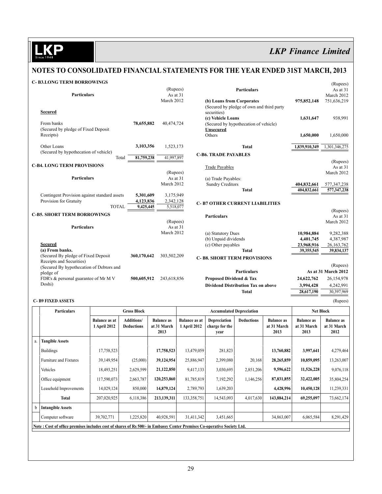D

# *LKP Finance Limited*

# **Notes to Consolidated financial statements for the year ended 31st March, 2013**

### **C- B3.Long Term Borrowings**

| C- B3.LONG TERM BORROWINGS                                |             |                                           |               | (Rupees)               |
|-----------------------------------------------------------|-------------|-------------------------------------------|---------------|------------------------|
|                                                           | (Rupees)    | <b>Particulars</b>                        |               | As at 31               |
| <b>Particulars</b>                                        | As at 31    |                                           |               | March 2012             |
|                                                           | March 2012  | (b) Loans from Corporates                 | 975,852,148   | 751,636,219            |
|                                                           |             | (Secured by pledge of own and third party |               |                        |
| <b>Secured</b>                                            |             | securities)                               |               |                        |
|                                                           |             | (c) Vehicle Loans                         | 1,631,647     | 938,991                |
| 78,655,882<br>From banks                                  | 40,474,724  | (Secured by hypothecation of vehicle)     |               |                        |
| (Secured by pledge of Fixed Deposit)<br>Receipts)         |             | <b>Unsecured</b>                          |               |                        |
|                                                           |             | Others                                    | 1,650,000     | 1,650,000              |
| Other Loans<br>3,103,356                                  | 1,523,173   | <b>Total</b>                              | 1,839,910,349 | 1,301,346,275          |
| (Secured by hypothecation of vehicle)                     |             | <b>C-B6. TRADE PAYABLES</b>               |               |                        |
| 81,759,238<br>Total                                       | 41,997,897  |                                           |               | (Rupees)               |
| <b>C-B4. LONG TERM PROVISIONS</b>                         |             | <b>Trade Payables</b>                     |               | As at 31               |
|                                                           | (Rupees)    |                                           |               | March 2012             |
| Particulars                                               | As at 31    | (a) Trade Payables:                       |               |                        |
|                                                           | March 2012  | <b>Sundry Creditors</b>                   | 404,832,661   | 577,347,238            |
|                                                           |             | <b>Total</b>                              | 404,832,661   | 577,347,238            |
| Contingent Provision against standard assets<br>5,301,609 | 3,175,949   |                                           |               |                        |
| Provision for Gratuity<br>4,123,836                       | 2,342,128   | <b>C-B7 OTHER CURRENT LIABILITIES</b>     |               |                        |
| 9,425,445<br><b>TOTAL</b>                                 | 5,518,077   |                                           |               |                        |
| <b>C-B5. SHORT TERM BORROWINGS</b>                        |             | <b>Particulars</b>                        |               | (Rupees)<br>As at $31$ |
|                                                           | (Rupees)    |                                           |               | March 2012             |
| <b>Particulars</b>                                        | As at $31$  |                                           |               |                        |
|                                                           | March 2012  | (a) Statutory Dues                        | 10,984,884    | 9,282,388              |
|                                                           |             | (b) Unpaid dividends                      | 4,401,745     | 4,387,987              |
| <b>Secured</b>                                            |             | (c) Other payables                        | 23,968,916    | 26, 163, 762           |
| (a) From banks.                                           |             | <b>Total</b>                              | 39,355,545    | 39,834,137             |
| (Secured By pledge of Fixed Deposit<br>360,170,642        | 303,502,209 |                                           |               |                        |
| Receipts and Securities)                                  |             | <b>C-B8. SHORT TERM PROVISIONS</b>        |               |                        |
| (Secured By hypothecation of Debtors and                  |             |                                           |               | (Rupees)               |
| pledge of                                                 |             | Particulars                               |               | As at 31 March 2012    |
| FDR's & personal guarantee of Mr M V<br>500,605,912       | 243,618,856 | <b>Proposed Dividend &amp; Tax</b>        | 24,622,762    | 26,154,978             |
| Doshi)                                                    |             | <b>Dividend Distribution Tax on above</b> | 3,994,428     | 4,242,991              |
|                                                           |             | <b>Total</b>                              | 28,617,190    | 30,397,969             |
|                                                           |             |                                           |               |                        |

### **C- B9 Fixed Assets** (Rupees)

|    | <b>Particulars</b>                                                                                                     | <b>Gross Block</b>                   |                                        |                                          | <b>Accumulated Depreciation</b>      |                                        |                   |                                          | <b>Net Block</b>                         |                                          |
|----|------------------------------------------------------------------------------------------------------------------------|--------------------------------------|----------------------------------------|------------------------------------------|--------------------------------------|----------------------------------------|-------------------|------------------------------------------|------------------------------------------|------------------------------------------|
|    |                                                                                                                        | <b>Balance as at</b><br>1 April 2012 | <b>Additions/</b><br><b>Deductions</b> | <b>Balance as</b><br>at 31 March<br>2013 | <b>Balance as at</b><br>1 April 2012 | Depreciation<br>charge for the<br>vear | <b>Deductions</b> | <b>Balance as</b><br>at 31 March<br>2013 | <b>Balance as</b><br>at 31 March<br>2013 | <b>Balance as</b><br>at 31 March<br>2012 |
| a. | <b>Tangible Assets</b>                                                                                                 |                                      |                                        |                                          |                                      |                                        |                   |                                          |                                          |                                          |
|    | <b>Buildings</b>                                                                                                       | 17,758,523                           |                                        | 17,758,523                               | 13,479,059                           | 281,823                                |                   | 13,760,882                               | 3,997,641                                | 4,279,464                                |
|    | <b>Furniture and Fixtures</b>                                                                                          | 39,149,954                           | (25,000)                               | 39,124,954                               | 25,886,947                           | 2,399,080                              | 20,168            | 28,265,859                               | 10,859,095                               | 13,263,007                               |
|    | Vehicles                                                                                                               | 18,493,251                           | 2,629,599                              | 21,122,850                               | 9,417,133                            | 3,030,695                              | 2,851,206         | 9,596,622                                | 11,526,228                               | 9,076,118                                |
|    | Office equipment                                                                                                       | 117,590,073                          | 2,663,787                              | 120,253,860                              | 81,785,819                           | 7,192,292                              | 1,146,256         | 87,831,855                               | 32,422,005                               | 35,804,254                               |
|    | Leasehold Improvements                                                                                                 | 14,029,124                           | 850,000                                | 14,879,124                               | 2,789,793                            | 1,639,203                              |                   | 4,428,996                                | 10,450,128                               | 11,239,331                               |
|    | <b>Total</b>                                                                                                           | 207,020,925                          | 6,118,386                              | 213,139,311                              | 133,358,751                          | 14,543,093                             | 4,017,630         | 143,884,214                              | 69,255,097                               | 73,662,174                               |
| b  | <b>Intangible Assets</b>                                                                                               |                                      |                                        |                                          |                                      |                                        |                   |                                          |                                          |                                          |
|    | Computer software                                                                                                      | 39,702,771                           | 1,225,820                              | 40,928,591                               | 31,411,342                           | 3,451,665                              |                   | 34,863,007                               | 6,065,584                                | 8,291,429                                |
|    | Note: Cost of office premises includes cost of shares of Rs 500/- in Embassy Center Premises Co-operative Society Ltd. |                                      |                                        |                                          |                                      |                                        |                   |                                          |                                          |                                          |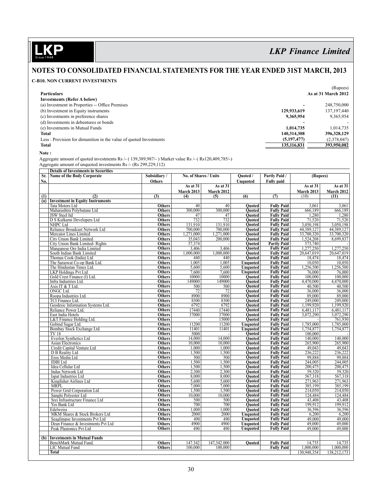**KP** 

# *LKP Finance Limited*

# **Notes to Consolidated financial statements for the year ended 31st March, 2013**

### **C-B10. Non current Investments**

|                                                                   |                          | (Rupees)            |
|-------------------------------------------------------------------|--------------------------|---------------------|
| <b>Particulars</b>                                                |                          | As at 31 March 2012 |
| <b>Investments (Refer A below)</b>                                |                          |                     |
| (a) Investment in Properties -- Office Premises                   | $\overline{\phantom{0}}$ | 248.750.000         |
| (b) Investment in Equity instruments                              | 129,933,619              | 137, 197, 440       |
| (c) Investments in preference shares                              | 9,365,954                | 9,365,954           |
| (d) Investments in debentures or bonds                            |                          |                     |
| (e) Investments in Mutual Funds                                   | 1.014.735                | 1,014,735           |
| <b>Total</b>                                                      | 140,314,308              | 396, 328, 129       |
| Less: Provision for dimunition in the value of quoted Investments | (5,197,477)              | (2,378,047)         |
| <b>Total</b>                                                      | 135.116.831              | 393,950,082         |
|                                                                   |                          |                     |

 **Note :**

Aggregate amount of quoted investments Rs /- ( 139,389,987/- ) Market value Rs /- ( Rs120,409,785/-)

Aggregate amount of unquoted investments Rs /- (Rs 299,229,112)

|     | <b>Details of Investments in Securities</b> |               |                       |             |                 |                    |             |                   |
|-----|---------------------------------------------|---------------|-----------------------|-------------|-----------------|--------------------|-------------|-------------------|
| Sr. | Name of the Body Corporate                  | Subsidiary/   | No. of Shares / Units |             | Quoted /        | Partly Paid /      | (Rupees)    |                   |
| No. |                                             | Others        |                       |             | Unquoted        | <b>Fully paid</b>  |             |                   |
|     |                                             |               | As at $31$            | As at $31$  |                 |                    | As at $31$  | As at 31          |
|     |                                             |               | <b>March 2013</b>     | March 2012  |                 |                    | March 2013  | <b>March 2012</b> |
| (1) | (2)                                         | (3)           | (4)                   | (5)         | (6)             | (7)                | (10)        | (11)              |
|     | (a) Investment in Equity Instruments        |               |                       |             |                 |                    |             |                   |
|     | Tata Motors Ltd                             | Others        | 40                    | 40          | Ouoted          | <b>Fully Paid</b>  | 3,061       | 3,061             |
|     | Maharashtra Polybutane Ltd                  | Others        | 300,000               | 300,000     | Quoted          | <b>Fully Paid</b>  | 666,189     | 666,189           |
|     | JSW Steel ltd                               | <b>Others</b> | 47                    | 47          | <b>Ouoted</b>   | <b>Fully Paid</b>  | 1,280       | 1,280             |
|     | D S Kulkarni Developers Ltd                 | <b>Others</b> | 732                   | 732         | <b>Ouoted</b>   | <b>Fully Paid</b>  | 71,520      | 71,520            |
|     | NHPC Ltd                                    | Others        | 131.910               | 131,910     | <b>Ouoted</b>   | <b>Fully Paid</b>  | 3,050,198   | 3.050.198         |
|     | Reliance Broadcast Network Ltd              | <b>Others</b> | 700,000               | 700,000     | Quoted          | <b>Fully Paid</b>  | 44,389,127  | 44,389,127        |
|     | Mercator Lines Limited                      | <b>Others</b> | 1,271,000             | 1,271,000   | <b>Ouoted</b>   | <b>Fully Paid</b>  | 33,700,320  | 33,700,320        |
|     | City Union Bank Limited                     | <b>Others</b> | 35,043                | 200,000     | <b>Ouoted</b>   | <b>Fully Paid</b>  | 1,524,208   | 8,699,837         |
|     | City Union Bank Limited-Rights              | <b>Others</b> | 57,374                |             | <b>Ouoted</b>   | <b>Partly Paid</b> | 573,740     |                   |
|     | Manganese Ore India Limited                 | <b>Others</b> | 3,406                 | 3,406       | <b>Ouoted</b>   | <b>Fully Paid</b>  | 1,277,250   | 1,277,250         |
|     | South Indian Bank Limited                   | <b>Others</b> | 1.000.000             | 1,000,000   | <b>Ouoted</b>   | <b>Fully Paid</b>  | 20,647,019  | 20,647,019        |
|     | Thomas Cook (India) Ltd                     | <b>Others</b> | 440                   | 440         | <b>Ouoted</b>   | <b>Fully Paid</b>  | 18,474      | 18,474            |
|     | The Saraswat Co-op Bank Ltd.                | <b>Others</b> | 1.005                 | 1.005       | <b>Unquoted</b> | <b>Fully Paid</b>  | 10.050      | 10.050            |
|     | The Hindustan Times Ltd.                    | <b>Others</b> | 5.600                 | 5,600       | <b>Unquoted</b> | <b>Fully Paid</b>  | 1,256,500   | 1,256,500         |
|     | <b>LKP</b> Holdings Pvt Ltd                 | Others        | 7.600                 | 7,600       | Unquoted        | <b>Fully Paid</b>  | 76,000      | 76.000            |
|     | Gold Crest Finance (I) Ltd.                 | <b>Others</b> | 10000                 | 10000       | <b>Quoted</b>   | <b>Fully Paid</b>  | 100,000     | 100,000           |
|     | Infra Industries Ltd.                       | <b>Others</b> | 149000                | 149000      | <b>Ouoted</b>   | <b>Fully Paid</b>  | 4,470,000   | 4.470.000         |
|     | Axis IT & T Ltd.                            | <b>Others</b> | 500                   | 500         | Ouoted          | <b>Fully Paid</b>  | 40,500      | 40,500            |
|     | ONGC Ltd.                                   | <b>Others</b> | 72                    | 72          | Ouoted          | <b>Fully Paid</b>  | 36,000      | 36,000            |
|     | Roopa Industries Ltd.                       | Others        | 8900                  | 8900        | Quoted          | <b>Fully Paid</b>  | 89,000      | 89,000            |
|     | TCI Finance Ltd.                            | <b>Others</b> | 8300                  | 8300        | <b>Ouoted</b>   | <b>Fully Paid</b>  | 249,000     | 249,000           |
|     | Geodesic Information Systems Ltd.           | <b>Others</b> | 6792                  | 6792        | Ouoted          | <b>Fully Paid</b>  | 1.199.920   | 1.199.920         |
|     | Reliance Power Ltd.                         | <b>Others</b> | 17440                 | 17440       | <b>Ouoted</b>   | <b>Fully Paid</b>  | 6,481,117   | 6,481,117         |
|     | East India Hotels                           | <b>Others</b> | 37000                 | 37000       | Ouoted          | <b>Fully Paid</b>  | 3,072,290   | 3,072,290         |
|     | L&T Finance Holding Ltd.                    | <b>Others</b> |                       | 15000       | Quoted          | <b>Fully Paid</b>  |             | 761,930           |
|     | Gobind Sugar Ltd.                           | <b>Others</b> | 11200                 | 11200       | <b>Unquoted</b> | <b>Fully Paid</b>  | 1,785,000   | 1.785,000         |
|     | Bombay Stock Exchange Ltd.                  | <b>Others</b> | 11401                 | 11401       | <b>Unquoted</b> | <b>Fully Paid</b>  | 1,754,877   | 1,754,877         |
|     | TV 18                                       | <b>Others</b> | 5000                  |             | Ouoted          | <b>Fully Paid</b>  | 100,000     |                   |
|     | Everlon Synthetics Ltd                      | <b>Others</b> | 14.000                | 14,000      | Quoted          | <b>Fully Paid</b>  | 140,000     | 140,000           |
|     | <b>Asian Electronics</b>                    | <b>Others</b> | 10.000                | 10.000      | Ouoted          | <b>Fully Paid</b>  | 265,900     | 265,900           |
|     | Credit Capital Venture Ltd                  | <b>Others</b> | 1,000                 | 1,000       | <b>Ouoted</b>   | <b>Fully Paid</b>  | 49,043      | 49.043            |
|     | D B Reality Ltd                             | <b>Others</b> | 1,500                 | 1,500       | <b>Ouoted</b>   | <b>Fully Paid</b>  | 236,222     | 236.222           |
|     | Eros Media Ltd                              | <b>Others</b> | 500                   | 500         | Quoted          | <b>Fully Paid</b>  | 99,884      | 99,884            |
|     | <b>IDBI</b> Ltd                             | <b>Others</b> | 1.500                 | 1.500       | Ouoted          | <b>Fully Paid</b>  | 244,005     | 244,005           |
|     | Idea Cellular Ltd                           | <b>Others</b> | 1,500                 | 1,500       | <b>Ouoted</b>   | <b>Fully Paid</b>  | 200,475     | 200,475           |
|     | Indus Network Ltd                           | <b>Others</b> | 2,300                 | 2,300       | Ouoted          | <b>Fully Paid</b>  | 59,320      | 59.320            |
|     | Ispat Industries Ltd                        | <b>Others</b> | 8,000                 | 8,000       | <b>Ouoted</b>   | <b>Fully Paid</b>  | 567,318     | 567,318           |
|     | Kingfisher Airlines Ltd                     | <b>Others</b> | 5,600                 | 5,600       | <b>Ouoted</b>   | <b>Fully Paid</b>  | 271,963     | 271,963           |
|     | <b>MRPL</b>                                 | <b>Others</b> | 7,000                 | 7,000       | Quoted          | <b>Fully Paid</b>  | 385,199     | 385,199           |
|     | Power Grid Corporation Ltd                  | <b>Others</b> | 1,500                 | 1,500       | Ouoted          | <b>Fully Paid</b>  | 214,050     | 214.050           |
|     | Sanghi Polyester Ltd                        | <b>Others</b> | 10,000                | 10,000      | Quoted          | <b>Fully Paid</b>  | 124,484     | 124,484           |
|     | Srei Infrastructure Finance Ltd             | <b>Others</b> | 500                   | 500         | Ouoted          | <b>Fully Paid</b>  | 43,408      | 43,408            |
|     | Yes Bank Ltd                                | <b>Others</b> | 700                   | 700         | Ouoted          | <b>Fully Paid</b>  | 199,912     | 199.912           |
|     | Edelweiss                                   | <b>Others</b> | 1.000                 | 1.000       | <b>Ouoted</b>   | <b>Fully Paid</b>  | 36,596      | 36.596            |
|     | MKM Shares & Stock Brokers Ltd              | <b>Others</b> | 2000                  | 2000        | <b>Unquoted</b> | <b>Fully Paid</b>  | 6,200       | 6,200             |
|     | Seaglimpse Investments Pvt Ltd              | <b>Others</b> | 490                   | 490         | Unquoted        | <b>Fully Paid</b>  | 49,000      | 49,000            |
|     | Dean Finance & Investments Pvt Ltd          | <b>Others</b> | 4900                  | 4900        | <b>Unquoted</b> | <b>Fully Paid</b>  | 49,000      | 49,000            |
|     | Peak Plastonics Pvt Ltd                     | <b>Others</b> | 490                   | 490         | Unquoted        | <b>Fully Paid</b>  | 49,000      | 49,000            |
|     |                                             |               |                       |             |                 |                    |             |                   |
| (b) | <b>Investments in Mutual Funds</b>          |               |                       |             |                 |                    |             |                   |
|     | BenchMark Mutual Fund.                      | <b>Others</b> | 147.342               | 147,342.000 | Ouoted          | <b>Fully Paid</b>  | 14,735      | 14,735            |
|     | LIC Mutual Fund                             | Others        | 100.000               | 100,000     |                 | <b>Fully Paid</b>  | 1.000.000   | 1.000.000         |
|     | <b>Total</b>                                |               |                       |             |                 |                    | 130,948,354 | 138,212,173       |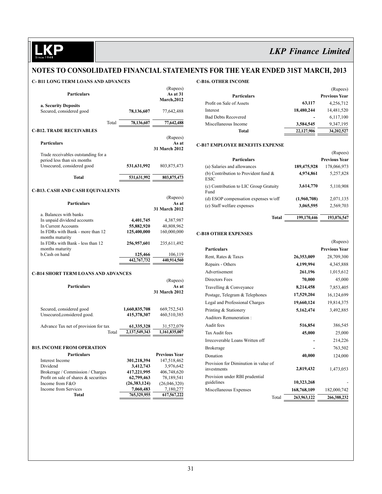$(D_{\text{max}} \times \text{S})$ 

# **Notes to Consolidated financial statements for the year ended 31st March, 2013**

### **C- B11 Long Term loans and advances**

|                                            |                     | (Rupees)           |
|--------------------------------------------|---------------------|--------------------|
| <b>Particulars</b>                         |                     | As at 31           |
|                                            |                     | <b>March, 2012</b> |
| a. Security Deposits                       |                     |                    |
| Secured, considered good                   | 78,136,607          | 77,642,488         |
|                                            | 78,136,607<br>Total | 77,642,488         |
| <b>C-B12. TRADE RECEIVABLES</b>            |                     |                    |
|                                            |                     | (Rupees)           |
| <b>Particulars</b>                         |                     | As at              |
|                                            |                     | 31 March 2012      |
| Trade receivables outstanding for a        |                     |                    |
| period less than six months                |                     |                    |
| Unsecured, considered good                 | 531,631,992         | 803, 875, 473      |
|                                            |                     |                    |
| Total                                      | 531,631,992         | 803, 875, 473      |
| <b>C-B13. CASH AND CASH EQUIVALENTS</b>    |                     |                    |
|                                            |                     | (Rupees)           |
| <b>Particulars</b>                         |                     | As at              |
|                                            |                     | 31 March 2012      |
| a. Balances with banks                     |                     |                    |
| In unpaid dividend accounts                | 4,401,745           | 4,387,987          |
| In Current Accounts                        | 55,882,920          | 40,808,962         |
| In FDRs with Bank - more than 12           | 125,400,000         | 160,000,000        |
| months maturity                            |                     |                    |
| In FDRs with Bank - less than 12           | 256,957,601         | 235,611,492        |
| months maturity                            |                     |                    |
| b.Cash on hand                             | 125,466             | 106,119            |
|                                            | 442,767,732         | 440,914,560        |
|                                            |                     |                    |
| <b>C-B14 SHORT TERM LOANS AND ADVANCES</b> |                     |                    |
|                                            |                     | (Rupees)           |
| <b>Particulars</b>                         |                     | As at              |
|                                            |                     | 31 March 2012      |
|                                            |                     |                    |

| Secured, considered good             | 1,660,835,708 | 669,752,543   |
|--------------------------------------|---------------|---------------|
| Unsecured, considered good.          | 415,378,307   | 460,510,385   |
| Advance Tax net of provision for tax | 61,335,328    | 31,572,079    |
| Total                                | 2,137,549,343 | 1,161,835,007 |

#### **B15. Income from Operation**

| <b>Particulars</b>                    |                | <b>Previous Year</b> |
|---------------------------------------|----------------|----------------------|
| Interest Income                       | 301,218,394    | 147,518,462          |
| Dividend                              | 3,412,743      | 3,976,642            |
| Brokerage / Commission / Charges      | 417,221,995    | 406,748,620          |
| Profit on sale of shares & securities | 62,799,463     | 78,189,541           |
| Income from F&O                       | (26, 383, 124) | (26,046,320)         |
| Income from Services                  | 7,060,483      | 7,180,277            |
| Total                                 | 765,329,955    | 617,567,222          |
|                                       |                |                      |

### **C-B16. Other Income**

|                            |            | $(\text{Rupess})$    |
|----------------------------|------------|----------------------|
| Particulars                |            | <b>Previous Year</b> |
| Profit on Sale of Assets   | 63,117     | 4,256,712            |
| Interest                   | 18,480,244 | 14,481,520           |
| <b>Bad Debts Recovered</b> |            | 6,117,100            |
| Miscellaneous Income       | 3,584,545  | 9,347,195            |
| Total                      | 22,127,906 | 34,202,527           |

#### **C-B17 Employee Benefits Expense**

|                                                        |             | (Rupees)             |
|--------------------------------------------------------|-------------|----------------------|
| <b>Particulars</b>                                     |             | <b>Previous Year</b> |
| (a) Salaries and allowances                            | 189,475,928 | 178,066,973          |
| (b) Contribution to Provident fund $\&$<br><b>ESIC</b> | 4,974,861   | 5,257,828            |
| (c) Contribution to LIC Group Gratuity<br>Fund         | 3,614,770   | 5,110,908            |
| (d) ESOP compensation expenses w/off                   | (1,960,708) | 2,071,135            |
| (e) Staff welfare expenses                             | 3,065,595   | 2,569,703            |
| Total                                                  | 199,170,446 | 193,076,547          |

### **C-B18 Other Expenses**

|                                      |             | (Rupees)             |
|--------------------------------------|-------------|----------------------|
| <b>Particulars</b>                   |             | <b>Previous Year</b> |
| Rent, Rates & Taxes                  | 26,353,009  | 28,709,300           |
| Repairs - Others                     | 4,199,994   | 4,345,888            |
| Advertisement                        | 261,196     | 1,015,612            |
| <b>Directors Fees</b>                | 70,000      | 45,000               |
| Travelling & Conveyance              | 8,214,458   | 7,853,405            |
| Postage, Telegram & Telephones       | 17,529,204  | 16,124,699           |
| Legal and Professional Charges       | 19,660,124  | 19,814,375           |
| Printing & Stationery                | 5,162,474   | 3,492,885            |
| Auditors Remuneration:               |             |                      |
| Audit fees                           | 516,854     | 386,545              |
| Tax Audit fees                       | 45,000      | 25,000               |
| Irrecoverable Loans Written off      |             | 214,226              |
| <b>Brokerage</b>                     |             | 763,502              |
| Donation                             | 40,000      | 124,000              |
| Provision for Diminution in value of |             |                      |
| investments                          | 2,819,432   | 1,473,053            |
| Provision under RBI prudential       |             |                      |
| guidelines                           | 10,323,268  |                      |
| Miscellaneous Expenses               | 168,768,109 | 182,000,742          |
| Total                                | 263,963,122 | 266,388,232          |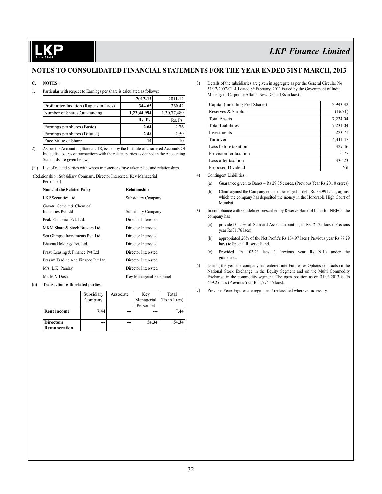## **Notes to Consolidated financial statements for the year ended 31st March, 2013**

### **C. NOTES :**

1. Particular with respect to Earnings per share is calculated as follows:

|                                        | $2012 - 13$ | 2011-12     |
|----------------------------------------|-------------|-------------|
| Profit after Taxation (Rupees in Lacs) | 344.65      | 360.42      |
| Number of Shares Outstanding           | 1,23,44,994 | 1,30,77,489 |
|                                        | Rs. Ps.     | Rs. Ps.     |
| Earnings per shares (Basic)            | 2.64        | 2.76        |
| Earnings per shares (Diluted)          | 2.48        | 2.59        |
| Face Value of Share                    |             | 10          |

- 2) As per the Accounting Standard 18, issued by the Institute of Chartered Accounts Of India, disclosures of transactions with the related parties as defined in the Accounting Standards are given below:
- ( i ) List of related parties with whom transactions have taken place and relationships.

 (Relationship : Subsidiary Company, Director Interested, Key Managerial Personnel)

| <b>Name of the Related Party</b>                | Relationship             |
|-------------------------------------------------|--------------------------|
| LKP Securities Ltd.                             | Subsidiary Company       |
| Gayatri Cement & Chemical<br>Industries Pvt Ltd | Subsidiary Company       |
| Peak Plastonics Pvt Ltd                         | Director Interested      |
| MKM Share & Stock Brokers Ltd.                  | Director Interested      |
| Sea Glimpse Investments Pvt. Ltd.               | Director Interested      |
| Bhavna Holdings Pvt. Ltd.                       | Director Interested      |
| Prasu Leasing & Finance Pvt Ltd                 | Director Interested      |
| Prasam Trading And Finance Pvt Ltd              | Director Interested      |
| M/s. L.K. Panday                                | Director Interested      |
| Mr. M V Doshi                                   | Key Managerial Personnel |

#### **(ii) Transaction with related parties.**

|                    | Subsidiary | Associate | Key        | Total        |
|--------------------|------------|-----------|------------|--------------|
|                    | Company    |           | Managerial | (Rs.in Lacs) |
|                    |            |           | Personnel  |              |
| <b>Rent income</b> | 7.44       |           |            | 7.44         |
|                    |            |           |            |              |
| <b>Directors</b>   | ---        |           | 54.34      | 54.34        |
| Remuneration       |            |           |            |              |

3) Details of the subsidiaries are given in aggregate as per the General Circular No 51/12/2007-CL-III dated 8<sup>th</sup> February, 2011 issued by the Government of India, Ministry of Corporate Affairs, New Delhi, (Rs in lacs) :

| Capital (including Pref Shares) | 2,943.32 |
|---------------------------------|----------|
| Reserves & Surplus              | (16.71)  |
| <b>Total Assets</b>             | 7,234.04 |
| <b>Total Liabilities</b>        | 7,234.04 |
| Investments                     | 223.71   |
| Turnover                        | 4,411.47 |
| Loss before taxation            | 329.46   |
| Provision for taxation          | 0.77     |
| Loss after taxation             | 330.23   |
| Proposed Dividend               | Nil      |

4) Contingent Liabilities:

- (a) Guarantee given to Banks Rs 29.35 crores. (Previous Year Rs 20.10 crores)
- (b) Claim against the Company not acknowledged as debt Rs. 33.99 Lacs , against which the company has deposited the money in the Honorable High Court of Mumbai.
- **5**) In compliance with Guidelines prescribed by Reserve Bank of India for NBFCs, the company has
	- (a) provided 0.25% of Standard Assets amounting to Rs. 21.25 lacs ( Previous year Rs 31.76 lacs)
	- (b) appropriated 20% of the Net Profit's Rs 134.97 lacs ( Previous year Rs 97.29 lacs) to Special Reserve Fund.
	- (c) Provided Rs 103.23 lacs ( Previous year Rs NIL) under the guidelines.
- 6) During the year the company has entered into Futures & Options contracts on the National Stock Exchange in the Equity Segment and on the Multi Commodity Exchange in the commodity segment. The open position as on 31.03.2013 is Rs 459.25 lacs (Previous Year Rs 1,774.15 lacs).
- 7) Previous Years Figures are regrouped / reclassified wherever necessary.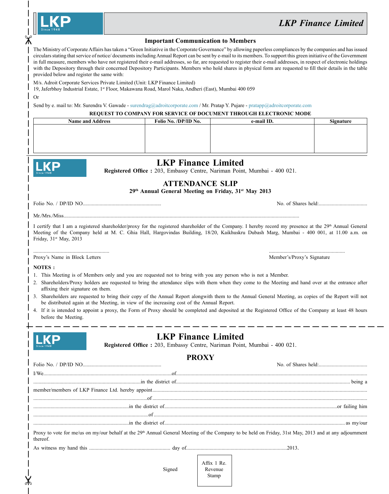| <b>Since 1948</b> |
|-------------------|
|-------------------|

| <b>Important Communication to Members</b> |  |  |  |
|-------------------------------------------|--|--|--|
|-------------------------------------------|--|--|--|

The Ministry of Corporate Affairs has taken a "Green Initiative in the Corporate Governance" by allowing paperless compliances by the companies and has issued circulars stating that service of notice/ documents including Annual Report can be sent by e-mail to its members. To support this green initiative of the Government in full measure, members who have not registered their e-mail addresses, so far, are requested to register their e-mail addresses, in respect of electronic holdings with the Depository through their concerned Depository Participants. Members who hold shares in physical form are requested to fill their details in the table provided below and register the same with:

M/s. Adroit Corporate Services Private Limited (Unit: LKP Finance Limited)

19, Jaferbhoy Industrial Estate, 1st Floor, Makawana Road, Marol Naka, Andheri (East), Mumbai 400 059

Or

 $\chi$ 

Send by e. mail to: Mr. Surendra V. Gawade - surendrag@adroitcorporate.com / Mr. Pratap Y. Pujare - pratapp@adroitcorporate.com

### **REQUEST TO COMPANY FOR SERVICE OF DOCUMENT THROUGH ELECTRONIC MODE**

| <b>Name and Address</b> | Folio No. /DP/ID No. | e-mail ID. | <b>Signature</b> |
|-------------------------|----------------------|------------|------------------|
|                         |                      |            |                  |
|                         |                      |            |                  |
|                         |                      |            |                  |
|                         |                      |            |                  |

|                                                          | <b>LKP Finance Limited</b><br>Registered Office: 203, Embassy Centre, Nariman Point, Mumbai - 400 021.                                                                                                      |                                                                                                                                                                                                                                                                                                                                                                                                                                                                          |
|----------------------------------------------------------|-------------------------------------------------------------------------------------------------------------------------------------------------------------------------------------------------------------|--------------------------------------------------------------------------------------------------------------------------------------------------------------------------------------------------------------------------------------------------------------------------------------------------------------------------------------------------------------------------------------------------------------------------------------------------------------------------|
|                                                          | <b>ATTENDANCE SLIP</b><br>29th Annual General Meeting on Friday, 31st May 2013                                                                                                                              |                                                                                                                                                                                                                                                                                                                                                                                                                                                                          |
|                                                          |                                                                                                                                                                                                             |                                                                                                                                                                                                                                                                                                                                                                                                                                                                          |
|                                                          |                                                                                                                                                                                                             |                                                                                                                                                                                                                                                                                                                                                                                                                                                                          |
| Friday, 31 <sup>st</sup> May, 2013                       |                                                                                                                                                                                                             | I certify that I am a registered shareholder/proxy for the registered shareholder of the Company. I hereby record my presence at the 29th Annual General<br>Meeting of the Company held at M. C. Ghia Hall, Hargovindas Building, 18/20, Kaikhuskru Dubash Marg, Mumbai - 400 001, at 11.00 a.m. on                                                                                                                                                                      |
| Proxy's Name in Block Letters                            |                                                                                                                                                                                                             | Member's/Proxy's Signature                                                                                                                                                                                                                                                                                                                                                                                                                                               |
| NOTES:                                                   |                                                                                                                                                                                                             |                                                                                                                                                                                                                                                                                                                                                                                                                                                                          |
| affixing their signature on them.<br>before the Meeting. | 1. This Meeting is of Members only and you are requested not to bring with you any person who is not a Member.<br>be distributed again at the Meeting, in view of the increasing cost of the Annual Report. | 2. Shareholders/Proxy holders are requested to bring the attendance slips with them when they come to the Meeting and hand over at the entrance after<br>3. Shareholders are requested to bring their copy of the Annual Report alongwith them to the Annual General Meeting, as copies of the Report will not<br>4. If it is intended to appoint a proxy, the Form of Proxy should be completed and deposited at the Registered Office of the Company at least 48 hours |
|                                                          | <b>LKP Finance Limited</b><br>Registered Office: 203, Embassy Centre, Nariman Point, Mumbai - 400 021.                                                                                                      |                                                                                                                                                                                                                                                                                                                                                                                                                                                                          |
|                                                          | <b>PROXY</b>                                                                                                                                                                                                |                                                                                                                                                                                                                                                                                                                                                                                                                                                                          |
|                                                          |                                                                                                                                                                                                             |                                                                                                                                                                                                                                                                                                                                                                                                                                                                          |
|                                                          |                                                                                                                                                                                                             |                                                                                                                                                                                                                                                                                                                                                                                                                                                                          |
|                                                          |                                                                                                                                                                                                             |                                                                                                                                                                                                                                                                                                                                                                                                                                                                          |
|                                                          |                                                                                                                                                                                                             |                                                                                                                                                                                                                                                                                                                                                                                                                                                                          |
|                                                          |                                                                                                                                                                                                             |                                                                                                                                                                                                                                                                                                                                                                                                                                                                          |
|                                                          |                                                                                                                                                                                                             |                                                                                                                                                                                                                                                                                                                                                                                                                                                                          |
| thereof.                                                 |                                                                                                                                                                                                             | Proxy to vote for me/us on my/our behalf at the 29 <sup>th</sup> Annual General Meeting of the Company to be held on Friday, 31st May, 2013 and at any adjournment                                                                                                                                                                                                                                                                                                       |
|                                                          |                                                                                                                                                                                                             |                                                                                                                                                                                                                                                                                                                                                                                                                                                                          |
|                                                          |                                                                                                                                                                                                             | Affix 1 Re.                                                                                                                                                                                                                                                                                                                                                                                                                                                              |

Stamp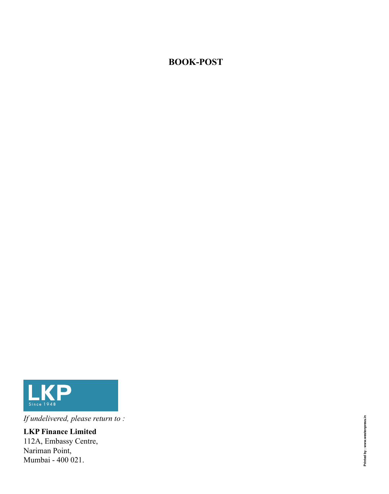# **BOOK-POST**



*If undelivered, please return to :*

**LKP Finance Limited** 112A, Embassy Centre, Nariman Point, Mumbai - 400 021.